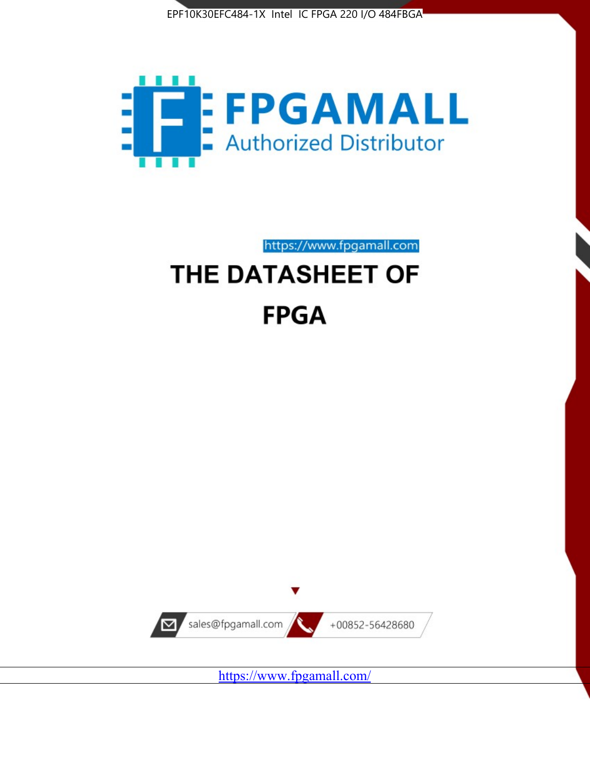



https://www.fpgamall.com THE DATASHEET OF

# **FPGA**



<https://www.fpgamall.com/>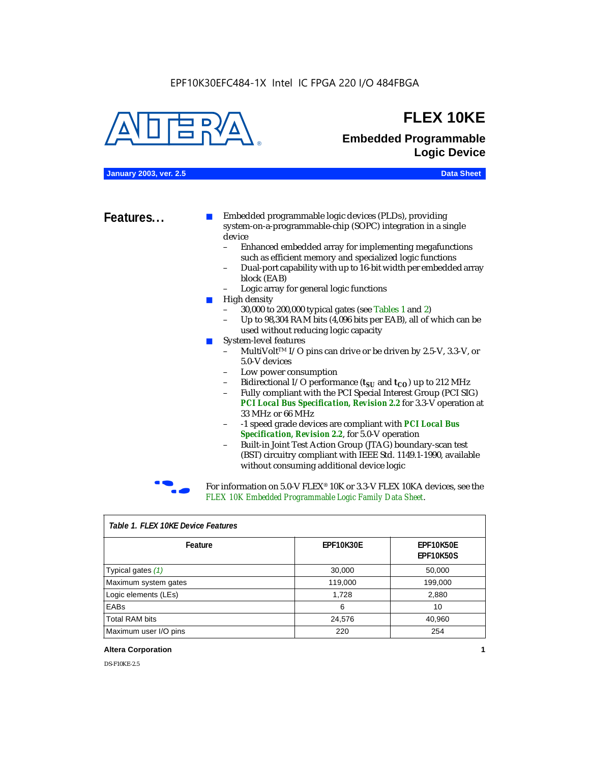#### EPF10K30EFC484-1X Intel IC FPGA 220 I/O 484FBGA



### **FLEX 10KE**

### **Embedded Programmable Logic Device**

**January 2003, ver. 2.5 Data Sheet**

**Features...** ■ Embedded programmable logic devices (PLDs), providing system-on-a-programmable-chip (SOPC) integration in a single device

- Enhanced embedded array for implementing megafunctions such as efficient memory and specialized logic functions
- Dual-port capability with up to 16-bit width per embedded array block (EAB)
- Logic array for general logic functions
- High density
	- 30,000 to 200,000 typical gates (see Tables 1 and 2)
	- Up to 98,304 RAM bits (4,096 bits per EAB), all of which can be used without reducing logic capacity
- System-level features
	- MultiVolt<sup>™</sup> I/O pins can drive or be driven by 2.5-V, 3.3-V, or 5.0-V devices
	- Low power consumption
	- Bidirectional I/O performance  $(t_{SI}$  and  $t_{CO}$ ) up to 212 MHz
	- Fully compliant with the PCI Special Interest Group (PCI SIG) *PCI Local Bus Specification, Revision 2.2* for 3.3-V operation at 33 MHz or 66 MHz
	- -1 speed grade devices are compliant with *PCI Local Bus Specification, Revision 2.2*, for 5.0-V operation
	- Built-in Joint Test Action Group (JTAG) boundary-scan test (BST) circuitry compliant with IEEE Std. 1149.1-1990, available without consuming additional device logic



For information on 5.0-V FLEX<sup>®</sup> 10K or 3.3-V FLEX 10KA devices, see the *FLEX 10K Embedded Programmable Logic Family Data Sheet*.

| iable 1.1 LLA TUNL DEVICET CAULES |           |                               |  |  |
|-----------------------------------|-----------|-------------------------------|--|--|
| Feature                           | EPF10K30E | EPF10K50E<br><b>EPF10K50S</b> |  |  |
| Typical gates (1)                 | 30,000    | 50,000                        |  |  |
| Maximum system gates              | 119,000   | 199,000                       |  |  |
| Logic elements (LEs)              | 1,728     | 2,880                         |  |  |
| EABs                              | 6         | 10                            |  |  |
| <b>Total RAM bits</b>             | 24,576    | 40,960                        |  |  |
| Maximum user I/O pins             | 220       | 254                           |  |  |

#### *Table 1. FLEX 10KE Device Features*

#### **Altera Corporation 1**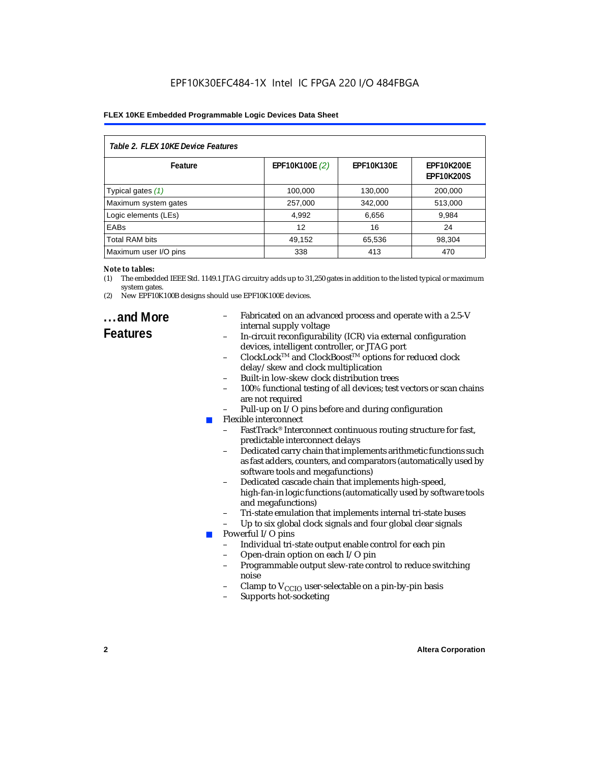| Table 2. FLEX 10KE Device Features |                |                   |                                        |  |  |
|------------------------------------|----------------|-------------------|----------------------------------------|--|--|
| Feature                            | EPF10K100E (2) | <b>EPF10K130E</b> | <b>EPF10K200E</b><br><b>EPF10K200S</b> |  |  |
| Typical gates (1)                  | 100,000        | 130,000           | 200,000                                |  |  |
| Maximum system gates               | 257,000        | 342,000           | 513,000                                |  |  |
| Logic elements (LEs)               | 4,992          | 6,656             | 9,984                                  |  |  |
| <b>EABs</b>                        | 12             | 16                | 24                                     |  |  |
| <b>Total RAM bits</b>              | 49,152         | 65,536            | 98,304                                 |  |  |
| Maximum user I/O pins              | 338            | 413               | 470                                    |  |  |

#### *Note to tables:*

(1) The embedded IEEE Std. 1149.1 JTAG circuitry adds up to 31,250 gates in addition to the listed typical or maximum system gates.

(2) New EPF10K100B designs should use EPF10K100E devices.

### **...and More Features**

- Fabricated on an advanced process and operate with a 2.5-V internal supply voltage
- In-circuit reconfigurability (ICR) via external configuration devices, intelligent controller, or JTAG port
- ClockLockTM and ClockBoostTM options for reduced clock delay/skew and clock multiplication
- Built-in low-skew clock distribution trees
- 100% functional testing of all devices; test vectors or scan chains are not required
- Pull-up on I/O pins before and during configuration
- Flexible interconnect
	- FastTrack<sup>®</sup> Interconnect continuous routing structure for fast, predictable interconnect delays
	- Dedicated carry chain that implements arithmetic functions such as fast adders, counters, and comparators (automatically used by software tools and megafunctions)
	- Dedicated cascade chain that implements high-speed, high-fan-in logic functions (automatically used by software tools and megafunctions)
	- Tri-state emulation that implements internal tri-state buses
	- Up to six global clock signals and four global clear signals
- Powerful I/O pins
	- Individual tri-state output enable control for each pin
	- Open-drain option on each I/O pin
	- Programmable output slew-rate control to reduce switching noise
	- Clamp to  $V_{\text{CCIO}}$  user-selectable on a pin-by-pin basis
	- Supports hot-socketing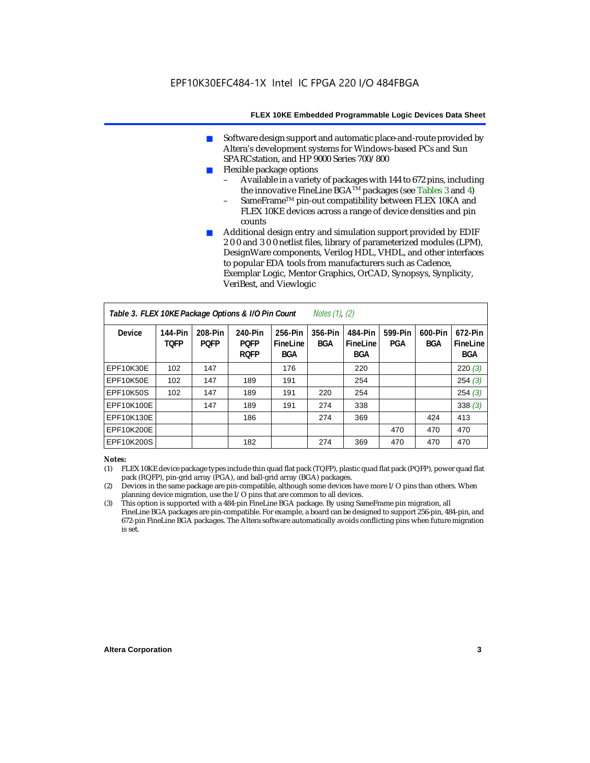- Software design support and automatic place-and-route provided by Altera's development systems for Windows-based PCs and Sun SPARCstation, and HP 9000 Series 700/800
- Flexible package options
	- Available in a variety of packages with 144 to 672 pins, including the innovative FineLine BGA<sup>TM</sup> packages (see Tables 3 and 4)
	- SameFrame™ pin-out compatibility between FLEX 10KA and FLEX 10KE devices across a range of device densities and pin counts
- Additional design entry and simulation support provided by EDIF 2 0 0 and 3 0 0 netlist files, library of parameterized modules (LPM), DesignWare components, Verilog HDL, VHDL, and other interfaces to popular EDA tools from manufacturers such as Cadence, Exemplar Logic, Mentor Graphics, OrCAD, Synopsys, Synplicity, VeriBest, and Viewlogic

| Table 3. FLEX 10KE Package Options & I/O Pin Count<br><i>Notes <math>(1)</math>, <math>(2)</math></i> |                        |                        |                                       |                                   |                |                                   |                |                       |                                   |
|-------------------------------------------------------------------------------------------------------|------------------------|------------------------|---------------------------------------|-----------------------------------|----------------|-----------------------------------|----------------|-----------------------|-----------------------------------|
| <b>Device</b>                                                                                         | 144-Pin<br><b>TOFP</b> | 208-Pin<br><b>POFP</b> | 240-Pin<br><b>POFP</b><br><b>ROFP</b> | 256-Pin<br>FineLine<br><b>BGA</b> | 356-Pin<br>BGA | 484-Pin<br>FineLine<br><b>BGA</b> | 599-Pin<br>PGA | 600-Pin<br><b>BGA</b> | 672-Pin<br>FineLine<br><b>BGA</b> |
| EPF10K30E                                                                                             | 102                    | 147                    |                                       | 176                               |                | 220                               |                |                       | 220(3)                            |
| EPF10K50E                                                                                             | 102                    | 147                    | 189                                   | 191                               |                | 254                               |                |                       | 254(3)                            |
| <b>EPF10K50S</b>                                                                                      | 102                    | 147                    | 189                                   | 191                               | 220            | 254                               |                |                       | 254(3)                            |
| EPF10K100E                                                                                            |                        | 147                    | 189                                   | 191                               | 274            | 338                               |                |                       | 338(3)                            |
| EPF10K130E                                                                                            |                        |                        | 186                                   |                                   | 274            | 369                               |                | 424                   | 413                               |
| EPF10K200E                                                                                            |                        |                        |                                       |                                   |                |                                   | 470            | 470                   | 470                               |
| EPF10K200S                                                                                            |                        |                        | 182                                   |                                   | 274            | 369                               | 470            | 470                   | 470                               |

#### *Notes:*

- (1) FLEX 10KE device package types include thin quad flat pack (TQFP), plastic quad flat pack (PQFP), power quad flat pack (RQFP), pin-grid array (PGA), and ball-grid array (BGA) packages.
- (2) Devices in the same package are pin-compatible, although some devices have more I/O pins than others. When planning device migration, use the I/O pins that are common to all devices.
- (3) This option is supported with a 484-pin FineLine BGA package. By using SameFrame pin migration, all FineLine BGA packages are pin-compatible. For example, a board can be designed to support 256-pin, 484-pin, and 672-pin FineLine BGA packages. The Altera software automatically avoids conflicting pins when future migration is set.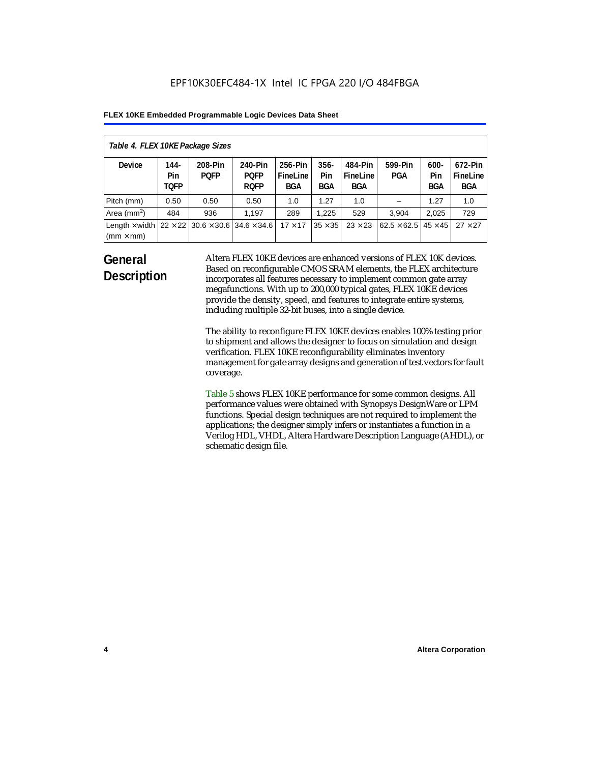| Table 4. FLEX 10KE Package Sizes          |                            |                                                      |                                       |                                   |                       |                            |                                   |                              |                                   |
|-------------------------------------------|----------------------------|------------------------------------------------------|---------------------------------------|-----------------------------------|-----------------------|----------------------------|-----------------------------------|------------------------------|-----------------------------------|
| <b>Device</b>                             | 144-<br>Pin<br><b>TOFP</b> | 208-Pin<br><b>POFP</b>                               | 240-Pin<br><b>POFP</b><br><b>ROFP</b> | 256-Pin<br>FineLine<br><b>BGA</b> | $356 -$<br>Pin<br>BGA | 484-Pin<br>FineLine<br>BGA | 599-Pin<br><b>PGA</b>             | $600 -$<br>Pin<br><b>BGA</b> | 672-Pin<br>FineLine<br><b>BGA</b> |
| Pitch (mm)                                | 0.50                       | 0.50                                                 | 0.50                                  | 1.0                               | 1.27                  | 1.0                        |                                   | 1.27                         | 1.0                               |
| Area $(mm2)$                              | 484                        | 936                                                  | 1.197                                 | 289                               | 1.225                 | 529                        | 3.904                             | 2,025                        | 729                               |
| Length $\times$ width<br>$(mm \times mm)$ |                            | $22 \times 22$ 30.6 $\times$ 30.6 34.6 $\times$ 34.6 |                                       | $17 \times 17$                    | $35 \times 35$        | $23 \times 23$             | $62.5 \times 62.5$ 45 $\times$ 45 |                              | $27 \times 27$                    |

### **General Description**

Altera FLEX 10KE devices are enhanced versions of FLEX 10K devices. Based on reconfigurable CMOS SRAM elements, the FLEX architecture incorporates all features necessary to implement common gate array megafunctions. With up to 200,000 typical gates, FLEX 10KE devices provide the density, speed, and features to integrate entire systems, including multiple 32-bit buses, into a single device.

The ability to reconfigure FLEX 10KE devices enables 100% testing prior to shipment and allows the designer to focus on simulation and design verification. FLEX 10KE reconfigurability eliminates inventory management for gate array designs and generation of test vectors for fault coverage.

Table 5 shows FLEX 10KE performance for some common designs. All performance values were obtained with Synopsys DesignWare or LPM functions. Special design techniques are not required to implement the applications; the designer simply infers or instantiates a function in a Verilog HDL, VHDL, Altera Hardware Description Language (AHDL), or schematic design file.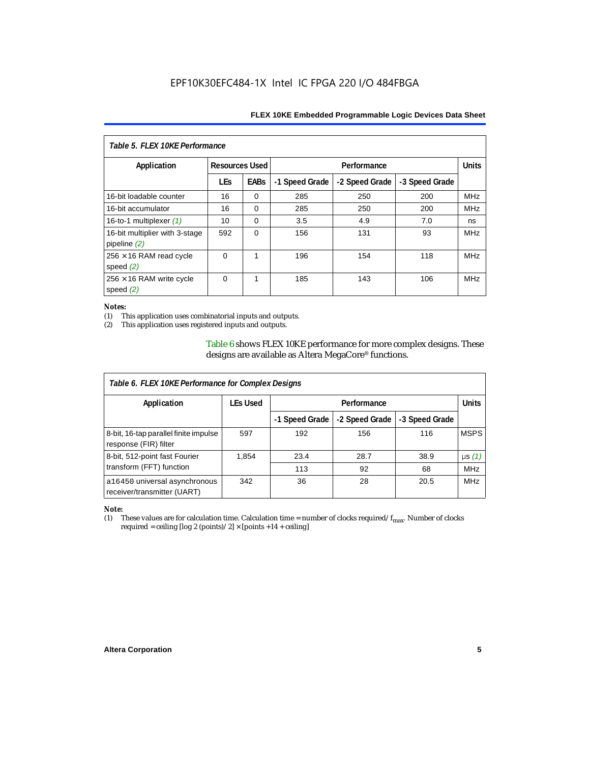| Table 5. FLEX 10KE Performance                   |                       |             |                |                |                |            |  |
|--------------------------------------------------|-----------------------|-------------|----------------|----------------|----------------|------------|--|
| Application                                      | <b>Resources Used</b> |             |                | Performance    |                |            |  |
|                                                  | <b>LEs</b>            | <b>EABs</b> | -1 Speed Grade | -2 Speed Grade | -3 Speed Grade |            |  |
| 16-bit loadable counter                          | 16                    | $\Omega$    | 285            | 250            | 200            | <b>MHz</b> |  |
| 16-bit accumulator                               | 16                    | $\Omega$    | 285            | 250            | 200            | <b>MHz</b> |  |
| 16-to-1 multiplexer $(1)$                        | 10                    | $\Omega$    | 3.5            | 4.9            | 7.0            | ns         |  |
| 16-bit multiplier with 3-stage<br>pipeline $(2)$ | 592                   | $\Omega$    | 156            | 131            | 93             | <b>MHz</b> |  |
| $256 \times 16$ RAM read cycle<br>speed $(2)$    | $\Omega$              | 1           | 196            | 154            | 118            | <b>MHz</b> |  |
| $256 \times 16$ RAM write cycle<br>speed $(2)$   | $\Omega$              | 1           | 185            | 143            | 106            | <b>MHz</b> |  |

#### *Notes:*

(1) This application uses combinatorial inputs and outputs.

This application uses registered inputs and outputs.

Table 6 shows FLEX 10KE performance for more complex designs. These designs are available as Altera MegaCore® functions.

| Table 6. FLEX 10KE Performance for Complex Designs             |                 |                |                |                |              |
|----------------------------------------------------------------|-----------------|----------------|----------------|----------------|--------------|
| Application                                                    | <b>LEs Used</b> | Performance    |                |                | <b>Units</b> |
|                                                                |                 | -1 Speed Grade | -2 Speed Grade | -3 Speed Grade |              |
| 8-bit, 16-tap parallel finite impulse<br>response (FIR) filter | 597             | 192            | 156            | 116            | <b>MSPS</b>  |
| 8-bit, 512-point fast Fourier                                  | 1,854           | 23.4           | 28.7           | 38.9           | $\mu s(1)$   |
| transform (FFT) function                                       |                 | 113            | 92             | 68             | <b>MHz</b>   |
| a16450 universal asynchronous<br>receiver/transmitter (UART)   | 342             | 36             | 28             | 20.5           | <b>MHz</b>   |

## *Note:*<br>(1) 1

These values are for calculation time. Calculation time = number of clocks required/ $f_{max}$ . Number of clocks required = ceiling [log 2 (points)/2]  $\times$  [points +14 + ceiling]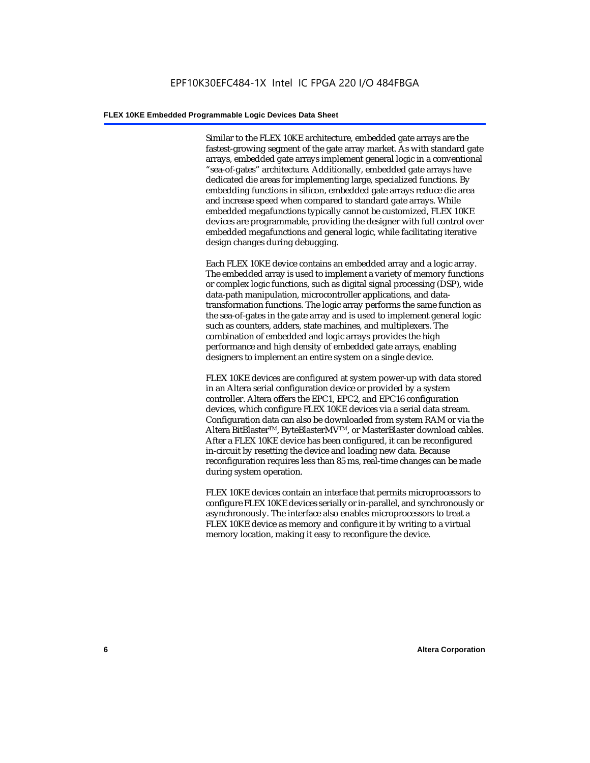Similar to the FLEX 10KE architecture, embedded gate arrays are the fastest-growing segment of the gate array market. As with standard gate arrays, embedded gate arrays implement general logic in a conventional "sea-of-gates" architecture. Additionally, embedded gate arrays have dedicated die areas for implementing large, specialized functions. By embedding functions in silicon, embedded gate arrays reduce die area and increase speed when compared to standard gate arrays. While embedded megafunctions typically cannot be customized, FLEX 10KE devices are programmable, providing the designer with full control over embedded megafunctions and general logic, while facilitating iterative design changes during debugging.

Each FLEX 10KE device contains an embedded array and a logic array. The embedded array is used to implement a variety of memory functions or complex logic functions, such as digital signal processing (DSP), wide data-path manipulation, microcontroller applications, and datatransformation functions. The logic array performs the same function as the sea-of-gates in the gate array and is used to implement general logic such as counters, adders, state machines, and multiplexers. The combination of embedded and logic arrays provides the high performance and high density of embedded gate arrays, enabling designers to implement an entire system on a single device.

FLEX 10KE devices are configured at system power-up with data stored in an Altera serial configuration device or provided by a system controller. Altera offers the EPC1, EPC2, and EPC16 configuration devices, which configure FLEX 10KE devices via a serial data stream. Configuration data can also be downloaded from system RAM or via the Altera BitBlaster™, ByteBlasterMV™, or MasterBlaster download cables. After a FLEX 10KE device has been configured, it can be reconfigured in-circuit by resetting the device and loading new data. Because reconfiguration requires less than 85 ms, real-time changes can be made during system operation.

FLEX 10KE devices contain an interface that permits microprocessors to configure FLEX 10KE devices serially or in-parallel, and synchronously or asynchronously. The interface also enables microprocessors to treat a FLEX 10KE device as memory and configure it by writing to a virtual memory location, making it easy to reconfigure the device.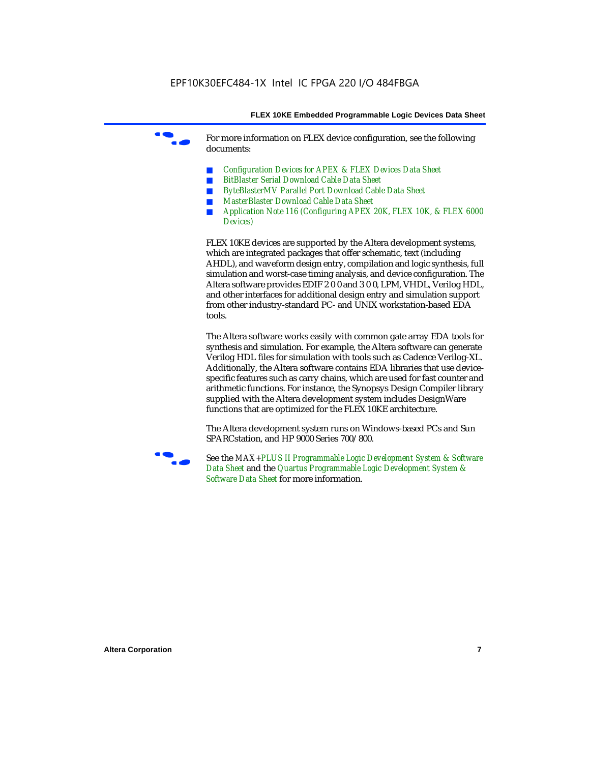For more information on FLEX device configuration, see the following documents:

- *Configuration Devices for APEX & FLEX Devices Data Sheet*
- *BitBlaster Serial Download Cable Data Sheet*
- *ByteBlasterMV Parallel Port Download Cable Data Sheet*
- *MasterBlaster Download Cable Data Sheet*
- *Application Note 116 (Configuring APEX 20K, FLEX 10K, & FLEX 6000 Devices)*

FLEX 10KE devices are supported by the Altera development systems, which are integrated packages that offer schematic, text (including AHDL), and waveform design entry, compilation and logic synthesis, full simulation and worst-case timing analysis, and device configuration. The Altera software provides EDIF 2 0 0 and 3 0 0, LPM, VHDL, Verilog HDL, and other interfaces for additional design entry and simulation support from other industry-standard PC- and UNIX workstation-based EDA tools.

The Altera software works easily with common gate array EDA tools for synthesis and simulation. For example, the Altera software can generate Verilog HDL files for simulation with tools such as Cadence Verilog-XL. Additionally, the Altera software contains EDA libraries that use devicespecific features such as carry chains, which are used for fast counter and arithmetic functions. For instance, the Synopsys Design Compiler library supplied with the Altera development system includes DesignWare functions that are optimized for the FLEX 10KE architecture.

The Altera development system runs on Windows-based PCs and Sun SPARCstation, and HP 9000 Series 700/800.



See the *MAX+PLUS II Programmable Logic Development System & Software Data Sheet* and the *Quartus Programmable Logic Development System & Software Data Sheet* for more information.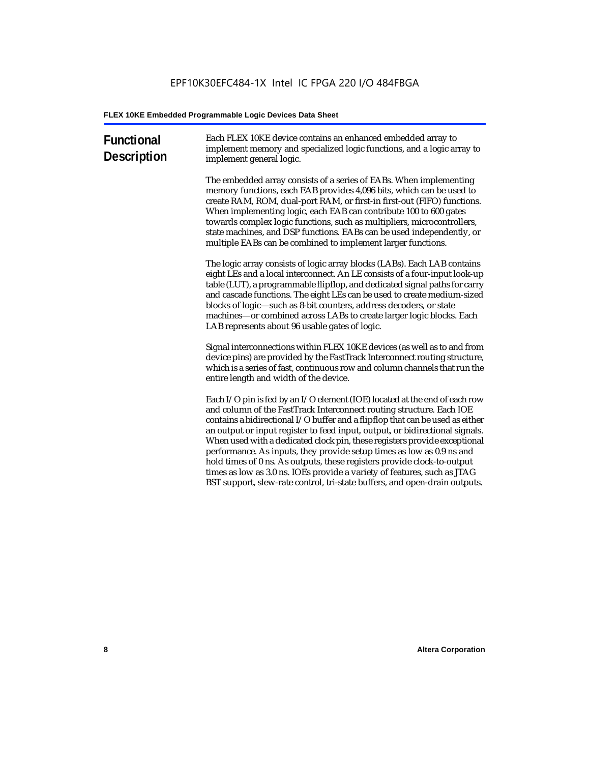| <b>Functional</b><br><b>Description</b> | Each FLEX 10KE device contains an enhanced embedded array to<br>implement memory and specialized logic functions, and a logic array to<br>implement general logic.                                                                                                                                                                                                                                                                                                                                                                                                                                                                                                                                             |
|-----------------------------------------|----------------------------------------------------------------------------------------------------------------------------------------------------------------------------------------------------------------------------------------------------------------------------------------------------------------------------------------------------------------------------------------------------------------------------------------------------------------------------------------------------------------------------------------------------------------------------------------------------------------------------------------------------------------------------------------------------------------|
|                                         | The embedded array consists of a series of EABs. When implementing<br>memory functions, each EAB provides 4,096 bits, which can be used to<br>create RAM, ROM, dual-port RAM, or first-in first-out (FIFO) functions.<br>When implementing logic, each EAB can contribute 100 to 600 gates<br>towards complex logic functions, such as multipliers, microcontrollers,<br>state machines, and DSP functions. EABs can be used independently, or<br>multiple EABs can be combined to implement larger functions.                                                                                                                                                                                                 |
|                                         | The logic array consists of logic array blocks (LABs). Each LAB contains<br>eight LEs and a local interconnect. An LE consists of a four-input look-up<br>table (LUT), a programmable flipflop, and dedicated signal paths for carry<br>and cascade functions. The eight LEs can be used to create medium-sized<br>blocks of logic-such as 8-bit counters, address decoders, or state<br>machines—or combined across LABs to create larger logic blocks. Each<br>LAB represents about 96 usable gates of logic.                                                                                                                                                                                                |
|                                         | Signal interconnections within FLEX 10KE devices (as well as to and from<br>device pins) are provided by the FastTrack Interconnect routing structure,<br>which is a series of fast, continuous row and column channels that run the<br>entire length and width of the device.                                                                                                                                                                                                                                                                                                                                                                                                                                 |
|                                         | Each I/O pin is fed by an I/O element (IOE) located at the end of each row<br>and column of the FastTrack Interconnect routing structure. Each IOE<br>contains a bidirectional I/O buffer and a flipflop that can be used as either<br>an output or input register to feed input, output, or bidirectional signals.<br>When used with a dedicated clock pin, these registers provide exceptional<br>performance. As inputs, they provide setup times as low as 0.9 ns and<br>hold times of 0 ns. As outputs, these registers provide clock-to-output<br>times as low as 3.0 ns. IOEs provide a variety of features, such as JTAG<br>BST support, slew-rate control, tri-state buffers, and open-drain outputs. |
|                                         |                                                                                                                                                                                                                                                                                                                                                                                                                                                                                                                                                                                                                                                                                                                |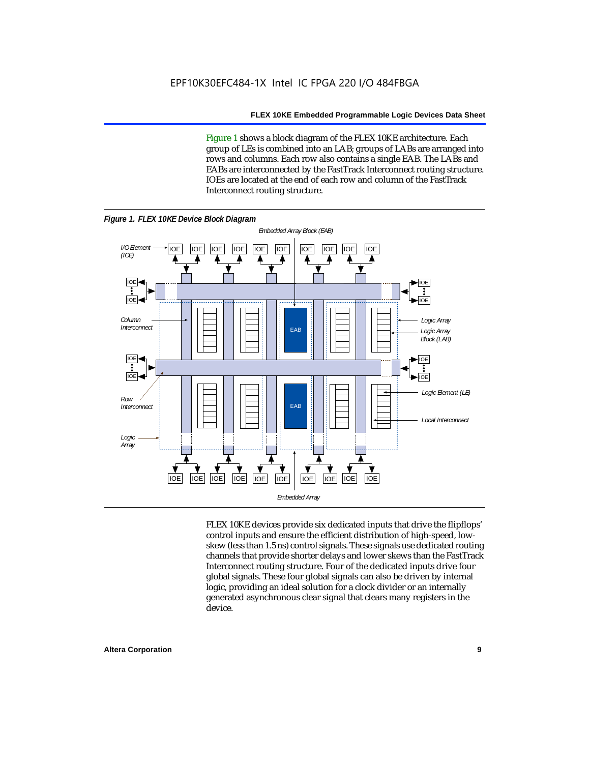Figure 1 shows a block diagram of the FLEX 10KE architecture. Each group of LEs is combined into an LAB; groups of LABs are arranged into rows and columns. Each row also contains a single EAB. The LABs and EABs are interconnected by the FastTrack Interconnect routing structure. IOEs are located at the end of each row and column of the FastTrack Interconnect routing structure.



FLEX 10KE devices provide six dedicated inputs that drive the flipflops' control inputs and ensure the efficient distribution of high-speed, lowskew (less than 1.5 ns) control signals. These signals use dedicated routing channels that provide shorter delays and lower skews than the FastTrack Interconnect routing structure. Four of the dedicated inputs drive four global signals. These four global signals can also be driven by internal logic, providing an ideal solution for a clock divider or an internally generated asynchronous clear signal that clears many registers in the device.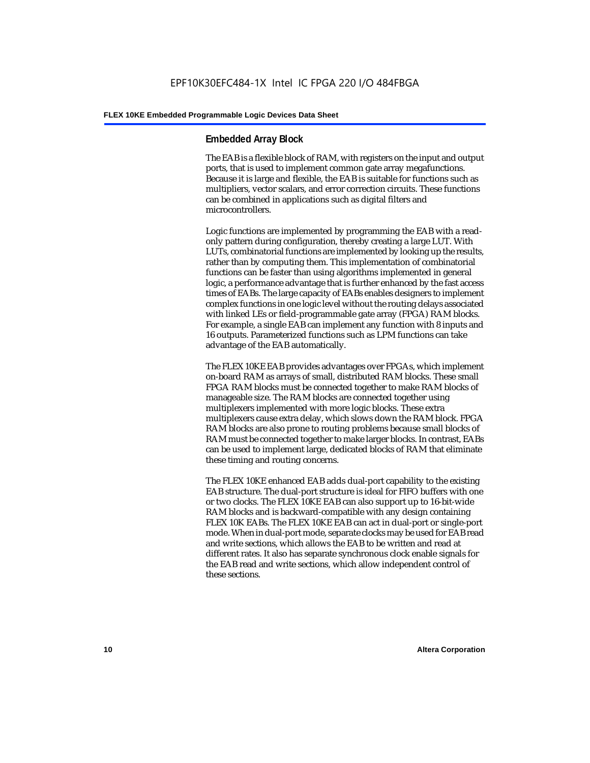#### **Embedded Array Block**

The EAB is a flexible block of RAM, with registers on the input and output ports, that is used to implement common gate array megafunctions. Because it is large and flexible, the EAB is suitable for functions such as multipliers, vector scalars, and error correction circuits. These functions can be combined in applications such as digital filters and microcontrollers.

Logic functions are implemented by programming the EAB with a readonly pattern during configuration, thereby creating a large LUT. With LUTs, combinatorial functions are implemented by looking up the results, rather than by computing them. This implementation of combinatorial functions can be faster than using algorithms implemented in general logic, a performance advantage that is further enhanced by the fast access times of EABs. The large capacity of EABs enables designers to implement complex functions in one logic level without the routing delays associated with linked LEs or field-programmable gate array (FPGA) RAM blocks. For example, a single EAB can implement any function with 8 inputs and 16 outputs. Parameterized functions such as LPM functions can take advantage of the EAB automatically.

The FLEX 10KE EAB provides advantages over FPGAs, which implement on-board RAM as arrays of small, distributed RAM blocks. These small FPGA RAM blocks must be connected together to make RAM blocks of manageable size. The RAM blocks are connected together using multiplexers implemented with more logic blocks. These extra multiplexers cause extra delay, which slows down the RAM block. FPGA RAM blocks are also prone to routing problems because small blocks of RAM must be connected together to make larger blocks. In contrast, EABs can be used to implement large, dedicated blocks of RAM that eliminate these timing and routing concerns.

The FLEX 10KE enhanced EAB adds dual-port capability to the existing EAB structure. The dual-port structure is ideal for FIFO buffers with one or two clocks. The FLEX 10KE EAB can also support up to 16-bit-wide RAM blocks and is backward-compatible with any design containing FLEX 10K EABs. The FLEX 10KE EAB can act in dual-port or single-port mode. When in dual-port mode, separate clocks may be used for EAB read and write sections, which allows the EAB to be written and read at different rates. It also has separate synchronous clock enable signals for the EAB read and write sections, which allow independent control of these sections.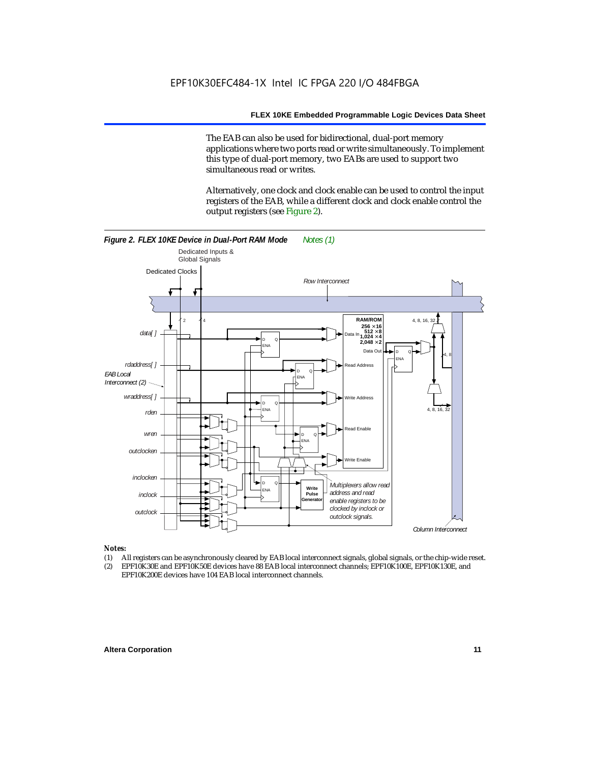The EAB can also be used for bidirectional, dual-port memory applications where two ports read or write simultaneously. To implement this type of dual-port memory, two EABs are used to support two simultaneous read or writes.

Alternatively, one clock and clock enable can be used to control the input registers of the EAB, while a different clock and clock enable control the output registers (see Figure 2).



#### *Notes:*

- (1) All registers can be asynchronously cleared by EAB local interconnect signals, global signals, or the chip-wide reset.
- (2) EPF10K30E and EPF10K50E devices have 88 EAB local interconnect channels; EPF10K100E, EPF10K130E, and EPF10K200E devices have 104 EAB local interconnect channels.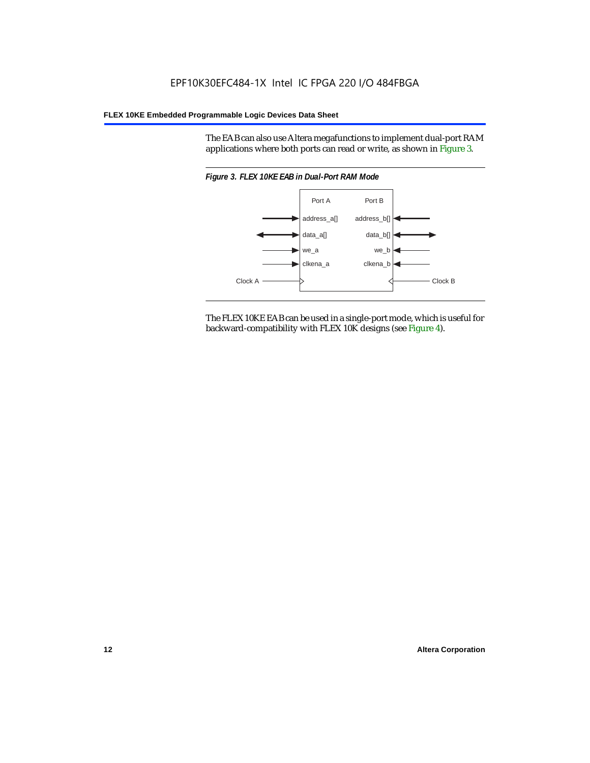The EAB can also use Altera megafunctions to implement dual-port RAM applications where both ports can read or write, as shown in Figure 3.



The FLEX 10KE EAB can be used in a single-port mode, which is useful for backward-compatibility with FLEX 10K designs (see Figure 4).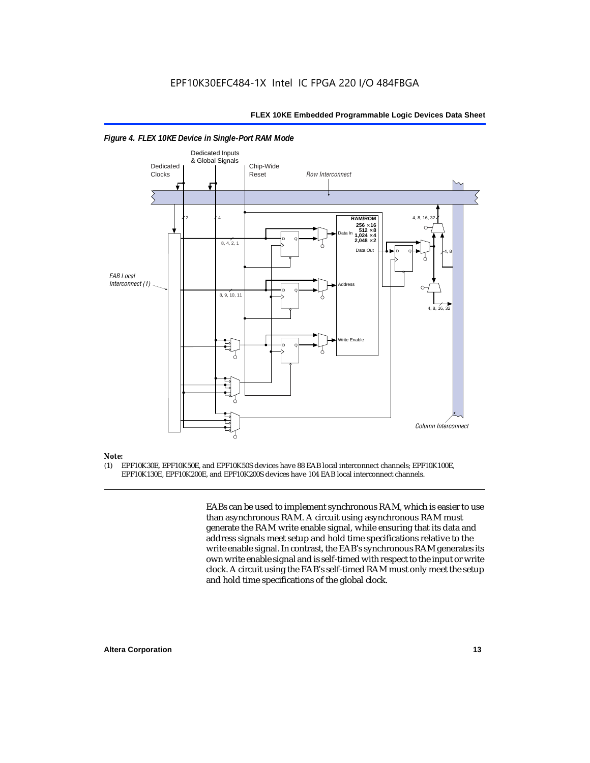

#### *Figure 4. FLEX 10KE Device in Single-Port RAM Mode*

### *Note:*<br>(1) **F**

(1) EPF10K30E, EPF10K50E, and EPF10K50S devices have 88 EAB local interconnect channels; EPF10K100E, EPF10K130E, EPF10K200E, and EPF10K200S devices have 104 EAB local interconnect channels.

> EABs can be used to implement synchronous RAM, which is easier to use than asynchronous RAM. A circuit using asynchronous RAM must generate the RAM write enable signal, while ensuring that its data and address signals meet setup and hold time specifications relative to the write enable signal. In contrast, the EAB's synchronous RAM generates its own write enable signal and is self-timed with respect to the input or write clock. A circuit using the EAB's self-timed RAM must only meet the setup and hold time specifications of the global clock.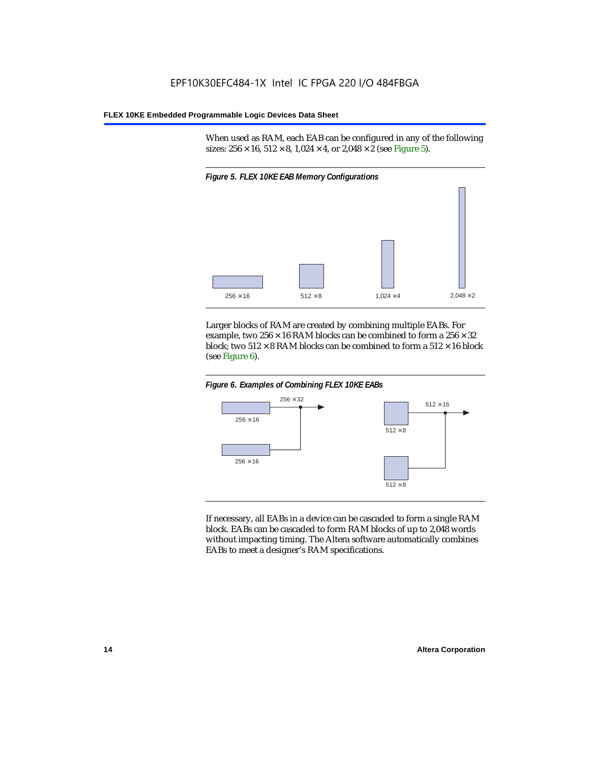When used as RAM, each EAB can be configured in any of the following sizes:  $256 \times 16$ ,  $512 \times 8$ ,  $1,024 \times 4$ , or  $2,048 \times 2$  (see Figure 5).



Larger blocks of RAM are created by combining multiple EABs. For example, two  $256 \times 16$  RAM blocks can be combined to form a  $256 \times 32$ block; two  $512 \times 8$  RAM blocks can be combined to form a  $512 \times 16$  block (see Figure 6).





If necessary, all EABs in a device can be cascaded to form a single RAM block. EABs can be cascaded to form RAM blocks of up to 2,048 words without impacting timing. The Altera software automatically combines EABs to meet a designer's RAM specifications.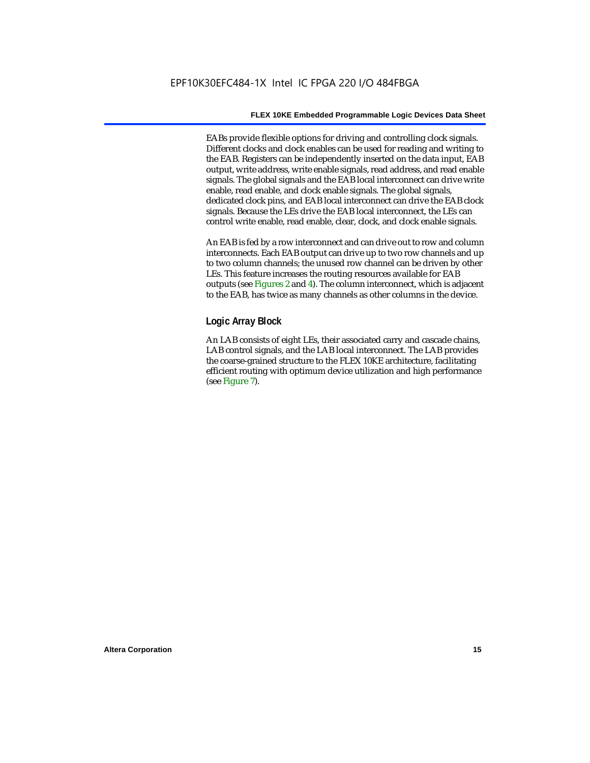EABs provide flexible options for driving and controlling clock signals. Different clocks and clock enables can be used for reading and writing to the EAB. Registers can be independently inserted on the data input, EAB output, write address, write enable signals, read address, and read enable signals. The global signals and the EAB local interconnect can drive write enable, read enable, and clock enable signals. The global signals, dedicated clock pins, and EAB local interconnect can drive the EAB clock signals. Because the LEs drive the EAB local interconnect, the LEs can control write enable, read enable, clear, clock, and clock enable signals.

An EAB is fed by a row interconnect and can drive out to row and column interconnects. Each EAB output can drive up to two row channels and up to two column channels; the unused row channel can be driven by other LEs. This feature increases the routing resources available for EAB outputs (see Figures 2 and 4). The column interconnect, which is adjacent to the EAB, has twice as many channels as other columns in the device.

#### **Logic Array Block**

An LAB consists of eight LEs, their associated carry and cascade chains, LAB control signals, and the LAB local interconnect. The LAB provides the coarse-grained structure to the FLEX 10KE architecture, facilitating efficient routing with optimum device utilization and high performance (see Figure 7).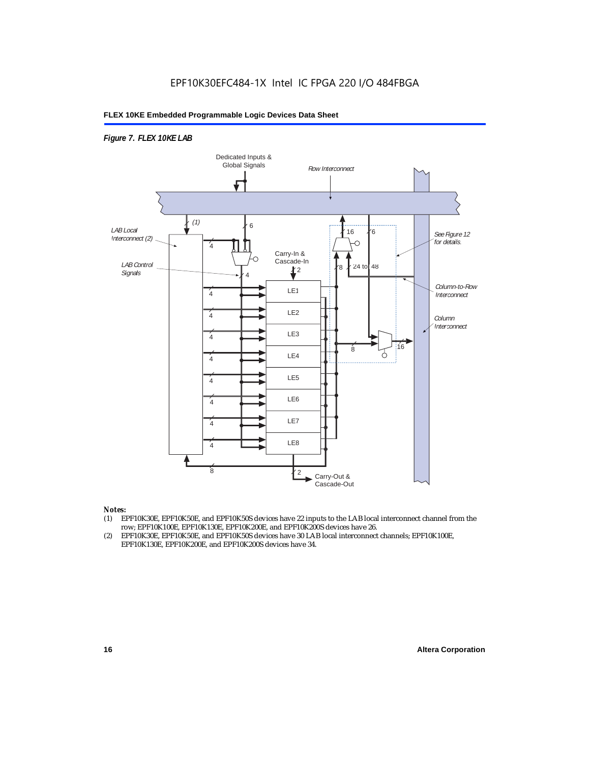#### *Figure 7. FLEX 10KE LAB*



#### *Notes:*

- (1) EPF10K30E, EPF10K50E, and EPF10K50S devices have 22 inputs to the LAB local interconnect channel from the row; EPF10K100E, EPF10K130E, EPF10K200E, and EPF10K200S devices have 26.
- (2) EPF10K30E, EPF10K50E, and EPF10K50S devices have 30 LAB local interconnect channels; EPF10K100E, EPF10K130E, EPF10K200E, and EPF10K200S devices have 34.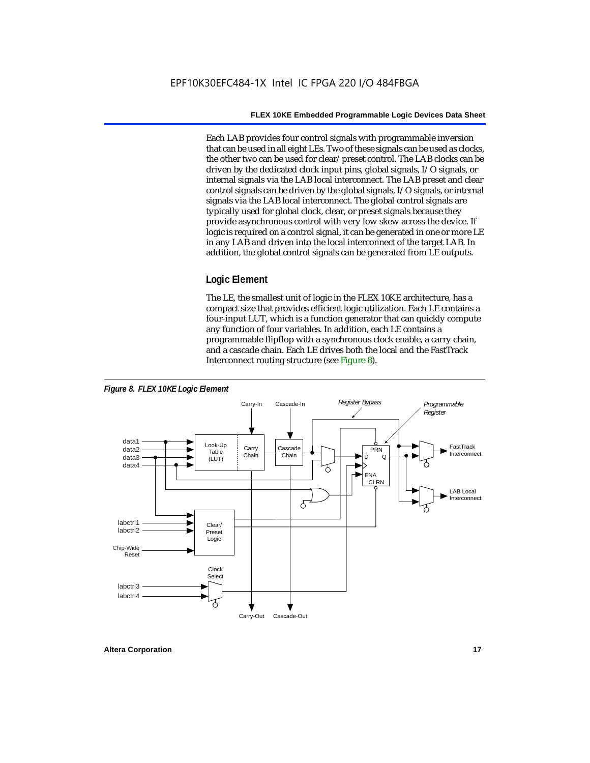Each LAB provides four control signals with programmable inversion that can be used in all eight LEs. Two of these signals can be used as clocks, the other two can be used for clear/preset control. The LAB clocks can be driven by the dedicated clock input pins, global signals, I/O signals, or internal signals via the LAB local interconnect. The LAB preset and clear control signals can be driven by the global signals, I/O signals, or internal signals via the LAB local interconnect. The global control signals are typically used for global clock, clear, or preset signals because they provide asynchronous control with very low skew across the device. If logic is required on a control signal, it can be generated in one or more LE in any LAB and driven into the local interconnect of the target LAB. In addition, the global control signals can be generated from LE outputs.

#### **Logic Element**

The LE, the smallest unit of logic in the FLEX 10KE architecture, has a compact size that provides efficient logic utilization. Each LE contains a four-input LUT, which is a function generator that can quickly compute any function of four variables. In addition, each LE contains a programmable flipflop with a synchronous clock enable, a carry chain, and a cascade chain. Each LE drives both the local and the FastTrack Interconnect routing structure (see Figure 8).

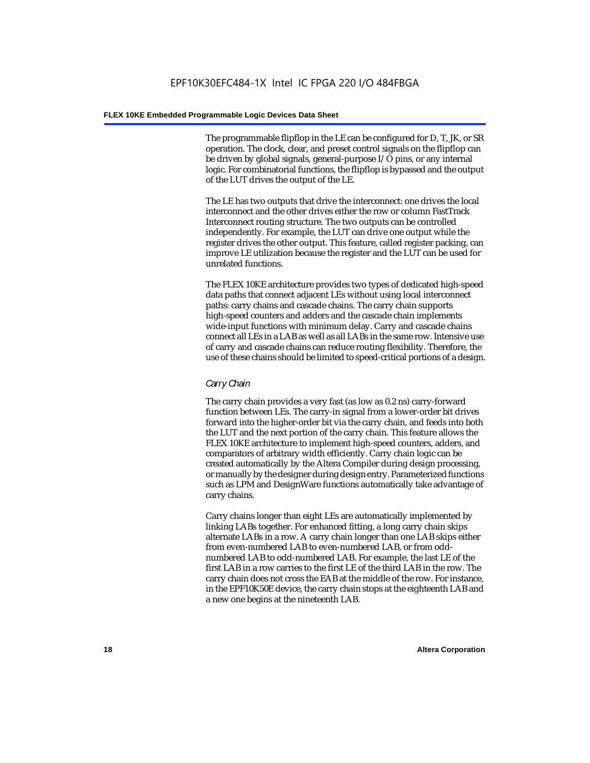The programmable flipflop in the LE can be configured for D, T, JK, or SR operation. The clock, clear, and preset control signals on the flipflop can be driven by global signals, general-purpose I/O pins, or any internal logic. For combinatorial functions, the flipflop is bypassed and the output of the LUT drives the output of the LE.

The LE has two outputs that drive the interconnect: one drives the local interconnect and the other drives either the row or column FastTrack Interconnect routing structure. The two outputs can be controlled independently. For example, the LUT can drive one output while the register drives the other output. This feature, called register packing, can improve LE utilization because the register and the LUT can be used for unrelated functions.

The FLEX 10KE architecture provides two types of dedicated high-speed data paths that connect adjacent LEs without using local interconnect paths: carry chains and cascade chains. The carry chain supports high-speed counters and adders and the cascade chain implements wide-input functions with minimum delay. Carry and cascade chains connect all LEs in a LAB as well as all LABs in the same row. Intensive use of carry and cascade chains can reduce routing flexibility. Therefore, the use of these chains should be limited to speed-critical portions of a design.

#### *Carry Chain*

The carry chain provides a very fast (as low as 0.2 ns) carry-forward function between LEs. The carry-in signal from a lower-order bit drives forward into the higher-order bit via the carry chain, and feeds into both the LUT and the next portion of the carry chain. This feature allows the FLEX 10KE architecture to implement high-speed counters, adders, and comparators of arbitrary width efficiently. Carry chain logic can be created automatically by the Altera Compiler during design processing, or manually by the designer during design entry. Parameterized functions such as LPM and DesignWare functions automatically take advantage of carry chains.

Carry chains longer than eight LEs are automatically implemented by linking LABs together. For enhanced fitting, a long carry chain skips alternate LABs in a row. A carry chain longer than one LAB skips either from even-numbered LAB to even-numbered LAB, or from oddnumbered LAB to odd-numbered LAB. For example, the last LE of the first LAB in a row carries to the first LE of the third LAB in the row. The carry chain does not cross the EAB at the middle of the row. For instance, in the EPF10K50E device, the carry chain stops at the eighteenth LAB and a new one begins at the nineteenth LAB.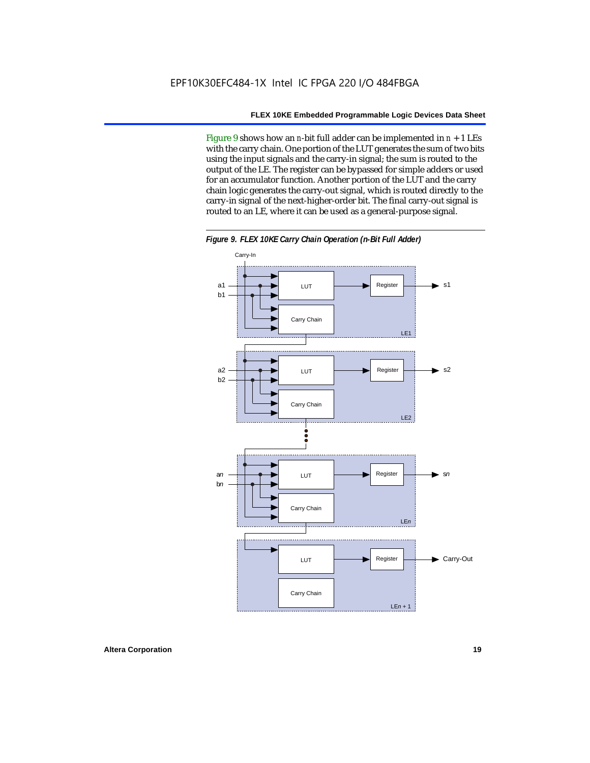Figure 9 shows how an *n*-bit full adder can be implemented in  $n + 1$  LEs with the carry chain. One portion of the LUT generates the sum of two bits using the input signals and the carry-in signal; the sum is routed to the output of the LE. The register can be bypassed for simple adders or used for an accumulator function. Another portion of the LUT and the carry chain logic generates the carry-out signal, which is routed directly to the carry-in signal of the next-higher-order bit. The final carry-out signal is routed to an LE, where it can be used as a general-purpose signal.



*Figure 9. FLEX 10KE Carry Chain Operation (n-Bit Full Adder)*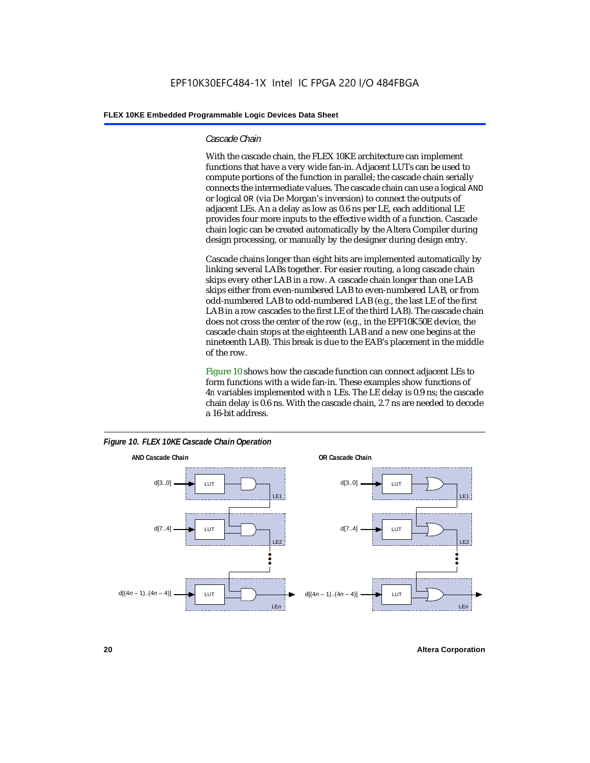#### *Cascade Chain*

With the cascade chain, the FLEX 10KE architecture can implement functions that have a very wide fan-in. Adjacent LUTs can be used to compute portions of the function in parallel; the cascade chain serially connects the intermediate values. The cascade chain can use a logical AND or logical OR (via De Morgan's inversion) to connect the outputs of adjacent LEs. An a delay as low as 0.6 ns per LE, each additional LE provides four more inputs to the effective width of a function. Cascade chain logic can be created automatically by the Altera Compiler during design processing, or manually by the designer during design entry.

Cascade chains longer than eight bits are implemented automatically by linking several LABs together. For easier routing, a long cascade chain skips every other LAB in a row. A cascade chain longer than one LAB skips either from even-numbered LAB to even-numbered LAB, or from odd-numbered LAB to odd-numbered LAB (e.g., the last LE of the first LAB in a row cascades to the first LE of the third LAB). The cascade chain does not cross the center of the row (e.g., in the EPF10K50E device, the cascade chain stops at the eighteenth LAB and a new one begins at the nineteenth LAB). This break is due to the EAB's placement in the middle of the row.

Figure 10 shows how the cascade function can connect adjacent LEs to form functions with a wide fan-in. These examples show functions of 4*n* variables implemented with *n* LEs. The LE delay is 0.9 ns; the cascade chain delay is 0.6 ns. With the cascade chain, 2.7 ns are needed to decode a 16-bit address.



*Figure 10. FLEX 10KE Cascade Chain Operation*

**20 Altera Corporation**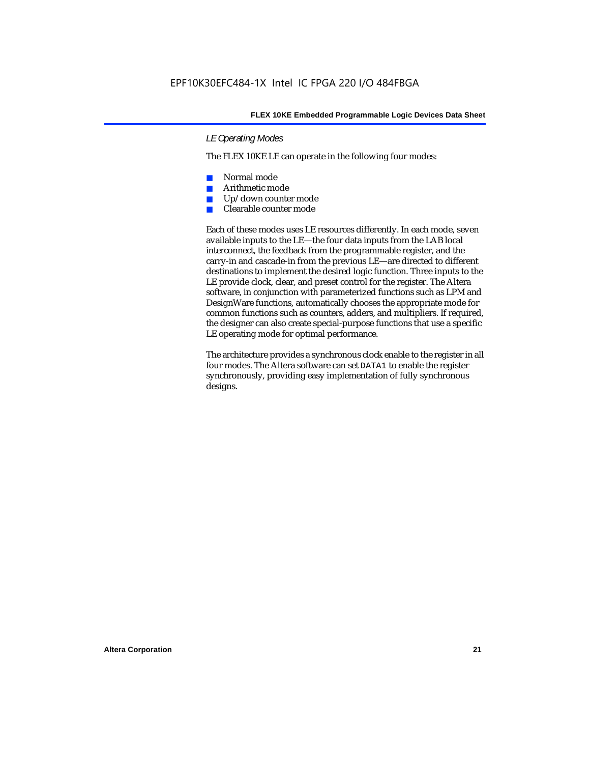#### *LE Operating Modes*

The FLEX 10KE LE can operate in the following four modes:

- Normal mode
- Arithmetic mode
- Up/down counter mode
- Clearable counter mode

Each of these modes uses LE resources differently. In each mode, seven available inputs to the LE—the four data inputs from the LAB local interconnect, the feedback from the programmable register, and the carry-in and cascade-in from the previous LE—are directed to different destinations to implement the desired logic function. Three inputs to the LE provide clock, clear, and preset control for the register. The Altera software, in conjunction with parameterized functions such as LPM and DesignWare functions, automatically chooses the appropriate mode for common functions such as counters, adders, and multipliers. If required, the designer can also create special-purpose functions that use a specific LE operating mode for optimal performance.

The architecture provides a synchronous clock enable to the register in all four modes. The Altera software can set DATA1 to enable the register synchronously, providing easy implementation of fully synchronous designs.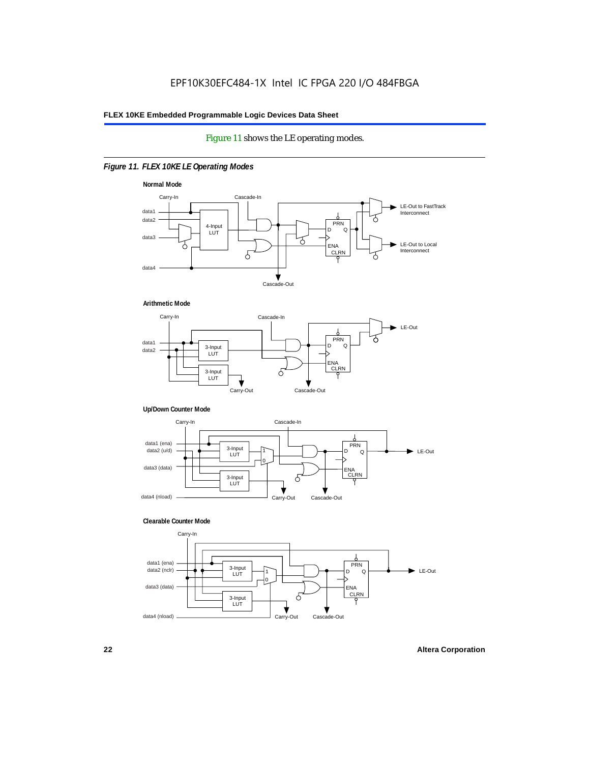#### Figure 11 shows the LE operating modes.

#### *Figure 11. FLEX 10KE LE Operating Modes*









#### **Clearable Counter Mode**

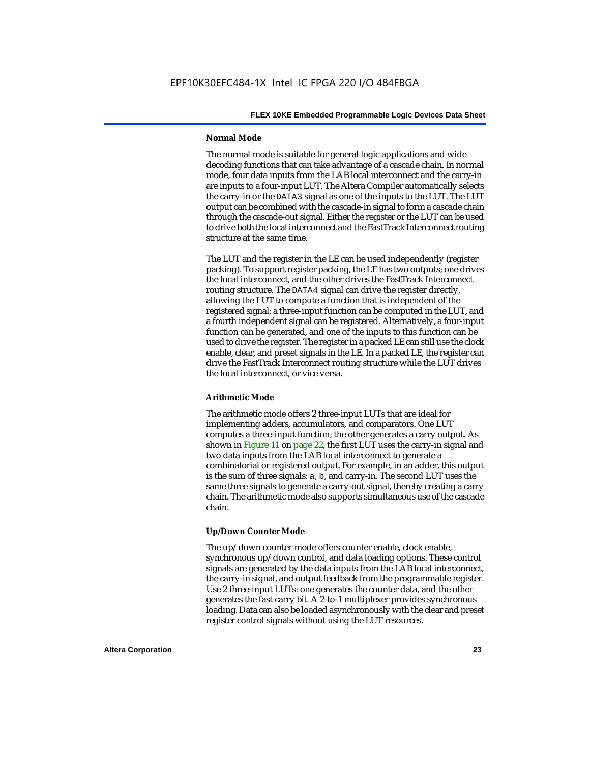#### **Normal Mode**

The normal mode is suitable for general logic applications and wide decoding functions that can take advantage of a cascade chain. In normal mode, four data inputs from the LAB local interconnect and the carry-in are inputs to a four-input LUT. The Altera Compiler automatically selects the carry-in or the DATA3 signal as one of the inputs to the LUT. The LUT output can be combined with the cascade-in signal to form a cascade chain through the cascade-out signal. Either the register or the LUT can be used to drive both the local interconnect and the FastTrack Interconnect routing structure at the same time.

The LUT and the register in the LE can be used independently (register packing). To support register packing, the LE has two outputs; one drives the local interconnect, and the other drives the FastTrack Interconnect routing structure. The DATA4 signal can drive the register directly, allowing the LUT to compute a function that is independent of the registered signal; a three-input function can be computed in the LUT, and a fourth independent signal can be registered. Alternatively, a four-input function can be generated, and one of the inputs to this function can be used to drive the register. The register in a packed LE can still use the clock enable, clear, and preset signals in the LE. In a packed LE, the register can drive the FastTrack Interconnect routing structure while the LUT drives the local interconnect, or vice versa.

#### **Arithmetic Mode**

The arithmetic mode offers 2 three-input LUTs that are ideal for implementing adders, accumulators, and comparators. One LUT computes a three-input function; the other generates a carry output. As shown in Figure 11 on page 22, the first LUT uses the carry-in signal and two data inputs from the LAB local interconnect to generate a combinatorial or registered output. For example, in an adder, this output is the sum of three signals: a, b, and carry-in. The second LUT uses the same three signals to generate a carry-out signal, thereby creating a carry chain. The arithmetic mode also supports simultaneous use of the cascade chain.

#### **Up/Down Counter Mode**

The up/down counter mode offers counter enable, clock enable, synchronous up/down control, and data loading options. These control signals are generated by the data inputs from the LAB local interconnect, the carry-in signal, and output feedback from the programmable register. Use 2 three-input LUTs: one generates the counter data, and the other generates the fast carry bit. A 2-to-1 multiplexer provides synchronous loading. Data can also be loaded asynchronously with the clear and preset register control signals without using the LUT resources.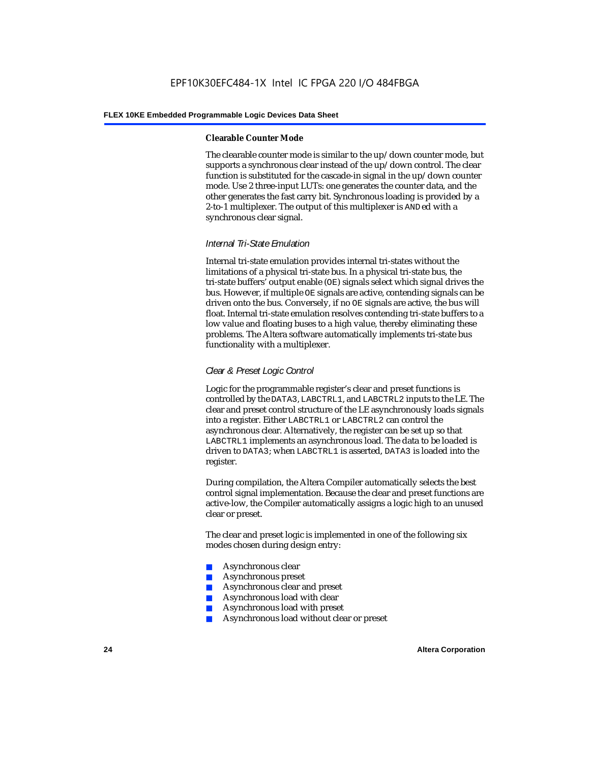#### **Clearable Counter Mode**

The clearable counter mode is similar to the up/down counter mode, but supports a synchronous clear instead of the up/down control. The clear function is substituted for the cascade-in signal in the up/down counter mode. Use 2 three-input LUTs: one generates the counter data, and the other generates the fast carry bit. Synchronous loading is provided by a 2-to-1 multiplexer. The output of this multiplexer is ANDed with a synchronous clear signal.

#### *Internal Tri-State Emulation*

Internal tri-state emulation provides internal tri-states without the limitations of a physical tri-state bus. In a physical tri-state bus, the tri-state buffers' output enable (OE) signals select which signal drives the bus. However, if multiple OE signals are active, contending signals can be driven onto the bus. Conversely, if no OE signals are active, the bus will float. Internal tri-state emulation resolves contending tri-state buffers to a low value and floating buses to a high value, thereby eliminating these problems. The Altera software automatically implements tri-state bus functionality with a multiplexer.

#### *Clear & Preset Logic Control*

Logic for the programmable register's clear and preset functions is controlled by the DATA3, LABCTRL1, and LABCTRL2 inputs to the LE. The clear and preset control structure of the LE asynchronously loads signals into a register. Either LABCTRL1 or LABCTRL2 can control the asynchronous clear. Alternatively, the register can be set up so that LABCTRL1 implements an asynchronous load. The data to be loaded is driven to DATA3; when LABCTRL1 is asserted, DATA3 is loaded into the register.

During compilation, the Altera Compiler automatically selects the best control signal implementation. Because the clear and preset functions are active-low, the Compiler automatically assigns a logic high to an unused clear or preset.

The clear and preset logic is implemented in one of the following six modes chosen during design entry:

- Asynchronous clear
- Asynchronous preset
- Asynchronous clear and preset
- Asynchronous load with clear
- Asynchronous load with preset
- Asynchronous load without clear or preset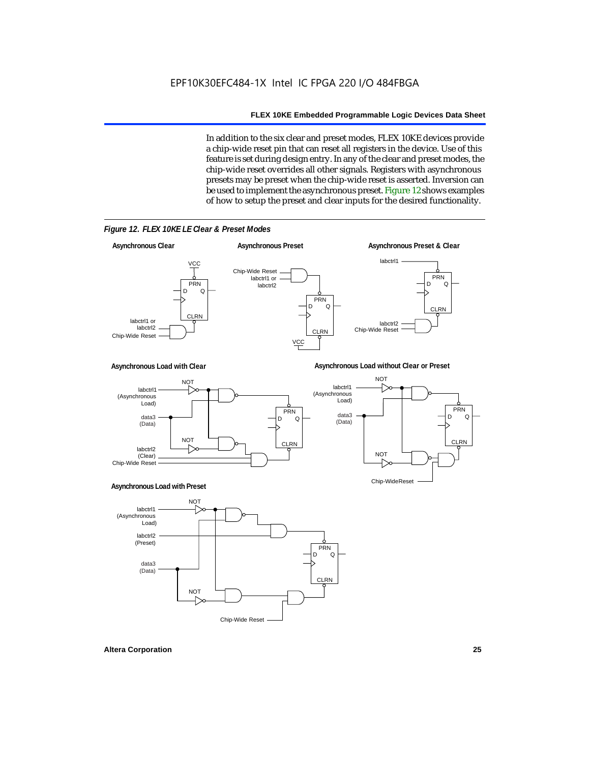In addition to the six clear and preset modes, FLEX 10KE devices provide a chip-wide reset pin that can reset all registers in the device. Use of this feature is set during design entry. In any of the clear and preset modes, the chip-wide reset overrides all other signals. Registers with asynchronous presets may be preset when the chip-wide reset is asserted. Inversion can be used to implement the asynchronous preset. Figure 12 shows examples of how to setup the preset and clear inputs for the desired functionality.



*Figure 12. FLEX 10KE LE Clear & Preset Modes*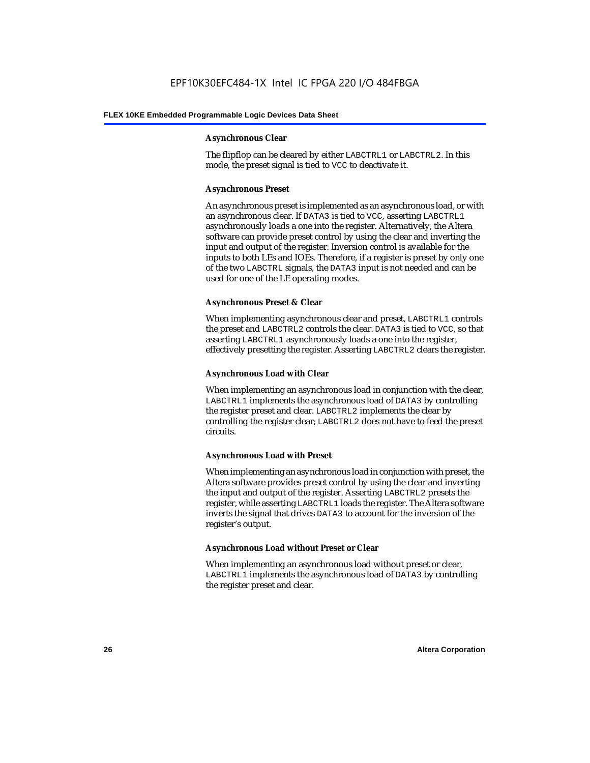#### **Asynchronous Clear**

The flipflop can be cleared by either LABCTRL1 or LABCTRL2. In this mode, the preset signal is tied to VCC to deactivate it.

#### **Asynchronous Preset**

An asynchronous preset is implemented as an asynchronous load, or with an asynchronous clear. If DATA3 is tied to VCC, asserting LABCTRL1 asynchronously loads a one into the register. Alternatively, the Altera software can provide preset control by using the clear and inverting the input and output of the register. Inversion control is available for the inputs to both LEs and IOEs. Therefore, if a register is preset by only one of the two LABCTRL signals, the DATA3 input is not needed and can be used for one of the LE operating modes.

#### **Asynchronous Preset & Clear**

When implementing asynchronous clear and preset, LABCTRL1 controls the preset and LABCTRL2 controls the clear. DATA3 is tied to VCC, so that asserting LABCTRL1 asynchronously loads a one into the register, effectively presetting the register. Asserting LABCTRL2 clears the register.

#### **Asynchronous Load with Clear**

When implementing an asynchronous load in conjunction with the clear, LABCTRL1 implements the asynchronous load of DATA3 by controlling the register preset and clear. LABCTRL2 implements the clear by controlling the register clear; LABCTRL2 does not have to feed the preset circuits.

#### **Asynchronous Load with Preset**

When implementing an asynchronous load in conjunction with preset, the Altera software provides preset control by using the clear and inverting the input and output of the register. Asserting LABCTRL2 presets the register, while asserting LABCTRL1 loads the register. The Altera software inverts the signal that drives DATA3 to account for the inversion of the register's output.

#### **Asynchronous Load without Preset or Clear**

When implementing an asynchronous load without preset or clear, LABCTRL1 implements the asynchronous load of DATA3 by controlling the register preset and clear.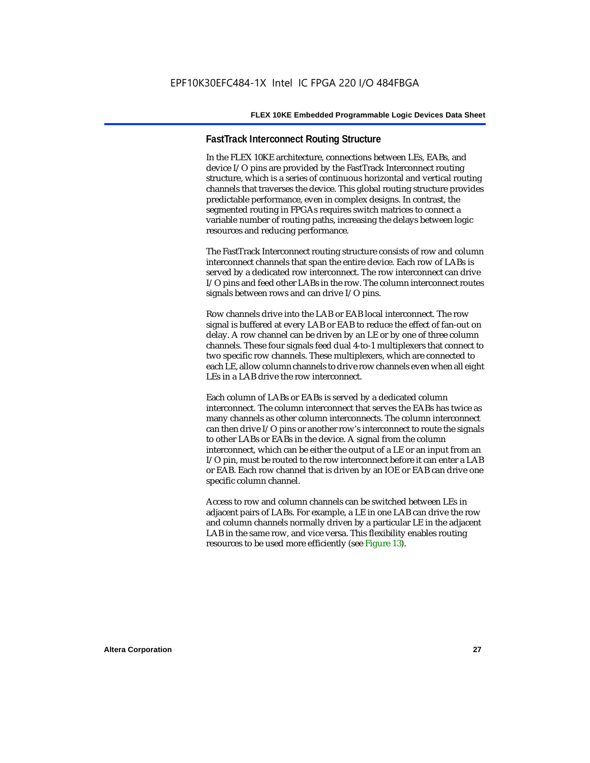#### **FastTrack Interconnect Routing Structure**

In the FLEX 10KE architecture, connections between LEs, EABs, and device I/O pins are provided by the FastTrack Interconnect routing structure, which is a series of continuous horizontal and vertical routing channels that traverses the device. This global routing structure provides predictable performance, even in complex designs. In contrast, the segmented routing in FPGAs requires switch matrices to connect a variable number of routing paths, increasing the delays between logic resources and reducing performance.

The FastTrack Interconnect routing structure consists of row and column interconnect channels that span the entire device. Each row of LABs is served by a dedicated row interconnect. The row interconnect can drive I/O pins and feed other LABs in the row. The column interconnect routes signals between rows and can drive I/O pins.

Row channels drive into the LAB or EAB local interconnect. The row signal is buffered at every LAB or EAB to reduce the effect of fan-out on delay. A row channel can be driven by an LE or by one of three column channels. These four signals feed dual 4-to-1 multiplexers that connect to two specific row channels. These multiplexers, which are connected to each LE, allow column channels to drive row channels even when all eight LEs in a LAB drive the row interconnect.

Each column of LABs or EABs is served by a dedicated column interconnect. The column interconnect that serves the EABs has twice as many channels as other column interconnects. The column interconnect can then drive I/O pins or another row's interconnect to route the signals to other LABs or EABs in the device. A signal from the column interconnect, which can be either the output of a LE or an input from an I/O pin, must be routed to the row interconnect before it can enter a LAB or EAB. Each row channel that is driven by an IOE or EAB can drive one specific column channel.

Access to row and column channels can be switched between LEs in adjacent pairs of LABs. For example, a LE in one LAB can drive the row and column channels normally driven by a particular LE in the adjacent LAB in the same row, and vice versa. This flexibility enables routing resources to be used more efficiently (see Figure 13).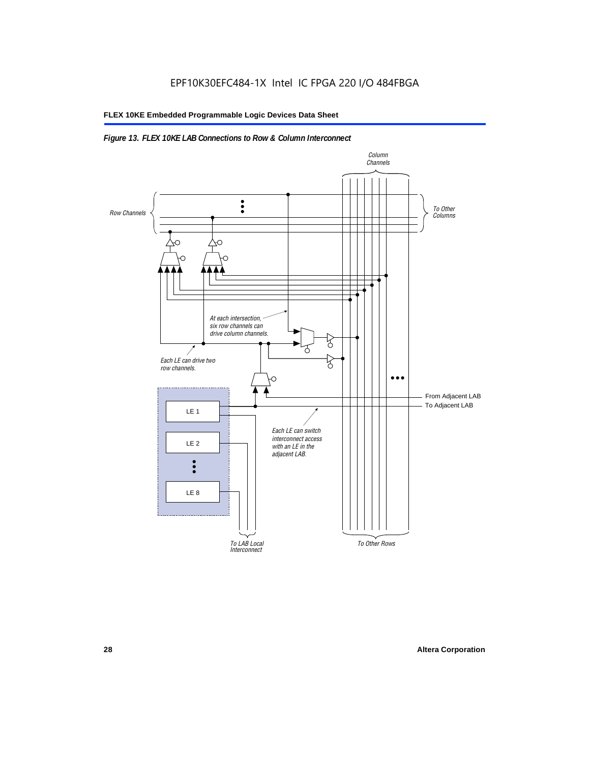#### *Figure 13. FLEX 10KE LAB Connections to Row & Column Interconnect*

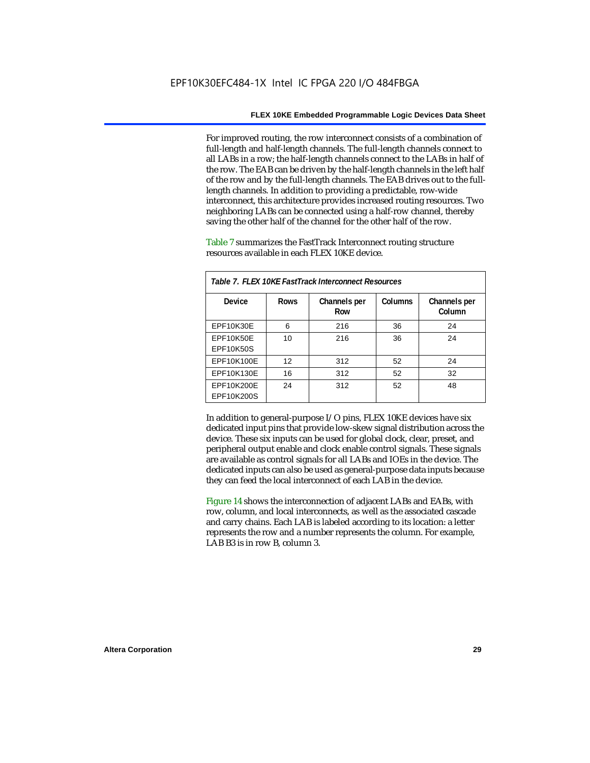For improved routing, the row interconnect consists of a combination of full-length and half-length channels. The full-length channels connect to all LABs in a row; the half-length channels connect to the LABs in half of the row. The EAB can be driven by the half-length channels in the left half of the row and by the full-length channels. The EAB drives out to the fulllength channels. In addition to providing a predictable, row-wide interconnect, this architecture provides increased routing resources. Two neighboring LABs can be connected using a half-row channel, thereby saving the other half of the channel for the other half of the row.

Table 7 summarizes the FastTrack Interconnect routing structure resources available in each FLEX 10KE device.

| Table 7. FLEX 10KE FastTrack Interconnect Resources |             |                     |         |                        |
|-----------------------------------------------------|-------------|---------------------|---------|------------------------|
| Device                                              | <b>Rows</b> | Channels per<br>Row | Columns | Channels per<br>Column |
| <b>EPF10K30E</b>                                    | 6           | 216                 | 36      | 24                     |
| EPF10K50E<br>EPF10K50S                              | 10          | 216                 | 36      | 24                     |
| EPF10K100E                                          | 12          | 312                 | 52      | 24                     |
| EPF10K130E                                          | 16          | 312                 | 52      | 32                     |
| EPF10K200E<br>EPF10K200S                            | 24          | 312                 | 52      | 48                     |

In addition to general-purpose I/O pins, FLEX 10KE devices have six dedicated input pins that provide low-skew signal distribution across the device. These six inputs can be used for global clock, clear, preset, and peripheral output enable and clock enable control signals. These signals are available as control signals for all LABs and IOEs in the device. The dedicated inputs can also be used as general-purpose data inputs because they can feed the local interconnect of each LAB in the device.

Figure 14 shows the interconnection of adjacent LABs and EABs, with row, column, and local interconnects, as well as the associated cascade and carry chains. Each LAB is labeled according to its location: a letter represents the row and a number represents the column. For example, LAB B3 is in row B, column 3.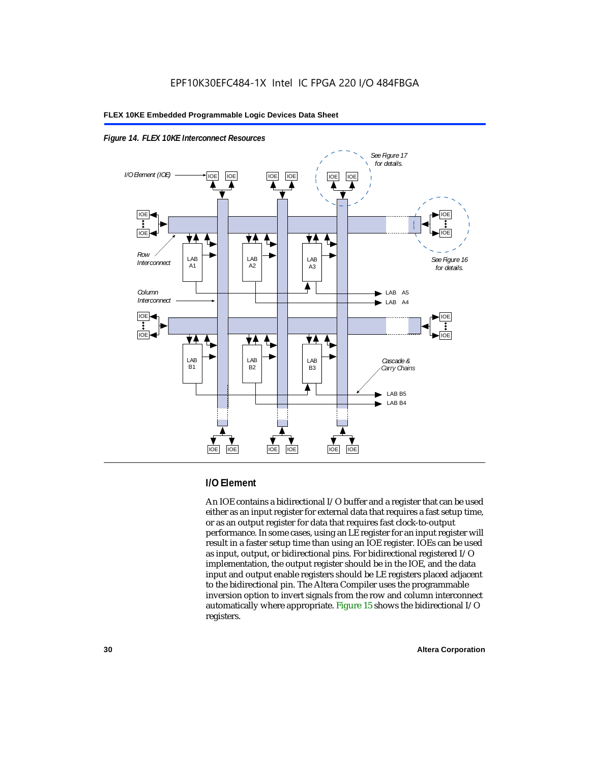



#### **I/O Element**

An IOE contains a bidirectional I/O buffer and a register that can be used either as an input register for external data that requires a fast setup time, or as an output register for data that requires fast clock-to-output performance. In some cases, using an LE register for an input register will result in a faster setup time than using an IOE register. IOEs can be used as input, output, or bidirectional pins. For bidirectional registered I/O implementation, the output register should be in the IOE, and the data input and output enable registers should be LE registers placed adjacent to the bidirectional pin. The Altera Compiler uses the programmable inversion option to invert signals from the row and column interconnect automatically where appropriate. Figure 15 shows the bidirectional I/O registers.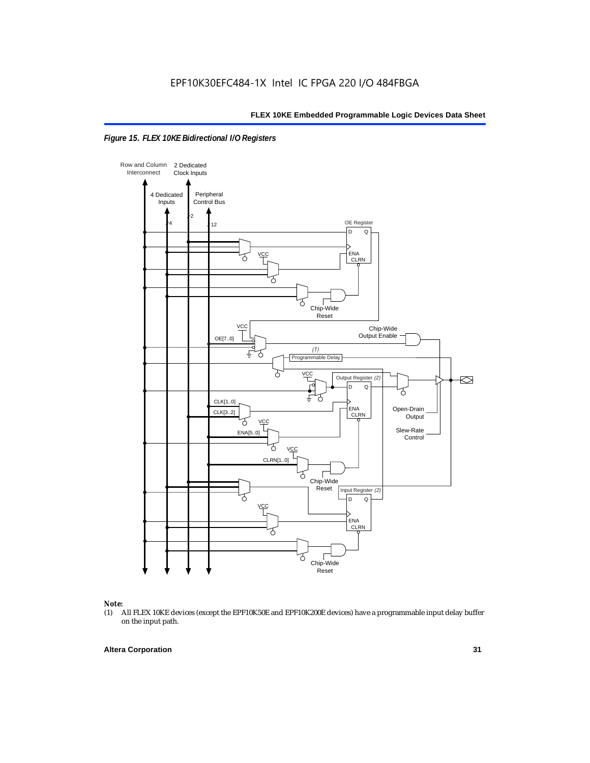



### *Note:*<br>(1) *A*

(1) All FLEX 10KE devices (except the EPF10K50E and EPF10K200E devices) have a programmable input delay buffer on the input path.

#### **Altera Corporation 31**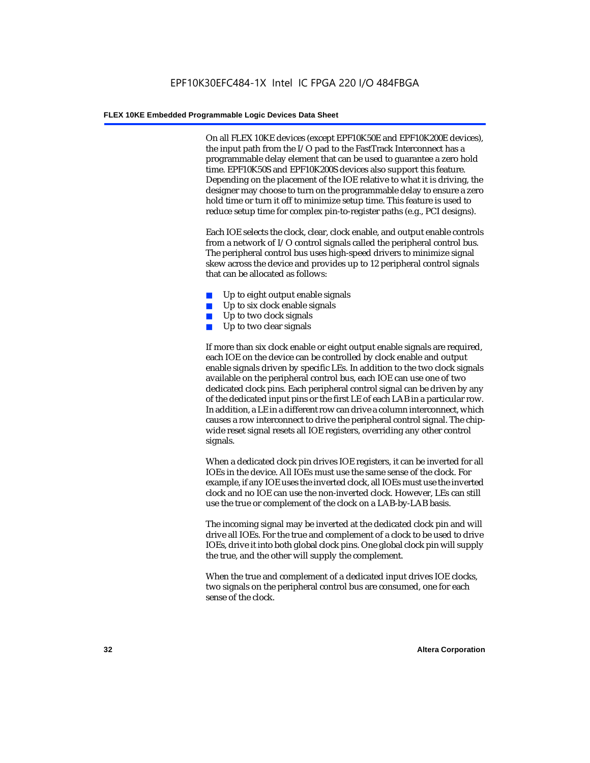On all FLEX 10KE devices (except EPF10K50E and EPF10K200E devices), the input path from the I/O pad to the FastTrack Interconnect has a programmable delay element that can be used to guarantee a zero hold time. EPF10K50S and EPF10K200S devices also support this feature. Depending on the placement of the IOE relative to what it is driving, the designer may choose to turn on the programmable delay to ensure a zero hold time or turn it off to minimize setup time. This feature is used to reduce setup time for complex pin-to-register paths (e.g., PCI designs).

Each IOE selects the clock, clear, clock enable, and output enable controls from a network of I/O control signals called the peripheral control bus. The peripheral control bus uses high-speed drivers to minimize signal skew across the device and provides up to 12 peripheral control signals that can be allocated as follows:

- Up to eight output enable signals
- Up to six clock enable signals
- Up to two clock signals
- Up to two clear signals

If more than six clock enable or eight output enable signals are required, each IOE on the device can be controlled by clock enable and output enable signals driven by specific LEs. In addition to the two clock signals available on the peripheral control bus, each IOE can use one of two dedicated clock pins. Each peripheral control signal can be driven by any of the dedicated input pins or the first LE of each LAB in a particular row. In addition, a LE in a different row can drive a column interconnect, which causes a row interconnect to drive the peripheral control signal. The chipwide reset signal resets all IOE registers, overriding any other control signals.

When a dedicated clock pin drives IOE registers, it can be inverted for all IOEs in the device. All IOEs must use the same sense of the clock. For example, if any IOE uses the inverted clock, all IOEs must use the inverted clock and no IOE can use the non-inverted clock. However, LEs can still use the true or complement of the clock on a LAB-by-LAB basis.

The incoming signal may be inverted at the dedicated clock pin and will drive all IOEs. For the true and complement of a clock to be used to drive IOEs, drive it into both global clock pins. One global clock pin will supply the true, and the other will supply the complement.

When the true and complement of a dedicated input drives IOE clocks, two signals on the peripheral control bus are consumed, one for each sense of the clock.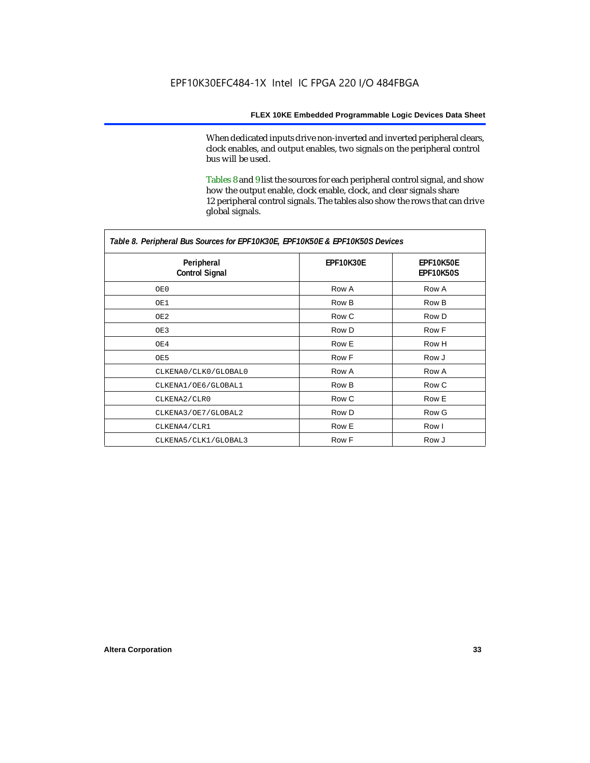When dedicated inputs drive non-inverted and inverted peripheral clears, clock enables, and output enables, two signals on the peripheral control bus will be used.

Tables 8 and 9 list the sources for each peripheral control signal, and show how the output enable, clock enable, clock, and clear signals share 12 peripheral control signals. The tables also show the rows that can drive global signals.

| Table 8. Peripheral Bus Sources for EPF10K30E, EPF10K50E & EPF10K50S Devices |                  |                               |  |  |
|------------------------------------------------------------------------------|------------------|-------------------------------|--|--|
| Peripheral<br><b>Control Signal</b>                                          | <b>EPF10K30E</b> | EPF10K50E<br><b>EPF10K50S</b> |  |  |
| OE0                                                                          | Row A            | Row A                         |  |  |
| OE1                                                                          | Row B            | Row B                         |  |  |
| OE2                                                                          | Row C            | Row D                         |  |  |
| OE3                                                                          | Row D            | Row F                         |  |  |
| OE4                                                                          | Row E            | Row H                         |  |  |
| OE5                                                                          | Row F            | Row J                         |  |  |
| CLKENA0/CLK0/GLOBAL0                                                         | Row A            | Row A                         |  |  |
| CLKENA1/OE6/GLOBAL1                                                          | Row B            | Row C                         |  |  |
| CLKENA2/CLR0                                                                 | Row C            | Row E                         |  |  |
| CLKENA3/OE7/GLOBAL2                                                          | Row D            | Row G                         |  |  |
| CLKENA4/CLR1                                                                 | Row E            | Row I                         |  |  |
| CLKENA5/CLK1/GLOBAL3                                                         | Row F            | Row J                         |  |  |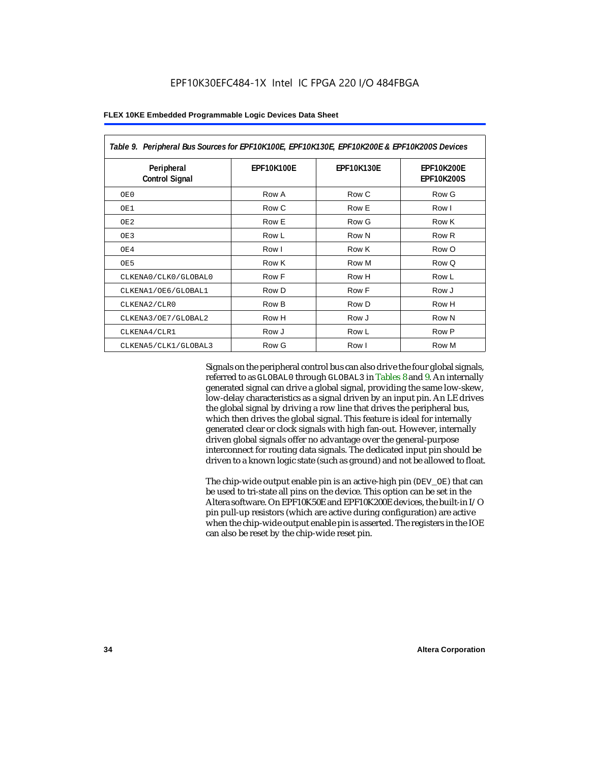| Table 9. Peripheral Bus Sources for EPF10K100E, EPF10K130E, EPF10K200E & EPF10K200S Devices |                   |                   |                                        |  |  |
|---------------------------------------------------------------------------------------------|-------------------|-------------------|----------------------------------------|--|--|
| Peripheral<br><b>Control Signal</b>                                                         | <b>EPF10K100E</b> | <b>EPF10K130E</b> | <b>EPF10K200E</b><br><b>EPF10K200S</b> |  |  |
| OE0                                                                                         | Row A             | Row C             | Row G                                  |  |  |
| OE1                                                                                         | Row C             | Row E             | Row I                                  |  |  |
| OE <sub>2</sub>                                                                             | Row E             | Row G             | Row K                                  |  |  |
| OE3                                                                                         | Row L             | Row N             | Row R                                  |  |  |
| OE4                                                                                         | Row I             | Row K             | Row O                                  |  |  |
| OE5                                                                                         | Row K             | Row M             | Row Q                                  |  |  |
| CLKENA0/CLK0/GLOBAL0                                                                        | Row F             | Row H             | Row L                                  |  |  |
| CLKENA1/OE6/GLOBAL1                                                                         | Row D             | Row F             | Row J                                  |  |  |
| CLKENA2/CLR0                                                                                | Row B             | Row D             | Row H                                  |  |  |
| CLKENA3/OE7/GLOBAL2                                                                         | Row H             | Row J             | Row N                                  |  |  |
| CLKENA4/CLR1                                                                                | Row J             | Row L             | Row P                                  |  |  |
| CLKENA5/CLK1/GLOBAL3                                                                        | Row G             | Row I             | Row M                                  |  |  |

Signals on the peripheral control bus can also drive the four global signals, referred to as GLOBAL0 through GLOBAL3 in Tables 8 and 9. An internally generated signal can drive a global signal, providing the same low-skew, low-delay characteristics as a signal driven by an input pin. An LE drives the global signal by driving a row line that drives the peripheral bus, which then drives the global signal. This feature is ideal for internally generated clear or clock signals with high fan-out. However, internally driven global signals offer no advantage over the general-purpose interconnect for routing data signals. The dedicated input pin should be driven to a known logic state (such as ground) and not be allowed to float.

The chip-wide output enable pin is an active-high pin (DEV\_OE) that can be used to tri-state all pins on the device. This option can be set in the Altera software. On EPF10K50E and EPF10K200E devices, the built-in I/O pin pull-up resistors (which are active during configuration) are active when the chip-wide output enable pin is asserted. The registers in the IOE can also be reset by the chip-wide reset pin.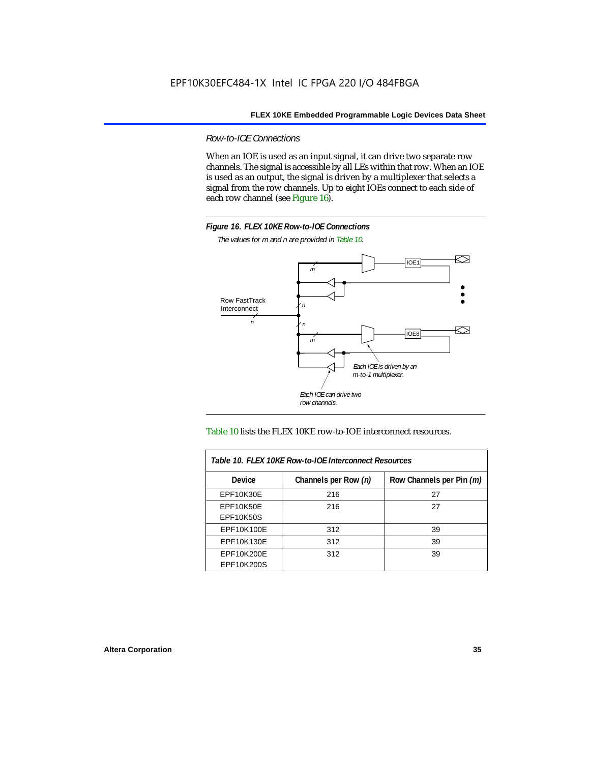*Row-to-IOE Connections*

When an IOE is used as an input signal, it can drive two separate row channels. The signal is accessible by all LEs within that row. When an IOE is used as an output, the signal is driven by a multiplexer that selects a signal from the row channels. Up to eight IOEs connect to each side of each row channel (see Figure 16).



*The values for m and n are provided in Table 10.*





| Table 10. FLEX 10KE Row-to-IOE Interconnect Resources |                      |                          |  |  |  |
|-------------------------------------------------------|----------------------|--------------------------|--|--|--|
| Device                                                | Channels per Row (n) | Row Channels per Pin (m) |  |  |  |
| EPF10K30E                                             | 216                  | 27                       |  |  |  |
| EPF10K50E<br><b>EPF10K50S</b>                         | 216                  | 27                       |  |  |  |
| EPF10K100E                                            | 312                  | 39                       |  |  |  |
| EPF10K130E                                            | 312                  | 39                       |  |  |  |
| EPF10K200E<br>EPF10K200S                              | 312                  | 39                       |  |  |  |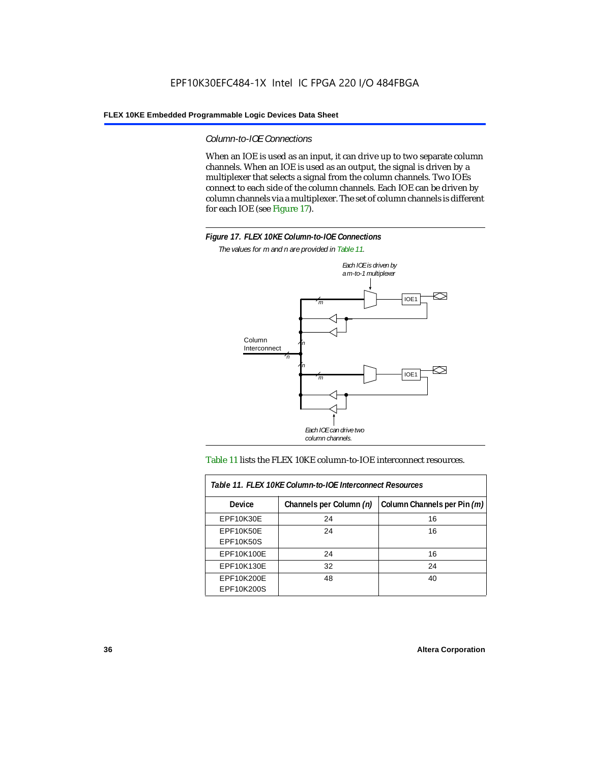#### *Column-to-IOE Connections*

When an IOE is used as an input, it can drive up to two separate column channels. When an IOE is used as an output, the signal is driven by a multiplexer that selects a signal from the column channels. Two IOEs connect to each side of the column channels. Each IOE can be driven by column channels via a multiplexer. The set of column channels is different for each IOE (see Figure 17).



*The values for m and n are provided in Table 11.*



#### Table 11 lists the FLEX 10KE column-to-IOE interconnect resources.

| Table 11. FLEX 10KE Column-to-IOE Interconnect Resources |                         |                             |  |  |  |
|----------------------------------------------------------|-------------------------|-----------------------------|--|--|--|
| <b>Device</b>                                            | Channels per Column (n) | Column Channels per Pin (m) |  |  |  |
| EPF10K30E                                                | 24                      | 16                          |  |  |  |
| <b>EPF10K50E</b><br><b>EPF10K50S</b>                     | 24                      | 16                          |  |  |  |
| EPF10K100E                                               | 24                      | 16                          |  |  |  |
| EPF10K130E                                               | 32                      | 24                          |  |  |  |
| EPF10K200E<br>EPF10K200S                                 | 48                      | 40                          |  |  |  |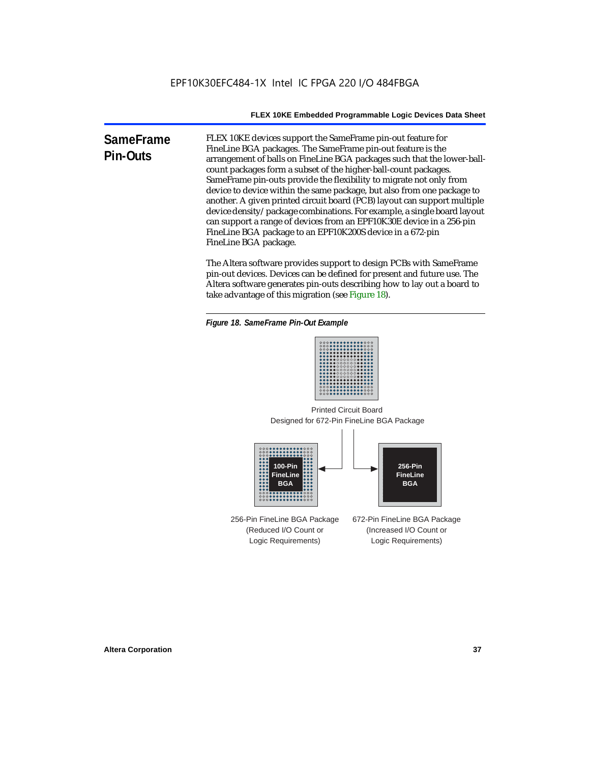**SameFrame Pin-Outs** FLEX 10KE devices support the SameFrame pin-out feature for FineLine BGA packages. The SameFrame pin-out feature is the arrangement of balls on FineLine BGA packages such that the lower-ballcount packages form a subset of the higher-ball-count packages. SameFrame pin-outs provide the flexibility to migrate not only from device to device within the same package, but also from one package to another. A given printed circuit board (PCB) layout can support multiple device density/package combinations. For example, a single board layout can support a range of devices from an EPF10K30E device in a 256-pin FineLine BGA package to an EPF10K200S device in a 672-pin FineLine BGA package.

> The Altera software provides support to design PCBs with SameFrame pin-out devices. Devices can be defined for present and future use. The Altera software generates pin-outs describing how to lay out a board to take advantage of this migration (see Figure 18).





Designed for 672-Pin FineLine BGA Package Printed Circuit Board



256-Pin FineLine BGA Package (Reduced I/O Count or Logic Requirements) 672-Pin FineLine BGA Package (Increased I/O Count or Logic Requirements)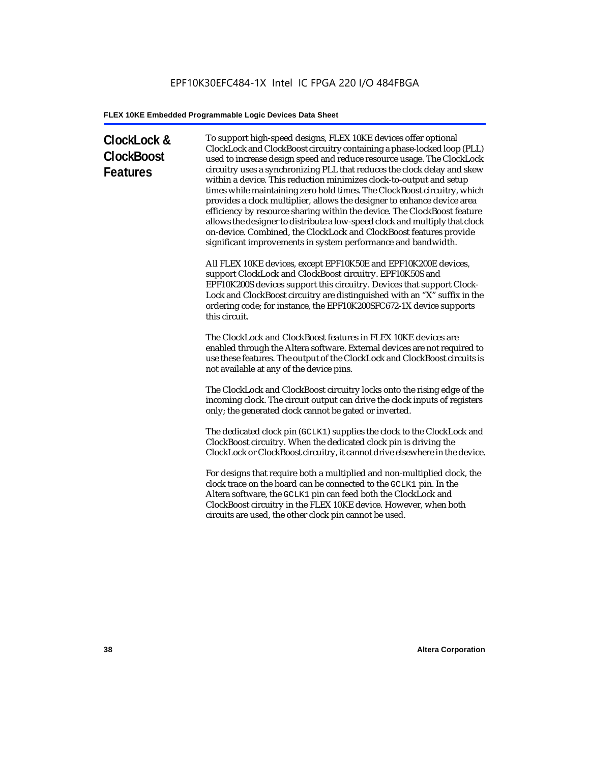# **ClockLock & ClockBoost Features**

To support high-speed designs, FLEX 10KE devices offer optional ClockLock and ClockBoost circuitry containing a phase-locked loop (PLL) used to increase design speed and reduce resource usage. The ClockLock circuitry uses a synchronizing PLL that reduces the clock delay and skew within a device. This reduction minimizes clock-to-output and setup times while maintaining zero hold times. The ClockBoost circuitry, which provides a clock multiplier, allows the designer to enhance device area efficiency by resource sharing within the device. The ClockBoost feature allows the designer to distribute a low-speed clock and multiply that clock on-device. Combined, the ClockLock and ClockBoost features provide significant improvements in system performance and bandwidth.

All FLEX 10KE devices, except EPF10K50E and EPF10K200E devices, support ClockLock and ClockBoost circuitry. EPF10K50S and EPF10K200S devices support this circuitry. Devices that support Clock-Lock and ClockBoost circuitry are distinguished with an "X" suffix in the ordering code; for instance, the EPF10K200SFC672-1X device supports this circuit.

The ClockLock and ClockBoost features in FLEX 10KE devices are enabled through the Altera software. External devices are not required to use these features. The output of the ClockLock and ClockBoost circuits is not available at any of the device pins.

The ClockLock and ClockBoost circuitry locks onto the rising edge of the incoming clock. The circuit output can drive the clock inputs of registers only; the generated clock cannot be gated or inverted.

The dedicated clock pin (GCLK1) supplies the clock to the ClockLock and ClockBoost circuitry. When the dedicated clock pin is driving the ClockLock or ClockBoost circuitry, it cannot drive elsewhere in the device.

For designs that require both a multiplied and non-multiplied clock, the clock trace on the board can be connected to the GCLK1 pin. In the Altera software, the GCLK1 pin can feed both the ClockLock and ClockBoost circuitry in the FLEX 10KE device. However, when both circuits are used, the other clock pin cannot be used.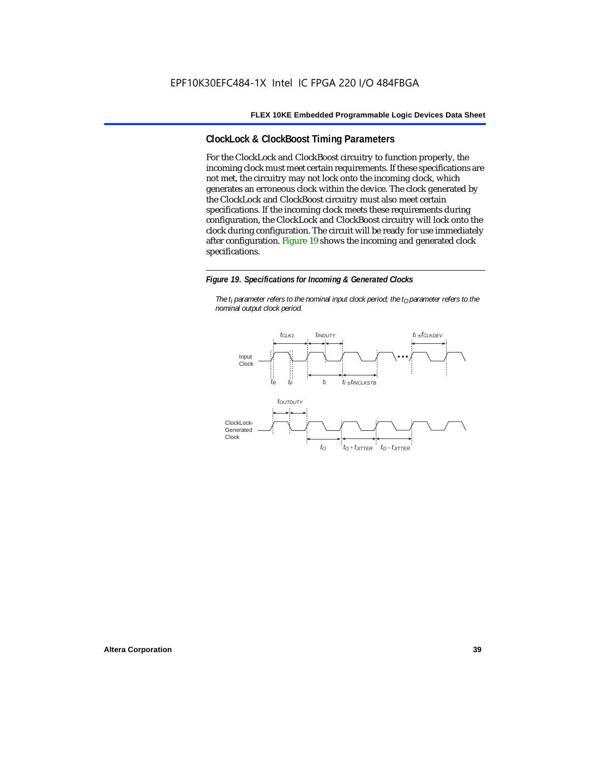## **ClockLock & ClockBoost Timing Parameters**

For the ClockLock and ClockBoost circuitry to function properly, the incoming clock must meet certain requirements. If these specifications are not met, the circuitry may not lock onto the incoming clock, which generates an erroneous clock within the device. The clock generated by the ClockLock and ClockBoost circuitry must also meet certain specifications. If the incoming clock meets these requirements during configuration, the ClockLock and ClockBoost circuitry will lock onto the clock during configuration. The circuit will be ready for use immediately after configuration. Figure 19 shows the incoming and generated clock specifications.

#### *Figure 19. Specifications for Incoming & Generated Clocks*

*The t<sub>I</sub> parameter refers to the nominal input clock period; the t<sub>0</sub> parameter refers to the nominal output clock period.*

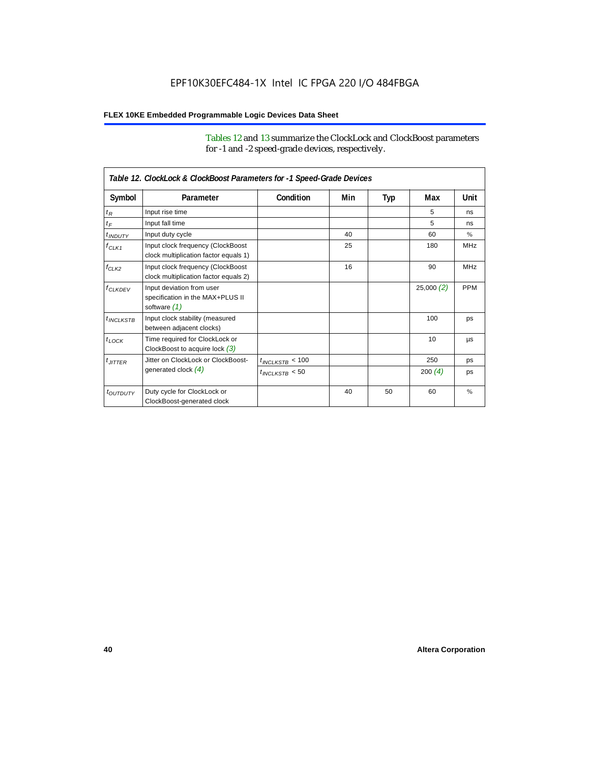Tables 12 and 13 summarize the ClockLock and ClockBoost parameters for -1 and -2 speed-grade devices, respectively.

| Table 12. ClockLock & ClockBoost Parameters for -1 Speed-Grade Devices |                                                                               |                      |     |     |           |            |
|------------------------------------------------------------------------|-------------------------------------------------------------------------------|----------------------|-----|-----|-----------|------------|
| Symbol                                                                 | Parameter                                                                     | Condition            | Min | Typ | Max       | Unit       |
| $t_R$                                                                  | Input rise time                                                               |                      |     |     | 5         | ns         |
| $t_F$                                                                  | Input fall time                                                               |                      |     |     | 5         | ns         |
| $t$ <sub>INDUTY</sub>                                                  | Input duty cycle                                                              |                      | 40  |     | 60        | $\%$       |
| $f_{CLK1}$                                                             | Input clock frequency (ClockBoost<br>clock multiplication factor equals 1)    |                      | 25  |     | 180       | <b>MHz</b> |
| $f_{CLK2}$                                                             | Input clock frequency (ClockBoost<br>clock multiplication factor equals 2)    |                      | 16  |     | 90        | <b>MHz</b> |
| $f_{CLKDFV}$                                                           | Input deviation from user<br>specification in the MAX+PLUS II<br>software (1) |                      |     |     | 25,000(2) | <b>PPM</b> |
| $t_{INCIKSTB}$                                                         | Input clock stability (measured<br>between adjacent clocks)                   |                      |     |     | 100       | ps         |
| $t_{LOCK}$                                                             | Time required for ClockLock or<br>ClockBoost to acquire lock $(3)$            |                      |     |     | 10        | <b>US</b>  |
| $t_{JITTER}$                                                           | Jitter on ClockLock or ClockBoost-                                            | $t_{INCLKSTB} < 100$ |     |     | 250       | ps         |
|                                                                        | generated clock $(4)$                                                         | $t_{INCLEKSTB}$ < 50 |     |     | 200 $(4)$ | ps         |
| <i>t<sub>OUTDUTY</sub></i>                                             | Duty cycle for ClockLock or<br>ClockBoost-generated clock                     |                      | 40  | 50  | 60        | %          |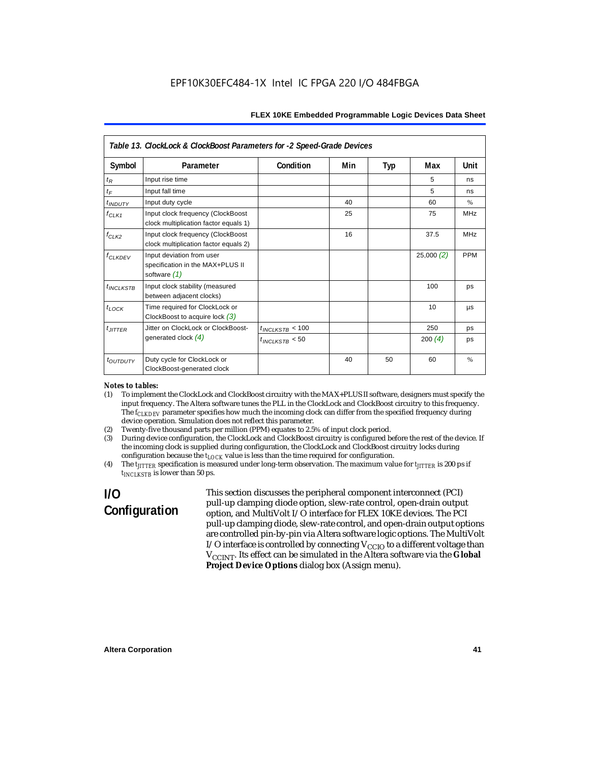| Table 13. ClockLock & ClockBoost Parameters for -2 Speed-Grade Devices |                                                                                 |                      |     |     |           |            |  |
|------------------------------------------------------------------------|---------------------------------------------------------------------------------|----------------------|-----|-----|-----------|------------|--|
| Symbol                                                                 | Parameter                                                                       | Condition            | Min | Typ | Max       | Unit       |  |
| $t_{R}$                                                                | Input rise time                                                                 |                      |     |     | 5         | ns         |  |
| $t_F$                                                                  | Input fall time                                                                 |                      |     |     | 5         | ns         |  |
| $t$ <sub>INDUTY</sub>                                                  | Input duty cycle                                                                |                      | 40  |     | 60        | $\%$       |  |
| $f_{CLK1}$                                                             | Input clock frequency (ClockBoost<br>clock multiplication factor equals 1)      |                      | 25  |     | 75        | <b>MHz</b> |  |
| $f_{CLK2}$                                                             | Input clock frequency (ClockBoost<br>clock multiplication factor equals 2)      |                      | 16  |     | 37.5      | <b>MHz</b> |  |
| $f_{\ensuremath{\text{CLKDFV}}}$                                       | Input deviation from user<br>specification in the MAX+PLUS II<br>software $(1)$ |                      |     |     | 25,000(2) | <b>PPM</b> |  |
| $t_{INCLKSTB}$                                                         | Input clock stability (measured<br>between adjacent clocks)                     |                      |     |     | 100       | ps         |  |
| $t_{LOCK}$                                                             | Time required for ClockLock or<br>ClockBoost to acquire lock $(3)$              |                      |     |     | 10        | μs         |  |
| $t_{JITTER}$                                                           | Jitter on ClockLock or ClockBoost-                                              | $t_{INCLKSTB}$ < 100 |     |     | 250       | ps         |  |
|                                                                        | generated clock $(4)$                                                           | $t_{INCLKSTB}$ < 50  |     |     | 200 $(4)$ | ps         |  |
| t <sub>OUTDUTY</sub>                                                   | Duty cycle for ClockLock or<br>ClockBoost-generated clock                       |                      | 40  | 50  | 60        | %          |  |

#### *Notes to tables:*

- (1) To implement the ClockLock and ClockBoost circuitry with the MAX+PLUS II software, designers must specify the input frequency. The Altera software tunes the PLL in the ClockLock and ClockBoost circuitry to this frequency. The *f<sub>CLKDEV</sub>* parameter specifies how much the incoming clock can differ from the specified frequency during device operation. Simulation does not reflect this parameter.
- (2) Twenty-five thousand parts per million (PPM) equates to 2.5% of input clock period.<br>(3) During device configuration, the ClockLock and ClockBoost circuitry is configured b
- (3) During device configuration, the ClockLock and ClockBoost circuitry is configured before the rest of the device. If the incoming clock is supplied during configuration, the ClockLock and ClockBoost circuitry locks during configuration because the  $t_{LOCK}$  value is less than the time required for configuration.
- (4) The *tJITTER* specification is measured under long-term observation. The maximum value for *tJITTER* is 200 ps if  $t_{INCI KSTB}$  is lower than 50 ps.

# **I/O Configuration**

This section discusses the peripheral component interconnect (PCI) pull-up clamping diode option, slew-rate control, open-drain output option, and MultiVolt I/O interface for FLEX 10KE devices. The PCI pull-up clamping diode, slew-rate control, and open-drain output options are controlled pin-by-pin via Altera software logic options. The MultiVolt I/O interface is controlled by connecting  $V_{CCIO}$  to a different voltage than V<sub>CCINT</sub>. Its effect can be simulated in the Altera software via the Global **Project Device Options** dialog box (Assign menu).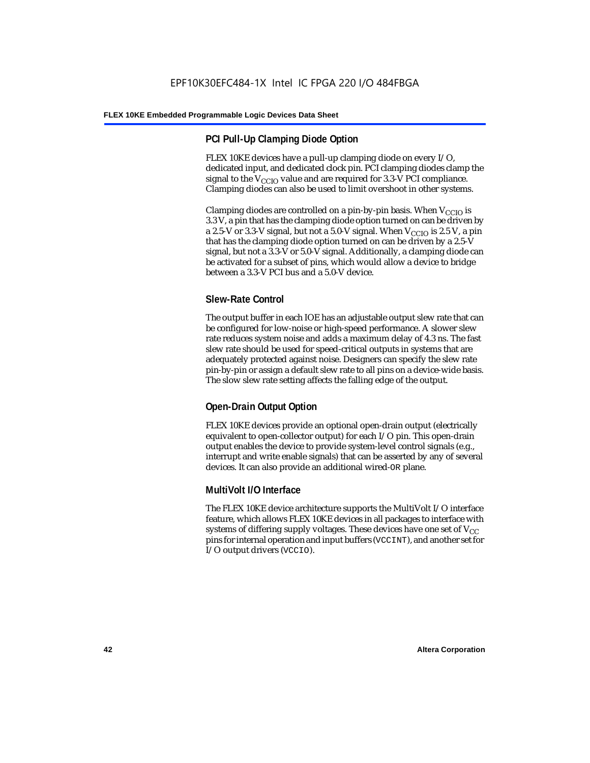## **PCI Pull-Up Clamping Diode Option**

FLEX 10KE devices have a pull-up clamping diode on every I/O, dedicated input, and dedicated clock pin. PCI clamping diodes clamp the signal to the  $V_{\text{CCIO}}$  value and are required for 3.3-V PCI compliance. Clamping diodes can also be used to limit overshoot in other systems.

Clamping diodes are controlled on a pin-by-pin basis. When  $V_{CCIO}$  is 3.3 V, a pin that has the clamping diode option turned on can be driven by a 2.5-V or 3.3-V signal, but not a 5.0-V signal. When  $V_{CCIO}$  is 2.5 V, a pin that has the clamping diode option turned on can be driven by a 2.5-V signal, but not a 3.3-V or 5.0-V signal. Additionally, a clamping diode can be activated for a subset of pins, which would allow a device to bridge between a 3.3-V PCI bus and a 5.0-V device.

## **Slew-Rate Control**

The output buffer in each IOE has an adjustable output slew rate that can be configured for low-noise or high-speed performance. A slower slew rate reduces system noise and adds a maximum delay of 4.3 ns. The fast slew rate should be used for speed-critical outputs in systems that are adequately protected against noise. Designers can specify the slew rate pin-by-pin or assign a default slew rate to all pins on a device-wide basis. The slow slew rate setting affects the falling edge of the output.

## **Open-Drain Output Option**

FLEX 10KE devices provide an optional open-drain output (electrically equivalent to open-collector output) for each I/O pin. This open-drain output enables the device to provide system-level control signals (e.g., interrupt and write enable signals) that can be asserted by any of several devices. It can also provide an additional wired-OR plane.

## **MultiVolt I/O Interface**

The FLEX 10KE device architecture supports the MultiVolt I/O interface feature, which allows FLEX 10KE devices in all packages to interface with systems of differing supply voltages. These devices have one set of  $V_{CC}$ pins for internal operation and input buffers (VCCINT), and another set for I/O output drivers (VCCIO).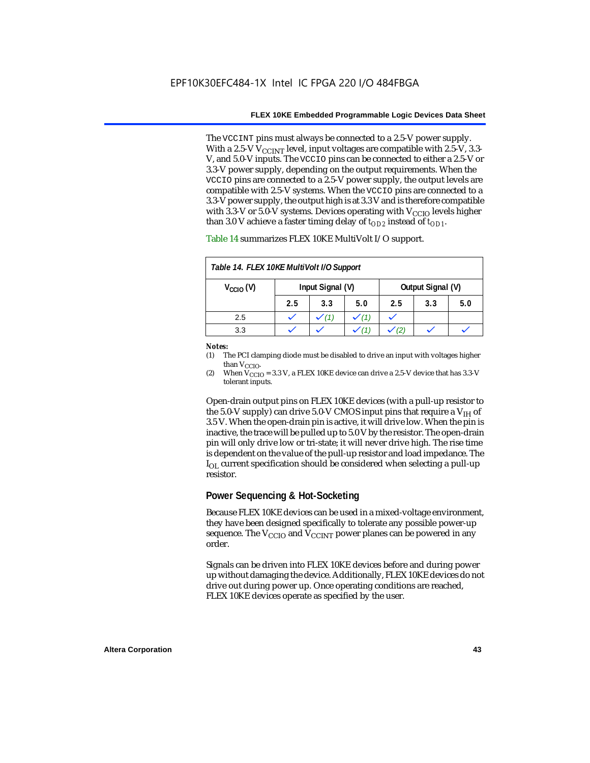The VCCINT pins must always be connected to a 2.5-V power supply. With a 2.5-V  $V_{CCMT}$  level, input voltages are compatible with 2.5-V, 3.3-V, and 5.0-V inputs. The VCCIO pins can be connected to either a 2.5-V or 3.3-V power supply, depending on the output requirements. When the VCCIO pins are connected to a 2.5-V power supply, the output levels are compatible with 2.5-V systems. When the VCCIO pins are connected to a 3.3-V power supply, the output high is at 3.3 V and is therefore compatible with 3.3-V or 5.0-V systems. Devices operating with  $V_{CCIO}$  levels higher than 3.0 V achieve a faster timing delay of  $t_{OD2}$  instead of  $t_{OD1}$ .

| Table 14. FLEX 10KE MultiVolt I/O Support                     |     |     |     |     |     |     |
|---------------------------------------------------------------|-----|-----|-----|-----|-----|-----|
| Input Signal (V)<br>Output Signal (V)<br>$V_{\text{CCIO}}(V)$ |     |     |     |     |     |     |
|                                                               | 2.5 | 3.3 | 5.0 | 2.5 | 3.3 | 5.0 |
| 2.5                                                           |     |     |     |     |     |     |
| 3.3                                                           |     |     |     |     |     |     |

Table 14 summarizes FLEX 10KE MultiVolt I/O support.

#### *Notes:*

(1) The PCI clamping diode must be disabled to drive an input with voltages higher than  $V_{CCIO}$ .

(2) When  $V_{\text{CCIO}} = 3.3$  V, a FLEX 10KE device can drive a 2.5-V device that has 3.3-V tolerant inputs.

Open-drain output pins on FLEX 10KE devices (with a pull-up resistor to the 5.0-V supply) can drive 5.0-V CMOS input pins that require a  $V_{\text{H}}$  of 3.5 V. When the open-drain pin is active, it will drive low. When the pin is inactive, the trace will be pulled up to 5.0 V by the resistor. The open-drain pin will only drive low or tri-state; it will never drive high. The rise time is dependent on the value of the pull-up resistor and load impedance. The  $I_{\text{OL}}$  current specification should be considered when selecting a pull-up resistor.

### **Power Sequencing & Hot-Socketing**

Because FLEX 10KE devices can be used in a mixed-voltage environment, they have been designed specifically to tolerate any possible power-up sequence. The  $V_{\text{CCIO}}$  and  $V_{\text{CCINT}}$  power planes can be powered in any order.

Signals can be driven into FLEX 10KE devices before and during power up without damaging the device. Additionally, FLEX 10KE devices do not drive out during power up. Once operating conditions are reached, FLEX 10KE devices operate as specified by the user.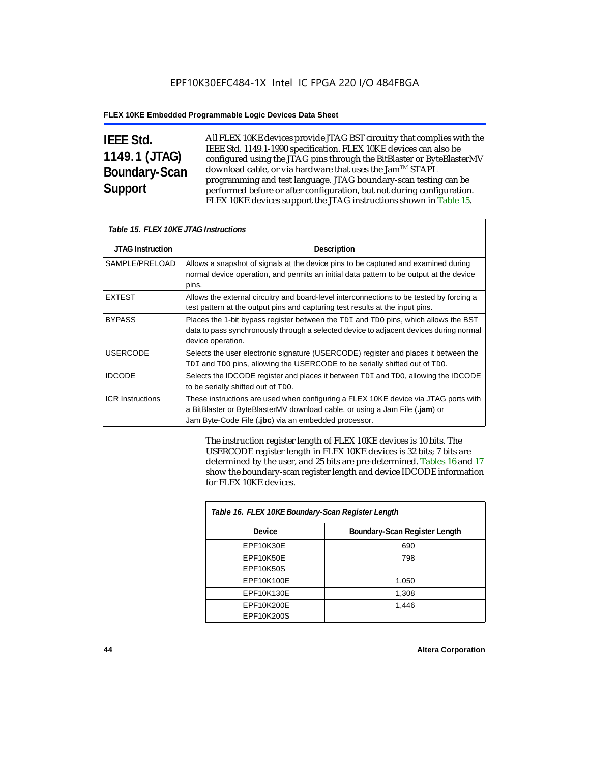# **IEEE Std. 1149.1 (JTAG) Boundary-Scan Support**

All FLEX 10KE devices provide JTAG BST circuitry that complies with the IEEE Std. 1149.1-1990 specification. FLEX 10KE devices can also be configured using the JTAG pins through the BitBlaster or ByteBlasterMV download cable, or via hardware that uses the Jam™ STAPL programming and test language. JTAG boundary-scan testing can be performed before or after configuration, but not during configuration. FLEX 10KE devices support the JTAG instructions shown in Table 15.

| Table 15. FLEX 10KE JTAG Instructions |                                                                                                                                                                                                                            |  |  |  |
|---------------------------------------|----------------------------------------------------------------------------------------------------------------------------------------------------------------------------------------------------------------------------|--|--|--|
| <b>JTAG Instruction</b>               | <b>Description</b>                                                                                                                                                                                                         |  |  |  |
| SAMPLE/PRELOAD                        | Allows a snapshot of signals at the device pins to be captured and examined during<br>normal device operation, and permits an initial data pattern to be output at the device<br>pins.                                     |  |  |  |
| <b>EXTEST</b>                         | Allows the external circuitry and board-level interconnections to be tested by forcing a<br>test pattern at the output pins and capturing test results at the input pins.                                                  |  |  |  |
| <b>BYPASS</b>                         | Places the 1-bit bypass register between the TDI and TDO pins, which allows the BST<br>data to pass synchronously through a selected device to adjacent devices during normal<br>device operation.                         |  |  |  |
| <b>USERCODE</b>                       | Selects the user electronic signature (USERCODE) register and places it between the<br>TDI and TDO pins, allowing the USERCODE to be serially shifted out of TDO.                                                          |  |  |  |
| <b>IDCODE</b>                         | Selects the IDCODE register and places it between TDI and TDO, allowing the IDCODE<br>to be serially shifted out of TDO.                                                                                                   |  |  |  |
| <b>ICR Instructions</b>               | These instructions are used when configuring a FLEX 10KE device via JTAG ports with<br>a BitBlaster or ByteBlasterMV download cable, or using a Jam File (.jam) or<br>Jam Byte-Code File (.jbc) via an embedded processor. |  |  |  |

The instruction register length of FLEX 10KE devices is 10 bits. The USERCODE register length in FLEX 10KE devices is 32 bits; 7 bits are determined by the user, and 25 bits are pre-determined. Tables 16 and 17 show the boundary-scan register length and device IDCODE information for FLEX 10KE devices.

| Table 16. FLEX 10KE Boundary-Scan Register Length |                               |  |  |  |
|---------------------------------------------------|-------------------------------|--|--|--|
| Device                                            | Boundary-Scan Register Length |  |  |  |
| EPF10K30E                                         | 690                           |  |  |  |
| EPF10K50E                                         | 798                           |  |  |  |
| <b>EPF10K50S</b>                                  |                               |  |  |  |
| EPF10K100E                                        | 1,050                         |  |  |  |
| EPF10K130E                                        | 1,308                         |  |  |  |
| EPF10K200E                                        | 1.446                         |  |  |  |
| EPF10K200S                                        |                               |  |  |  |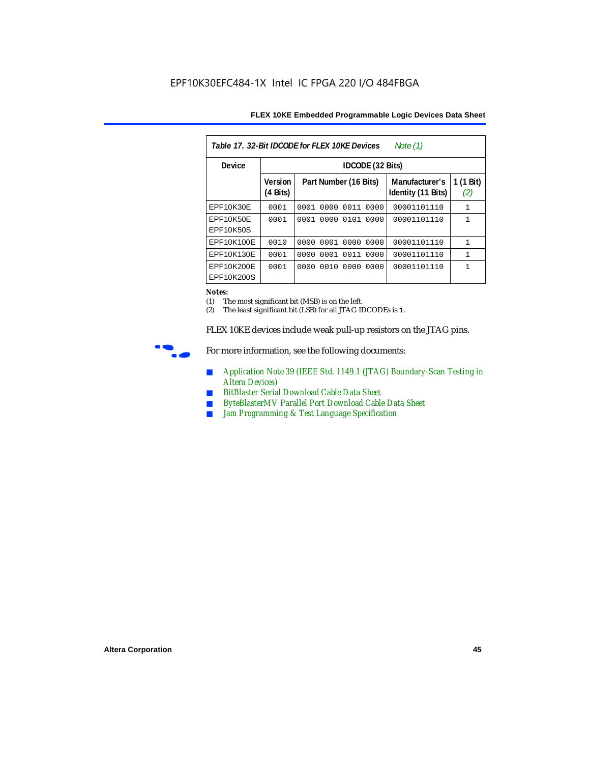| FLEX 10KE Embedded Programmable Logic Devices Data Sheet |  |  |
|----------------------------------------------------------|--|--|
|----------------------------------------------------------|--|--|

| Table 17, 32-Bit IDCODE for FLEX 10KE Devices<br>Note $(1)$ |                            |                              |                                      |                  |  |  |  |
|-------------------------------------------------------------|----------------------------|------------------------------|--------------------------------------|------------------|--|--|--|
| Device                                                      |                            | <b>IDCODE</b> (32 Bits)      |                                      |                  |  |  |  |
|                                                             | <b>Version</b><br>(4 Bits) | Part Number (16 Bits)        | Manufacturer's<br>Identity (11 Bits) | 1 (1 Bit)<br>(2) |  |  |  |
| EPF10K30E                                                   | 0001                       | 0000<br>0011<br>0001<br>0000 | 00001101110                          | $\mathbf{1}$     |  |  |  |
| EPF10K50E<br>EPF10K50S                                      | 0001                       | 0000<br>0101<br>0001<br>0000 | 00001101110                          | 1                |  |  |  |
| EPF10K100E                                                  | 0010                       | 0000 0001 0000 0000          | 00001101110                          | $\mathbf{1}$     |  |  |  |
| EPF10K130E                                                  | 0001                       | 0001<br>0011<br>0000<br>0000 | 00001101110                          | $\mathbf{1}$     |  |  |  |
| EPF10K200E<br>EPF10K200S                                    | 0001                       | 0010<br>0000<br>0000<br>0000 | 00001101110                          | 1                |  |  |  |

#### *Notes:*

(1) The most significant bit (MSB) is on the left.

(2) The least significant bit (LSB) for all JTAG IDCODEs is 1.

FLEX 10KE devices include weak pull-up resistors on the JTAG pins.



For more information, see the following documents:

- *Application Note 39 (IEEE Std. 1149.1 (JTAG) Boundary-Scan Testing in Altera Devices)*
- *BitBlaster Serial Download Cable Data Sheet*
- *ByteBlasterMV Parallel Port Download Cable Data Sheet*
- *Jam Programming & Test Language Specification*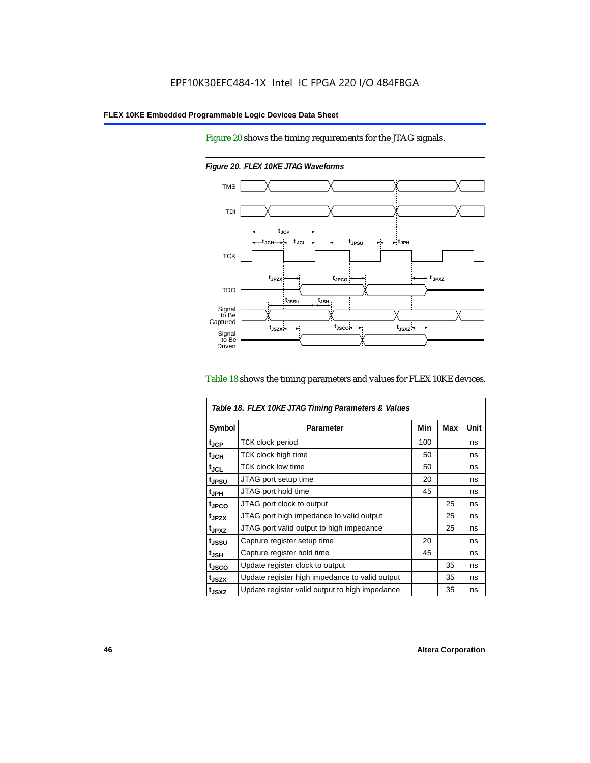Figure 20 shows the timing requirements for the JTAG signals.



*Figure 20. FLEX 10KE JTAG Waveforms*

#### Table 18 shows the timing parameters and values for FLEX 10KE devices.

| Table 18. FLEX 10KE JTAG Timing Parameters & Values |                                                |     |     |      |  |
|-----------------------------------------------------|------------------------------------------------|-----|-----|------|--|
| Symbol                                              | Parameter                                      | Min | Max | Unit |  |
| t <sub>JCP</sub>                                    | <b>TCK clock period</b>                        | 100 |     | ns   |  |
| $t_{JCH}$                                           | TCK clock high time                            | 50  |     | ns   |  |
| $t_{JCL}$                                           | TCK clock low time                             | 50  |     | ns   |  |
| tjpsu                                               | JTAG port setup time                           | 20  |     | ns   |  |
| t <sub>JPH</sub>                                    | JTAG port hold time                            | 45  |     | ns   |  |
| t <sub>JPCO</sub>                                   | JTAG port clock to output                      |     | 25  | ns   |  |
| t <sub>.IPZX</sub>                                  | JTAG port high impedance to valid output       |     | 25  | ns   |  |
| t <sub>JPXZ</sub>                                   | JTAG port valid output to high impedance       |     | 25  | ns   |  |
| tjssu                                               | Capture register setup time                    | 20  |     | ns   |  |
| $t_{JSH}$                                           | Capture register hold time                     | 45  |     | ns   |  |
| tjsco                                               | Update register clock to output                |     | 35  | ns   |  |
| t <sub>JSZX</sub>                                   | Update register high impedance to valid output |     | 35  | ns   |  |
| t <sub>JSXZ</sub>                                   | Update register valid output to high impedance |     | 35  | ns   |  |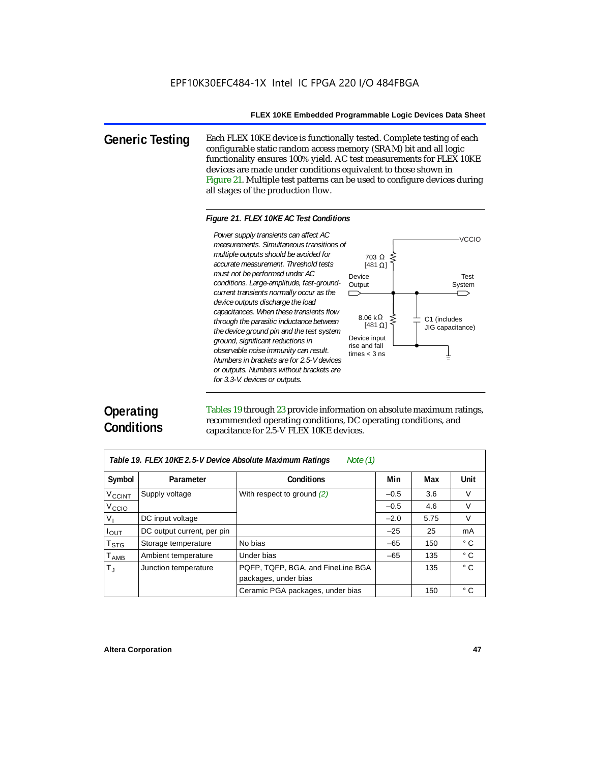**Generic Testing** Each FLEX 10KE device is functionally tested. Complete testing of each configurable static random access memory (SRAM) bit and all logic functionality ensures 100% yield. AC test measurements for FLEX 10KE devices are made under conditions equivalent to those shown in Figure 21. Multiple test patterns can be used to configure devices during all stages of the production flow.

#### *Figure 21. FLEX 10KE AC Test Conditions*

Power supply transients can affect AC *Power supply transients can affect AC measurements. Simultaneous transitions of multiple outputs should be avoided for accurate measurement. Threshold tests must not be performed under AC conditions. Large-amplitude, fast-groundcurrent transients normally occur as the device outputs discharge the load capacitances. When these transients flow through the parasitic inductance between the device ground pin and the test system ground, significant reductions in observable noise immunity can result. Numbers in brackets are for 2.5-V devices or outputs. Numbers without brackets are for 3.3-V. devices or outputs.*



# **Operating Conditions**

Tables 19 through 23 provide information on absolute maximum ratings, recommended operating conditions, DC operating conditions, and capacitance for 2.5-V FLEX 10KE devices.

| Table 19. FLEX 10KE 2.5-V Device Absolute Maximum Ratings<br>Note $(1)$ |                            |                                                           |        |      |              |  |  |
|-------------------------------------------------------------------------|----------------------------|-----------------------------------------------------------|--------|------|--------------|--|--|
| Symbol                                                                  | Parameter                  | <b>Conditions</b>                                         | Min    | Max  | Unit         |  |  |
| <b>V<sub>CCINT</sub></b>                                                | Supply voltage             | With respect to ground (2)                                | $-0.5$ | 3.6  | V            |  |  |
| V <sub>CCIO</sub>                                                       |                            |                                                           | $-0.5$ | 4.6  | $\vee$       |  |  |
| $V_{I}$                                                                 | DC input voltage           |                                                           | $-2.0$ | 5.75 | V            |  |  |
| $I_{\text{OUT}}$                                                        | DC output current, per pin |                                                           | $-25$  | 25   | mA           |  |  |
| T <sub>STG</sub>                                                        | Storage temperature        | No bias                                                   | $-65$  | 150  | $^{\circ}$ C |  |  |
| $T_{AMB}$                                                               | Ambient temperature        | Under bias                                                | $-65$  | 135  | $^{\circ}$ C |  |  |
| $T_{\rm J}$                                                             | Junction temperature       | PQFP, TQFP, BGA, and FineLine BGA<br>packages, under bias |        | 135  | $^{\circ}$ C |  |  |
|                                                                         |                            | Ceramic PGA packages, under bias                          |        | 150  | $^{\circ}$ C |  |  |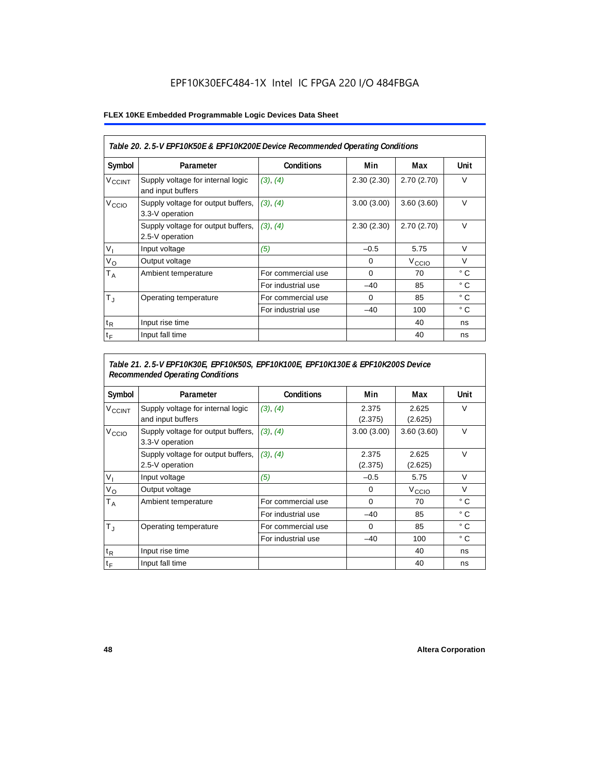## EPF10K30EFC484-1X Intel IC FPGA 220 I/O 484FBGA

### **FLEX 10KE Embedded Programmable Logic Devices Data Sheet**

| Table 20. 2.5-V EPF10K50E & EPF10K200E Device Recommended Operating Conditions |                                                        |                    |            |                   |              |  |
|--------------------------------------------------------------------------------|--------------------------------------------------------|--------------------|------------|-------------------|--------------|--|
| Symbol                                                                         | Parameter                                              | <b>Conditions</b>  | Min        | Max               | Unit         |  |
| <b>V<sub>CCINT</sub></b>                                                       | Supply voltage for internal logic<br>and input buffers | (3), (4)           | 2.30(2.30) | 2.70(2.70)        | $\vee$       |  |
| V <sub>CCIO</sub>                                                              | Supply voltage for output buffers,<br>3.3-V operation  | (3), (4)           | 3.00(3.00) | 3.60(3.60)        | $\vee$       |  |
|                                                                                | Supply voltage for output buffers,<br>2.5-V operation  | (3), (4)           | 2.30(2.30) | 2.70(2.70)        | $\vee$       |  |
| $V_{1}$                                                                        | Input voltage                                          | (5)                | $-0.5$     | 5.75              | $\vee$       |  |
| $V_{\rm O}$                                                                    | Output voltage                                         |                    | 0          | V <sub>ccio</sub> | $\vee$       |  |
| $T_A$                                                                          | Ambient temperature                                    | For commercial use | $\Omega$   | 70                | $^{\circ}$ C |  |
|                                                                                |                                                        | For industrial use | $-40$      | 85                | $^{\circ}$ C |  |
| $T_{\rm J}$                                                                    | Operating temperature                                  | For commercial use | $\Omega$   | 85                | °C           |  |
|                                                                                |                                                        | For industrial use | $-40$      | 100               | ° C          |  |
| $t_{R}$                                                                        | Input rise time                                        |                    |            | 40                | ns           |  |
| $t_F$                                                                          | Input fall time                                        |                    |            | 40                | ns           |  |

## *Table 21. 2.5-V EPF10K30E, EPF10K50S, EPF10K100E, EPF10K130E & EPF10K200S Device Recommended Operating Conditions*

| Symbol                   | Parameter                                              | <b>Conditions</b>  | Min              | Max               | Unit         |
|--------------------------|--------------------------------------------------------|--------------------|------------------|-------------------|--------------|
| <b>V<sub>CCINT</sub></b> | Supply voltage for internal logic<br>and input buffers | (3), (4)           | 2.375<br>(2.375) | 2.625<br>(2.625)  | $\vee$       |
| V <sub>CCIO</sub>        | Supply voltage for output buffers,<br>3.3-V operation  | (3), (4)           | 3.00(3.00)       | 3.60(3.60)        | $\vee$       |
|                          | Supply voltage for output buffers,<br>2.5-V operation  | (3), (4)           | 2.375<br>(2.375) | 2.625<br>(2.625)  | $\vee$       |
| $V_{1}$                  | Input voltage                                          | (5)                | $-0.5$           | 5.75              | $\vee$       |
| $V_{\rm O}$              | Output voltage                                         |                    | $\mathbf 0$      | V <sub>ccio</sub> | $\vee$       |
| $T_A$                    | Ambient temperature                                    | For commercial use | 0                | 70                | ° C          |
|                          |                                                        | For industrial use | $-40$            | 85                | $^{\circ}$ C |
| $T_{\rm J}$              | Operating temperature                                  | For commercial use | $\mathbf 0$      | 85                | $^{\circ}$ C |
|                          |                                                        | For industrial use | $-40$            | 100               | $^{\circ}$ C |
| $t_{R}$                  | Input rise time                                        |                    |                  | 40                | ns           |
| $t_F$                    | Input fall time                                        |                    |                  | 40                | ns           |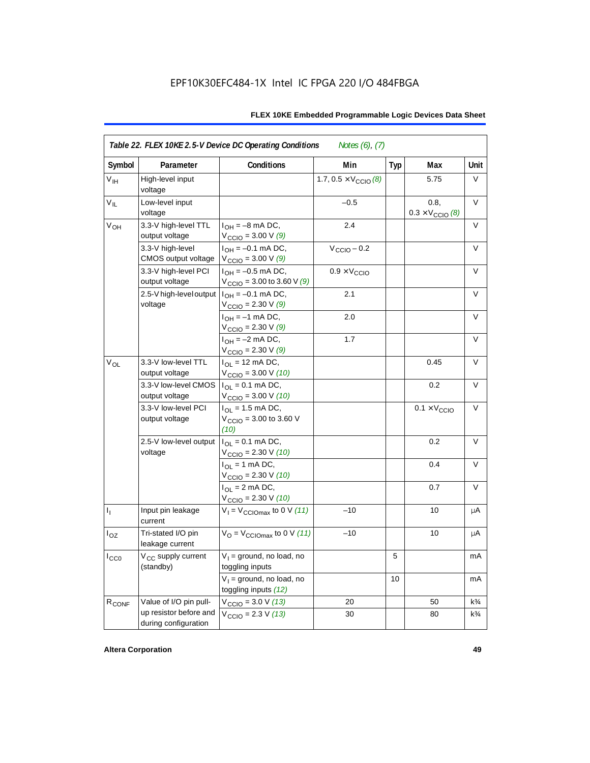| Symbol            | Parameter                                      | <b>Conditions</b>                                                               | Min                                   | <b>Typ</b> | Max                                      | Unit           |
|-------------------|------------------------------------------------|---------------------------------------------------------------------------------|---------------------------------------|------------|------------------------------------------|----------------|
| V <sub>IH</sub>   | High-level input<br>voltage                    |                                                                                 | 1.7, $0.5 \times V_{\text{CCIO}}$ (8) |            | 5.75                                     | V              |
| $V_{IL}$          | Low-level input<br>voltage                     |                                                                                 | $-0.5$                                |            | 0.8.<br>$0.3 \times V_{\text{CCIO}}$ (8) | V              |
| $V_{OH}$          | 3.3-V high-level TTL<br>output voltage         | $I_{OH} = -8$ mA DC,<br>$V_{\text{CCIO}} = 3.00 V(9)$                           | 2.4                                   |            |                                          | V              |
|                   | 3.3-V high-level<br>CMOS output voltage        | $I_{OH} = -0.1$ mA DC,<br>$V_{\text{CCIO}} = 3.00 V(9)$                         | $V_{\text{CCIO}} - 0.2$               |            |                                          | V              |
|                   | 3.3-V high-level PCI<br>output voltage         | $I_{OH} = -0.5$ mA DC,<br>$V_{\text{CCIO}} = 3.00$ to 3.60 V (9)                | $0.9 \times V_{\text{CCIO}}$          |            |                                          | $\vee$         |
|                   | 2.5-V high-level output<br>voltage             | $I_{OH} = -0.1$ mA DC,<br>$V_{\text{CCIO}} = 2.30 \text{ V} (9)$                | 2.1                                   |            |                                          | $\vee$         |
|                   |                                                | $I_{OH} = -1$ mA DC,<br>$V_{\text{CCIO}} = 2.30 \text{ V } (9)$                 | 2.0                                   |            |                                          | V              |
|                   |                                                | $I_{OH} = -2$ mA DC,<br>$V_{\text{CCIO}} = 2.30 \text{ V} (9)$                  | 1.7                                   |            |                                          | V              |
| $V_{OL}$          | 3.3-V low-level TTL<br>output voltage          | $I_{OL}$ = 12 mA DC,<br>$V_{\text{CCIO}} = 3.00 \text{ V} (10)$                 |                                       |            | 0.45                                     | $\vee$         |
|                   | 3.3-V low-level CMOS<br>output voltage         | $I_{\text{OI}} = 0.1 \text{ mA} \text{ DC},$<br>$V_{\text{CCIO}} = 3.00 V (10)$ |                                       |            | 0.2                                      | V              |
|                   | 3.3-V low-level PCI<br>output voltage          | $I_{\Omega}$ = 1.5 mA DC,<br>$V_{\text{CCIO}} = 3.00$ to 3.60 V<br>(10)         |                                       |            | $0.1 \times V_{\text{CCIO}}$             | V              |
|                   | 2.5-V low-level output<br>voltage              | $I_{OL} = 0.1$ mA DC,<br>$V_{\text{CCIO}} = 2.30 V (10)$                        |                                       |            | 0.2                                      | $\vee$         |
|                   |                                                | $I_{OL}$ = 1 mA DC,<br>$V_{\text{CCIO}} = 2.30 V (10)$                          |                                       |            | 0.4                                      | V              |
|                   |                                                | $I_{\text{OI}} = 2 \text{ mA DC}$ ,<br>$V_{\text{CCIO}} = 2.30 V (10)$          |                                       |            | 0.7                                      | V              |
| $I_1$             | Input pin leakage<br>current                   | $V_1 = V_{\text{CCIOMax}}$ to 0 V (11)                                          | $-10$                                 |            | 10                                       | μA             |
| $I_{OZ}$          | Tri-stated I/O pin<br>leakage current          | $V_{\rm O}$ = $V_{\rm CClOmax}$ to 0 V (11)                                     | $-10$                                 |            | 10                                       | μA             |
| ICCO              | V <sub>CC</sub> supply current<br>(standby)    | $V_1$ = ground, no load, no<br>toggling inputs                                  |                                       | 5          |                                          | mA             |
|                   |                                                | $V_1$ = ground, no load, no<br>toggling inputs (12)                             |                                       | 10         |                                          | mA             |
| R <sub>CONF</sub> | Value of I/O pin pull-                         | $V_{\text{CCIO}} = 3.0 V (13)$                                                  | 20                                    |            | 50                                       | $k\frac{3}{4}$ |
|                   | up resistor before and<br>during configuration | $V_{\text{CCIO}} = 2.3 V (13)$                                                  | 30                                    |            | 80                                       | $k\frac{3}{4}$ |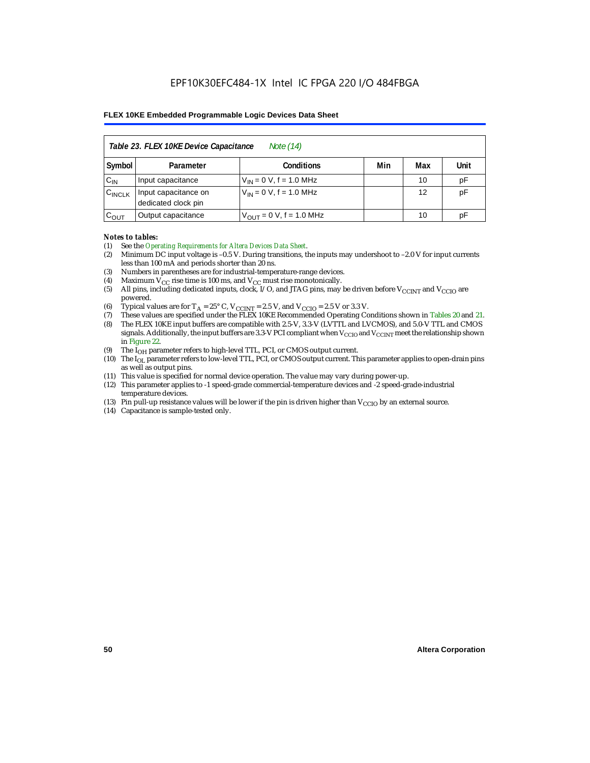| Table 23. FLEX 10KE Device Capacitance<br>Note (14) |                                             |                              |     |     |      |  |  |  |
|-----------------------------------------------------|---------------------------------------------|------------------------------|-----|-----|------|--|--|--|
| Symbol                                              | Parameter                                   | <b>Conditions</b>            | Min | Max | Unit |  |  |  |
| $C_{IN}$                                            | Input capacitance                           | $V_{IN} = 0 V$ , f = 1.0 MHz |     | 10  | pF   |  |  |  |
| $C_{\text{INCLK}}$                                  | Input capacitance on<br>dedicated clock pin | $V_{IN} = 0 V$ , f = 1.0 MHz |     | 12  | pF   |  |  |  |
| $C_{OUT}$                                           | Output capacitance                          | $V_{OUT} = 0 V, f = 1.0 MHz$ |     | 10  | рF   |  |  |  |

#### *Notes to tables:*

- (1) See the *Operating Requirements for Altera Devices Data Sheet*.
- (2) Minimum DC input voltage is –0.5 V. During transitions, the inputs may undershoot to –2.0 V for input currents less than 100 mA and periods shorter than 20 ns.
- (3) Numbers in parentheses are for industrial-temperature-range devices.
- (4) Maximum  $V_{CC}$  rise time is 100 ms, and  $V_{CC}$  must rise monotonically.<br>(5) All pins, including dedicated inputs, clock, I/O, and JTAG pins, may
- All pins, including dedicated inputs, clock, I/O, and JTAG pins, may be driven before  $V_{CCTNT}$  and  $V_{CCTO}$  are powered.
- (6) Typical values are for  $T_A = 25^\circ$  C,  $V_{CClNT} = 2.5$  V, and  $V_{CClO} = 2.5$  V or 3.3 V.<br>(7) These values are specified under the FLEX 10KE Recommended Operating Co
- (7) These values are specified under the FLEX 10KE Recommended Operating Conditions shown in Tables 20 and 21.<br>(8) The FLEX 10KE input buffers are compatible with 2.5-V. 3.3-V (LVTTL and LVCMOS), and 5.0-V TTL and CMOS (8) The FLEX 10KE input buffers are compatible with 2.5-V, 3.3-V (LVTTL and LVCMOS), and 5.0-V TTL and CMOS
- signals. Additionally, the input buffers are 3.3-V PCI compliant when  $V_{CCIO}$  and  $V_{CCIVT}$  meet the relationship shown in Figure 22.
- (9) The  $I<sub>OH</sub>$  parameter refers to high-level TTL, PCI, or CMOS output current.
- (10) The IOL parameter refers to low-level TTL, PCI, or CMOS output current. This parameter applies to open-drain pins as well as output pins.
- (11) This value is specified for normal device operation. The value may vary during power-up.
- (12) This parameter applies to -1 speed-grade commercial-temperature devices and -2 speed-grade-industrial temperature devices.
- (13) Pin pull-up resistance values will be lower if the pin is driven higher than  $V_{CCIO}$  by an external source.
- (14) Capacitance is sample-tested only.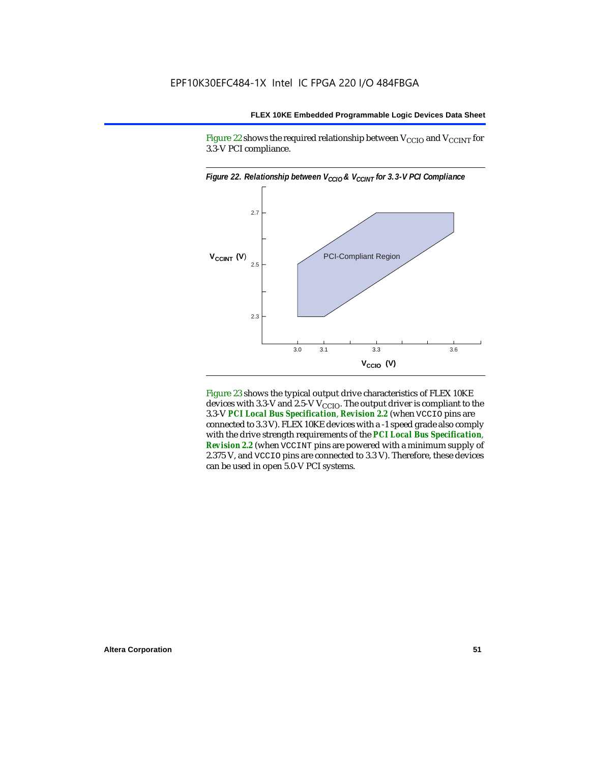Figure 22 shows the required relationship between  $V_{\text{CCIO}}$  and  $V_{\text{CCINT}}$  for 3.3-V PCI compliance.



Figure 23 shows the typical output drive characteristics of FLEX 10KE devices with 3.3-V and 2.5-V  $V_{\text{CCIO}}$ . The output driver is compliant to the 3.3-V *PCI Local Bus Specification*, *Revision 2.2* (when VCCIO pins are connected to 3.3 V). FLEX 10KE devices with a -1 speed grade also comply with the drive strength requirements of the *PCI Local Bus Specification*, *Revision 2.2* (when VCCINT pins are powered with a minimum supply of 2.375 V, and VCCIO pins are connected to 3.3 V). Therefore, these devices can be used in open 5.0-V PCI systems.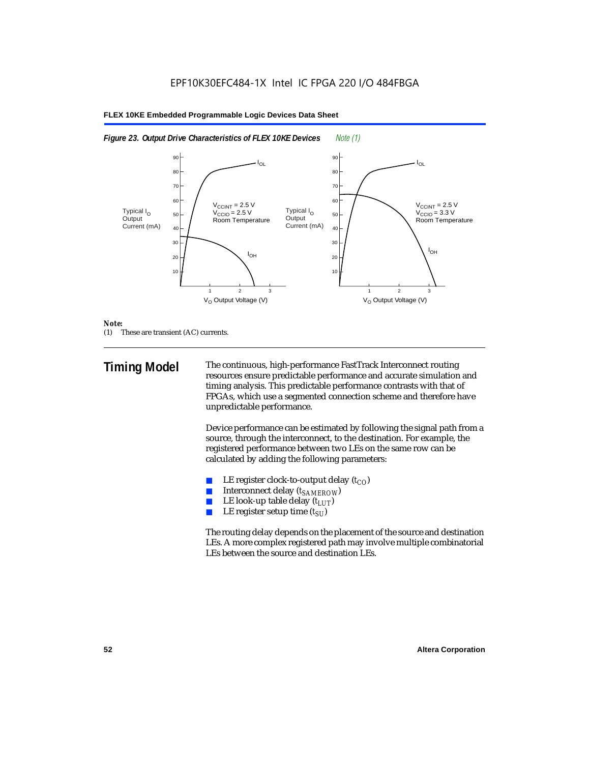



#### *Note:*

(1) These are transient (AC) currents.

**Timing Model** The continuous, high-performance FastTrack Interconnect routing resources ensure predictable performance and accurate simulation and timing analysis. This predictable performance contrasts with that of FPGAs, which use a segmented connection scheme and therefore have unpredictable performance.

> Device performance can be estimated by following the signal path from a source, through the interconnect, to the destination. For example, the registered performance between two LEs on the same row can be calculated by adding the following parameters:

- LE register clock-to-output delay  $(t_{CO})$
- **■** Interconnect delay  $(t_{SAMEROW})$ <br> **■** I.E look-up table delay  $(t_{LUT})$
- LE look-up table delay  $(t_{LUT})$
- LE register setup time  $(t_{SI})$

The routing delay depends on the placement of the source and destination LEs. A more complex registered path may involve multiple combinatorial LEs between the source and destination LEs.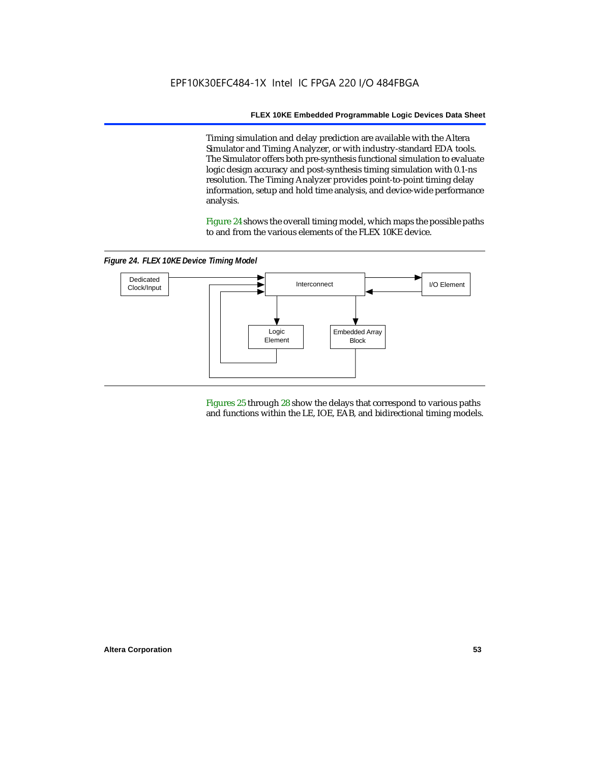Timing simulation and delay prediction are available with the Altera Simulator and Timing Analyzer, or with industry-standard EDA tools. The Simulator offers both pre-synthesis functional simulation to evaluate logic design accuracy and post-synthesis timing simulation with 0.1-ns resolution. The Timing Analyzer provides point-to-point timing delay information, setup and hold time analysis, and device-wide performance analysis.

Figure 24 shows the overall timing model, which maps the possible paths to and from the various elements of the FLEX 10KE device.

*Figure 24. FLEX 10KE Device Timing Model*



Figures 25 through 28 show the delays that correspond to various paths and functions within the LE, IOE, EAB, and bidirectional timing models.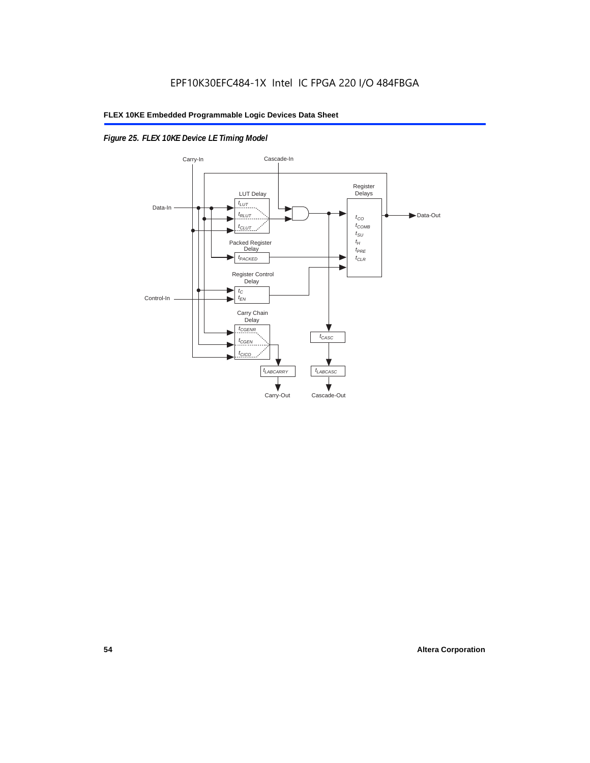## *Figure 25. FLEX 10KE Device LE Timing Model*

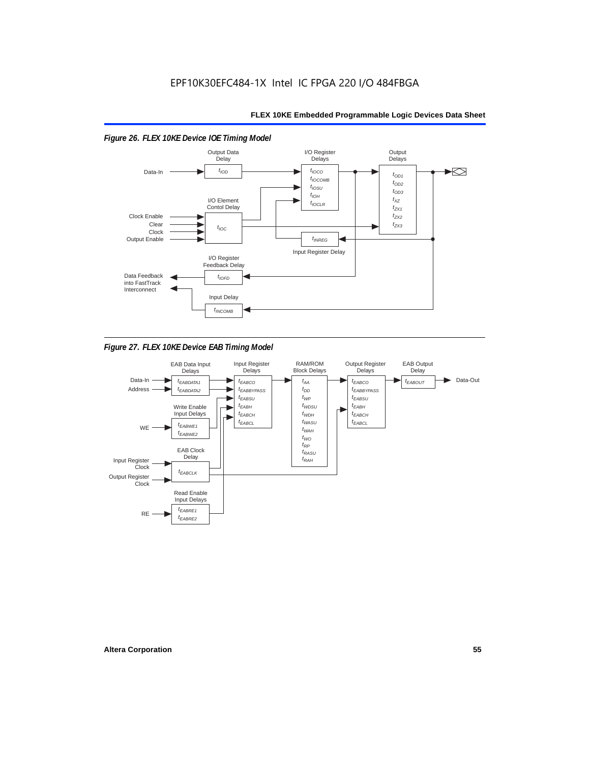

*Figure 27. FLEX 10KE Device EAB Timing Model*

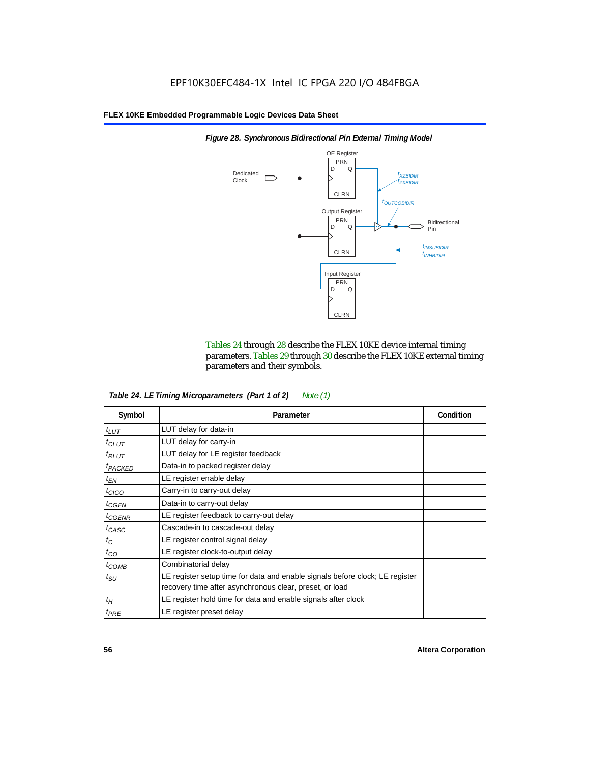

*Figure 28. Synchronous Bidirectional Pin External Timing Model*

Tables 24 through 28 describe the FLEX 10KE device internal timing parameters. Tables 29 through 30 describe the FLEX 10KE external timing parameters and their symbols.

| Table 24. LE Timing Microparameters (Part 1 of 2)<br>Note $(1)$ |                                                                                                                                         |           |  |  |  |
|-----------------------------------------------------------------|-----------------------------------------------------------------------------------------------------------------------------------------|-----------|--|--|--|
| Symbol                                                          | Parameter                                                                                                                               | Condition |  |  |  |
| $t_{LUT}$                                                       | LUT delay for data-in                                                                                                                   |           |  |  |  |
| $t_{CLUT}$                                                      | LUT delay for carry-in                                                                                                                  |           |  |  |  |
| $t_{RLUT}$                                                      | LUT delay for LE register feedback                                                                                                      |           |  |  |  |
| <sup>t</sup> PACKED                                             | Data-in to packed register delay                                                                                                        |           |  |  |  |
| $t_{EN}$                                                        | LE register enable delay                                                                                                                |           |  |  |  |
| $t_{CICO}$                                                      | Carry-in to carry-out delay                                                                                                             |           |  |  |  |
| $t_{GEN}$                                                       | Data-in to carry-out delay                                                                                                              |           |  |  |  |
| ${}^{t}$ CGENR                                                  | LE register feedback to carry-out delay                                                                                                 |           |  |  |  |
| $t_{CASC}$                                                      | Cascade-in to cascade-out delay                                                                                                         |           |  |  |  |
| $t_C$                                                           | LE register control signal delay                                                                                                        |           |  |  |  |
| $t_{CO}$                                                        | LE register clock-to-output delay                                                                                                       |           |  |  |  |
| $t_{COMB}$                                                      | Combinatorial delay                                                                                                                     |           |  |  |  |
| $t_{\rm SU}$                                                    | LE register setup time for data and enable signals before clock; LE register<br>recovery time after asynchronous clear, preset, or load |           |  |  |  |
| $t_H$                                                           | LE register hold time for data and enable signals after clock                                                                           |           |  |  |  |
| $t_{PRE}$                                                       | LE register preset delay                                                                                                                |           |  |  |  |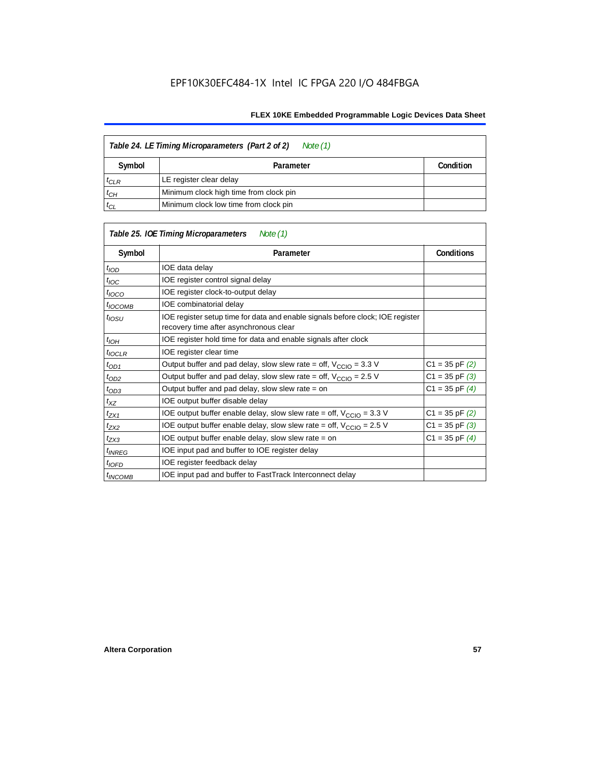| Table 24. LE Timing Microparameters (Part 2 of 2)<br>Note (1) |                                        |  |  |  |  |
|---------------------------------------------------------------|----------------------------------------|--|--|--|--|
| Symbol                                                        | Condition<br>Parameter                 |  |  |  |  |
| $t_{CLR}$                                                     | LE register clear delay                |  |  |  |  |
| $t_{CH}$                                                      | Minimum clock high time from clock pin |  |  |  |  |
| $t_{CL}$                                                      | Minimum clock low time from clock pin  |  |  |  |  |

|                     | Table 25. IOE Timing Microparameters<br>Note (1)                                                                         |                    |  |
|---------------------|--------------------------------------------------------------------------------------------------------------------------|--------------------|--|
| Symbol              | Parameter                                                                                                                | <b>Conditions</b>  |  |
| $t$ <sub>IOD</sub>  | IOE data delay                                                                                                           |                    |  |
| $t_{\text{IOC}}$    | IOE register control signal delay                                                                                        |                    |  |
| $t_{\text{IOCO}}$   | IOE register clock-to-output delay                                                                                       |                    |  |
| <sup>t</sup> іОСОМВ | IOE combinatorial delay                                                                                                  |                    |  |
| $t_{IOSU}$          | IOE register setup time for data and enable signals before clock; IOE register<br>recovery time after asynchronous clear |                    |  |
| $t_{IOH}$           | IOE register hold time for data and enable signals after clock                                                           |                    |  |
| $t_{IOCLR}$         | IOE register clear time                                                                                                  |                    |  |
| $t_{OD1}$           | Output buffer and pad delay, slow slew rate = off, $V_{\text{CCIO}} = 3.3 \text{ V}$                                     | $C1 = 35$ pF $(2)$ |  |
| $t_{OD2}$           | Output buffer and pad delay, slow slew rate = off, $V_{\text{CCIO}} = 2.5$ V                                             | $C1 = 35$ pF $(3)$ |  |
| $t_{OD3}$           | Output buffer and pad delay, slow slew rate = on                                                                         | $C1 = 35$ pF $(4)$ |  |
| $t_{XZ}$            | IOE output buffer disable delay                                                                                          |                    |  |
| $t_{ZX1}$           | IOE output buffer enable delay, slow slew rate = off, $V_{\text{CCIO}} = 3.3$ V                                          | $C1 = 35$ pF $(2)$ |  |
| t <sub>ZX2</sub>    | IOE output buffer enable delay, slow slew rate = off, $V_{\text{CCIO}} = 2.5 V$                                          | $C1 = 35$ pF $(3)$ |  |
| $t_{ZX3}$           | IOE output buffer enable delay, slow slew rate = on                                                                      | $C1 = 35$ pF $(4)$ |  |
| <sup>t</sup> INREG  | IOE input pad and buffer to IOE register delay                                                                           |                    |  |
| $t_{IOFD}$          | IOE register feedback delay                                                                                              |                    |  |
| <sup>t</sup> INCOMB | IOE input pad and buffer to FastTrack Interconnect delay                                                                 |                    |  |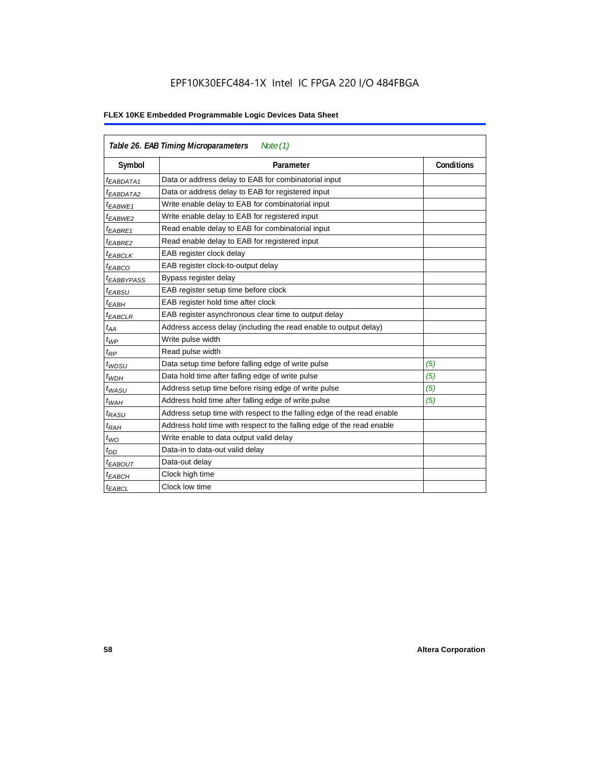## EPF10K30EFC484-1X Intel IC FPGA 220 I/O 484FBGA

| Table 26. EAB Timing Microparameters<br>Note $(1)$ |                                                                        |                   |  |  |  |  |
|----------------------------------------------------|------------------------------------------------------------------------|-------------------|--|--|--|--|
| Symbol                                             | Parameter                                                              | <b>Conditions</b> |  |  |  |  |
| <sup>t</sup> EABDATA1                              | Data or address delay to EAB for combinatorial input                   |                   |  |  |  |  |
| <sup>t</sup> EABDATA2                              | Data or address delay to EAB for registered input                      |                   |  |  |  |  |
| <sup>t</sup> EABWE1                                | Write enable delay to EAB for combinatorial input                      |                   |  |  |  |  |
| <sup>t</sup> EABWE2                                | Write enable delay to EAB for registered input                         |                   |  |  |  |  |
| <sup>t</sup> EABRE1                                | Read enable delay to EAB for combinatorial input                       |                   |  |  |  |  |
| t <sub>EABRE2</sub>                                | Read enable delay to EAB for registered input                          |                   |  |  |  |  |
| <sup>t</sup> EABCLK                                | EAB register clock delay                                               |                   |  |  |  |  |
| <sup>t</sup> ЕАВСО                                 | EAB register clock-to-output delay                                     |                   |  |  |  |  |
| <sup>t</sup> EABBYPASS                             | Bypass register delay                                                  |                   |  |  |  |  |
| <sup>t</sup> EABSU                                 | EAB register setup time before clock                                   |                   |  |  |  |  |
| <sup>t</sup> EABH                                  | EAB register hold time after clock                                     |                   |  |  |  |  |
| <sup>t</sup> EABCLR                                | EAB register asynchronous clear time to output delay                   |                   |  |  |  |  |
| $t_{AA}$                                           | Address access delay (including the read enable to output delay)       |                   |  |  |  |  |
| $t_{WP}$                                           | Write pulse width                                                      |                   |  |  |  |  |
| t <sub>RP</sub>                                    | Read pulse width                                                       |                   |  |  |  |  |
| $t_{WDSU}$                                         | Data setup time before falling edge of write pulse                     | (5)               |  |  |  |  |
| $t_{WDH}$                                          | Data hold time after falling edge of write pulse                       | (5)               |  |  |  |  |
| $t_{WASU}$                                         | Address setup time before rising edge of write pulse                   | (5)               |  |  |  |  |
| $t_{WAH}$                                          | Address hold time after falling edge of write pulse                    | (5)               |  |  |  |  |
| t <sub>RASU</sub>                                  | Address setup time with respect to the falling edge of the read enable |                   |  |  |  |  |
| $t_{RAH}$                                          | Address hold time with respect to the falling edge of the read enable  |                   |  |  |  |  |
| $t_{WO}$                                           | Write enable to data output valid delay                                |                   |  |  |  |  |
| $t_{DD}$                                           | Data-in to data-out valid delay                                        |                   |  |  |  |  |
| <sup>t</sup> EABOUT                                | Data-out delay                                                         |                   |  |  |  |  |
| <sup>t</sup> ЕАВСН                                 | Clock high time                                                        |                   |  |  |  |  |
| <sup>t</sup> EABCL                                 | Clock low time                                                         |                   |  |  |  |  |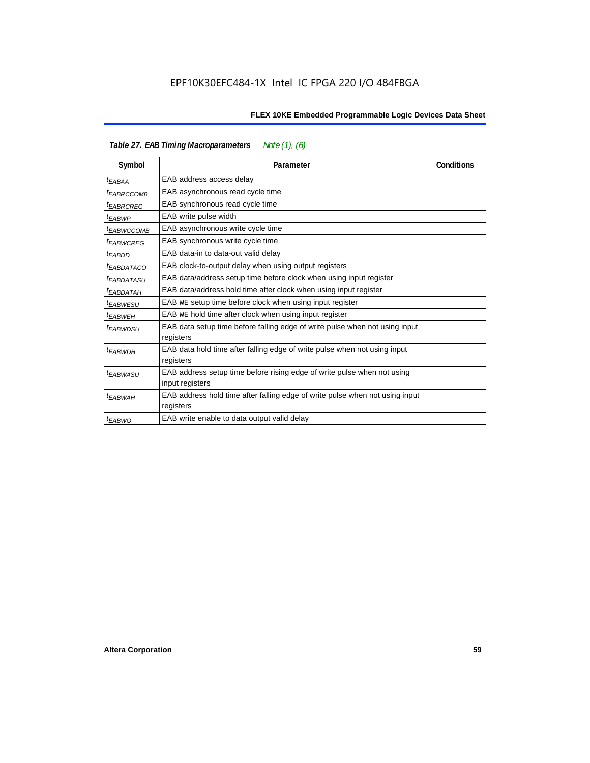| Note $(1)$ , $(6)$<br>Table 27. EAB Timing Macroparameters |                                                                                           |                   |  |  |  |  |
|------------------------------------------------------------|-------------------------------------------------------------------------------------------|-------------------|--|--|--|--|
| Symbol                                                     | Parameter                                                                                 | <b>Conditions</b> |  |  |  |  |
| <sup>t</sup> EABAA                                         | EAB address access delay                                                                  |                   |  |  |  |  |
| <sup>I</sup> EABRCCOMB                                     | EAB asynchronous read cycle time                                                          |                   |  |  |  |  |
| <sup>t</sup> EABRCREG                                      | EAB synchronous read cycle time                                                           |                   |  |  |  |  |
| <sup>t</sup> EABWP                                         | EAB write pulse width                                                                     |                   |  |  |  |  |
| <sup>t</sup> ЕАВWССОМВ                                     | EAB asynchronous write cycle time                                                         |                   |  |  |  |  |
| <sup>t</sup> EABWCREG                                      | EAB synchronous write cycle time                                                          |                   |  |  |  |  |
| <sup>t</sup> EABDD                                         | EAB data-in to data-out valid delay                                                       |                   |  |  |  |  |
| <sup>t</sup> EABDATACO                                     | EAB clock-to-output delay when using output registers                                     |                   |  |  |  |  |
| <sup>t</sup> EABDATASU                                     | EAB data/address setup time before clock when using input register                        |                   |  |  |  |  |
| <sup>t</sup> EABDATAH                                      | EAB data/address hold time after clock when using input register                          |                   |  |  |  |  |
| <sup>t</sup> EABWESU                                       | EAB WE setup time before clock when using input register                                  |                   |  |  |  |  |
| <sup>t</sup> EABWEH                                        | EAB WE hold time after clock when using input register                                    |                   |  |  |  |  |
| <sup>t</sup> EABWDSU                                       | EAB data setup time before falling edge of write pulse when not using input               |                   |  |  |  |  |
|                                                            | registers                                                                                 |                   |  |  |  |  |
| <sup>t</sup> EABWDH                                        | EAB data hold time after falling edge of write pulse when not using input                 |                   |  |  |  |  |
|                                                            | registers                                                                                 |                   |  |  |  |  |
| t <sub>EABWASU</sub>                                       | EAB address setup time before rising edge of write pulse when not using                   |                   |  |  |  |  |
|                                                            | input registers                                                                           |                   |  |  |  |  |
| t <sub>EABWAH</sub>                                        | EAB address hold time after falling edge of write pulse when not using input<br>registers |                   |  |  |  |  |
| <sup>t</sup> EABWO                                         | EAB write enable to data output valid delay                                               |                   |  |  |  |  |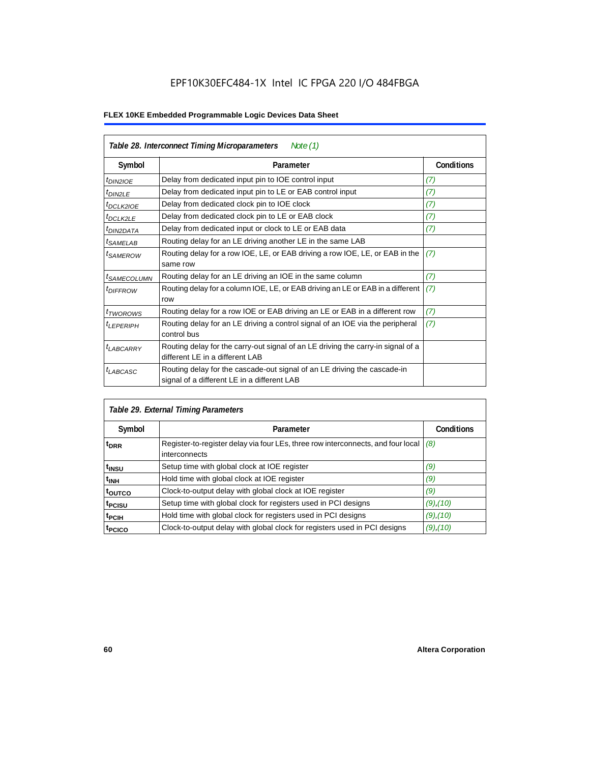| Table 28. Interconnect Timing Microparameters<br>Note $(1)$ |                                                                                                                         |                   |  |  |  |  |
|-------------------------------------------------------------|-------------------------------------------------------------------------------------------------------------------------|-------------------|--|--|--|--|
| Symbol                                                      | Parameter                                                                                                               | <b>Conditions</b> |  |  |  |  |
| $tD$ IN2IOE                                                 | Delay from dedicated input pin to IOE control input                                                                     | (7)               |  |  |  |  |
| $t_{DIN2LE}$                                                | Delay from dedicated input pin to LE or EAB control input                                                               | (7)               |  |  |  |  |
| <sup>t</sup> DCLK2IOE                                       | Delay from dedicated clock pin to IOE clock                                                                             | (7)               |  |  |  |  |
| $t_{DCLK2LE}$                                               | Delay from dedicated clock pin to LE or EAB clock                                                                       | (7)               |  |  |  |  |
| <sup>t</sup> DIN2DATA                                       | Delay from dedicated input or clock to LE or EAB data                                                                   | (7)               |  |  |  |  |
| <sup>t</sup> SAMELAB                                        | Routing delay for an LE driving another LE in the same LAB                                                              |                   |  |  |  |  |
| <sup>t</sup> SAMEROW                                        | Routing delay for a row IOE, LE, or EAB driving a row IOE, LE, or EAB in the<br>same row                                | (7)               |  |  |  |  |
| <sup>t</sup> SAMECOLUMN                                     | Routing delay for an LE driving an IOE in the same column                                                               | (7)               |  |  |  |  |
| <i>t<sub>DIFFROW</sub></i>                                  | Routing delay for a column IOE, LE, or EAB driving an LE or EAB in a different<br>row                                   | (7)               |  |  |  |  |
| <i>t</i> TWOROWS                                            | Routing delay for a row IOE or EAB driving an LE or EAB in a different row                                              | (7)               |  |  |  |  |
| <sup>t</sup> LEPERIPH                                       | Routing delay for an LE driving a control signal of an IOE via the peripheral<br>control bus                            | (7)               |  |  |  |  |
| $t_{LABCARRY}$                                              | Routing delay for the carry-out signal of an LE driving the carry-in signal of a<br>different LE in a different LAB     |                   |  |  |  |  |
| $t_{LABCASC}$                                               | Routing delay for the cascade-out signal of an LE driving the cascade-in<br>signal of a different LE in a different LAB |                   |  |  |  |  |

| Table 29. External Timing Parameters |                                                                                                   |                   |  |  |  |  |
|--------------------------------------|---------------------------------------------------------------------------------------------------|-------------------|--|--|--|--|
| Symbol                               | Parameter                                                                                         | <b>Conditions</b> |  |  |  |  |
| <sup>t</sup> DRR                     | Register-to-register delay via four LEs, three row interconnects, and four local<br>interconnects | (8)               |  |  |  |  |
| t <sub>insu</sub>                    | Setup time with global clock at IOE register                                                      | (9)               |  |  |  |  |
| $t_{\rm INH}$                        | Hold time with global clock at IOE register                                                       | (9)               |  |  |  |  |
| toutco                               | Clock-to-output delay with global clock at IOE register                                           | (9)               |  |  |  |  |
| t <sub>PCISU</sub>                   | Setup time with global clock for registers used in PCI designs                                    | $(9)$ , $(10)$    |  |  |  |  |
| <sup>t</sup> PCIH                    | Hold time with global clock for registers used in PCI designs                                     | $(9)$ , $(10)$    |  |  |  |  |
| <sup>T</sup> PCICO                   | Clock-to-output delay with global clock for registers used in PCI designs                         | $(9)$ , $(10)$    |  |  |  |  |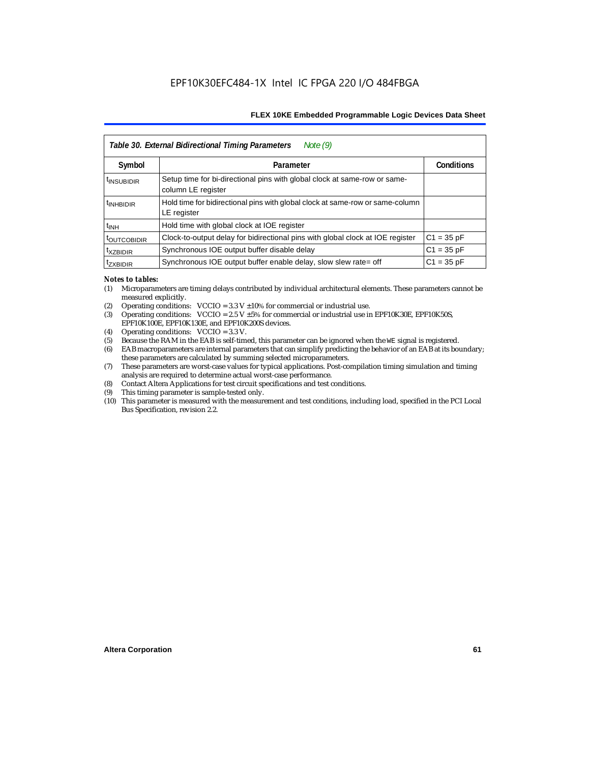| Table 30. External Bidirectional Timing Parameters<br>Note $(9)$ |                                                                                                 |                   |  |  |  |  |  |
|------------------------------------------------------------------|-------------------------------------------------------------------------------------------------|-------------------|--|--|--|--|--|
| Symbol                                                           | Parameter                                                                                       | <b>Conditions</b> |  |  |  |  |  |
| <sup>t</sup> INSUBIDIR                                           | Setup time for bi-directional pins with global clock at same-row or same-<br>column LE register |                   |  |  |  |  |  |
| <sup>t</sup> INHBIDIR                                            | Hold time for bidirectional pins with global clock at same-row or same-column<br>LE register    |                   |  |  |  |  |  |
| <sup>t</sup> INH                                                 | Hold time with global clock at IOE register                                                     |                   |  |  |  |  |  |
| <b><i>LOUTCOBIDIR</i></b>                                        | Clock-to-output delay for bidirectional pins with global clock at IOE register                  | $C1 = 35 pF$      |  |  |  |  |  |
| <sup>t</sup> xzbidir                                             | Synchronous IOE output buffer disable delay                                                     | $C1 = 35 pF$      |  |  |  |  |  |
| <sup>T</sup> ZXBIDIR                                             | Synchronous IOE output buffer enable delay, slow slew rate= off                                 | $C1 = 35 pF$      |  |  |  |  |  |

#### *Notes to tables:*

- (1) Microparameters are timing delays contributed by individual architectural elements. These parameters cannot be measured explicitly.
- (2) Operating conditions:  $VCCIO = 3.3 V ±10%$  for commercial or industrial use.<br>(3) Operating conditions:  $VCCIO = 2.5 V ±5%$  for commercial or industrial use in
- Operating conditions: VCCIO =  $2.5$  V  $\pm 5$ % for commercial or industrial use in EPF10K30E, EPF10K50S, EPF10K100E, EPF10K130E, and EPF10K200S devices.
- (4) Operating conditions: VCCIO = 3.3 V.
- (5) Because the RAM in the EAB is self-timed, this parameter can be ignored when the WE signal is registered.<br>(6) EAB macroparameters are internal parameters that can simplify predicting the behavior of an EAB at its bor
- EAB macroparameters are internal parameters that can simplify predicting the behavior of an EAB at its boundary; these parameters are calculated by summing selected microparameters.
- (7) These parameters are worst-case values for typical applications. Post-compilation timing simulation and timing analysis are required to determine actual worst-case performance.
- (8) Contact Altera Applications for test circuit specifications and test conditions.
- (9) This timing parameter is sample-tested only.
- (10) This parameter is measured with the measurement and test conditions, including load, specified in the PCI Local Bus Specification, revision 2.2.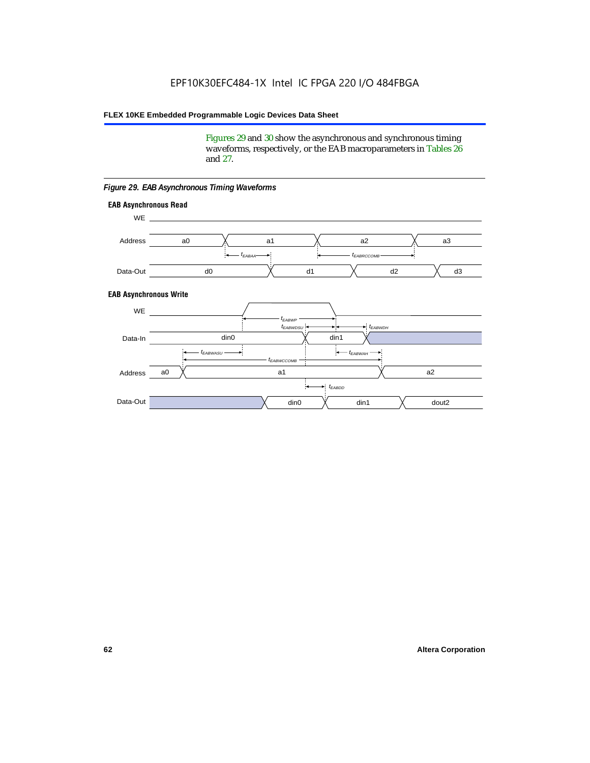Figures 29 and 30 show the asynchronous and synchronous timing waveforms, respectively, or the EAB macroparameters in Tables 26 and 27.

**EAB Asynchronous Write EAB Asynchronous Read** WE. a0 d0 d3  $t_{EABRCCOMB}$ a1 *《*、 a2 *《*、 a3 d2  $t_{FABAA}$ d1 Address Data-Out WE a0 din1  $\chi$  dout2  $t_{EABDD}$ a1 a2 din1 din0  $t_{EABWCCOMB}$  $t_{EABWASU}$   $\longrightarrow$  $t_{EABWDSU}$  +  $\longrightarrow$   $t_{EABWDH}$  $t_{EABWP}$ Data-In din0 Address Data-Out

#### *Figure 29. EAB Asynchronous Timing Waveforms*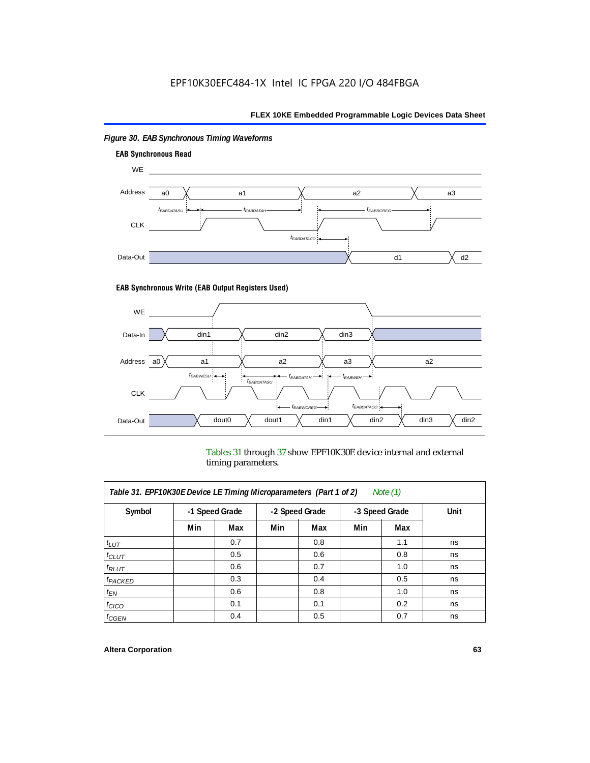

## *Figure 30. EAB Synchronous Timing Waveforms*

### **EAB Synchronous Write (EAB Output Registers Used)**



Tables 31 through 37 show EPF10K30E device internal and external timing parameters.

| Table 31. EPF10K30E Device LE Timing Microparameters (Part 1 of 2)<br>Note $(1)$ |     |                |     |                |                |     |      |  |  |
|----------------------------------------------------------------------------------|-----|----------------|-----|----------------|----------------|-----|------|--|--|
| Symbol                                                                           |     | -1 Speed Grade |     | -2 Speed Grade | -3 Speed Grade |     | Unit |  |  |
|                                                                                  | Min | Max            | Min | Max            | Min            | Max |      |  |  |
| $t_{LUT}$                                                                        |     | 0.7            |     | 0.8            |                | 1.1 | ns   |  |  |
| $t_{CLUT}$                                                                       |     | 0.5            |     | 0.6            |                | 0.8 | ns   |  |  |
| $t_{RLUT}$                                                                       |     | 0.6            |     | 0.7            |                | 1.0 | ns   |  |  |
| $t_{PACKED}$                                                                     |     | 0.3            |     | 0.4            |                | 0.5 | ns   |  |  |
| $t_{EN}$                                                                         |     | 0.6            |     | 0.8            |                | 1.0 | ns   |  |  |
| $t_{CICO}$                                                                       |     | 0.1            |     | 0.1            |                | 0.2 | ns   |  |  |
| $t_{GEN}$                                                                        |     | 0.4            |     | 0.5            |                | 0.7 | ns   |  |  |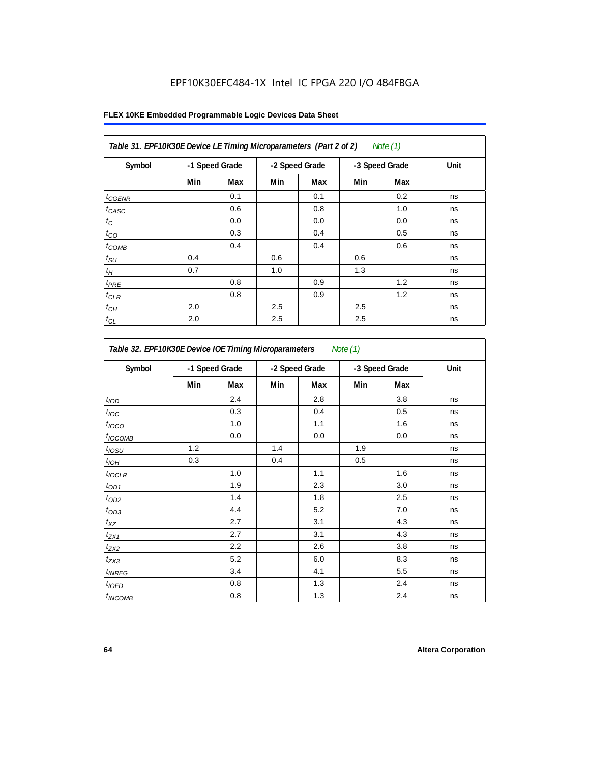## EPF10K30EFC484-1X Intel IC FPGA 220 I/O 484FBGA

| Table 31. EPF10K30E Device LE Timing Microparameters (Part 2 of 2)<br>Note (1) |     |                |     |                |                |     |      |  |
|--------------------------------------------------------------------------------|-----|----------------|-----|----------------|----------------|-----|------|--|
| Symbol                                                                         |     | -1 Speed Grade |     | -2 Speed Grade | -3 Speed Grade |     | Unit |  |
|                                                                                | Min | Max            | Min | Max            | Min            | Max |      |  |
| $t_{GENR}$                                                                     |     | 0.1            |     | 0.1            |                | 0.2 | ns   |  |
| $t_{CASC}$                                                                     |     | 0.6            |     | 0.8            |                | 1.0 | ns   |  |
| $t_C$                                                                          |     | 0.0            |     | 0.0            |                | 0.0 | ns   |  |
| $t_{CO}$                                                                       |     | 0.3            |     | 0.4            |                | 0.5 | ns   |  |
| $t_{COMB}$                                                                     |     | 0.4            |     | 0.4            |                | 0.6 | ns   |  |
| $t_{\text{SU}}$                                                                | 0.4 |                | 0.6 |                | 0.6            |     | ns   |  |
| $t_H\,$                                                                        | 0.7 |                | 1.0 |                | 1.3            |     | ns   |  |
| $t_{PRE}$                                                                      |     | 0.8            |     | 0.9            |                | 1.2 | ns   |  |
| $t_{CLR}$                                                                      |     | 0.8            |     | 0.9            |                | 1.2 | ns   |  |
| $t_{\mathit{CH}}$                                                              | 2.0 |                | 2.5 |                | 2.5            |     | ns   |  |
| $t_{CL}$                                                                       | 2.0 |                | 2.5 |                | 2.5            |     | ns   |  |

| Table 32. EPF10K30E Device IOE Timing Microparameters<br>Note $(1)$ |                |     |                |     |                |     |      |  |  |
|---------------------------------------------------------------------|----------------|-----|----------------|-----|----------------|-----|------|--|--|
| Symbol                                                              | -1 Speed Grade |     | -2 Speed Grade |     | -3 Speed Grade |     | Unit |  |  |
|                                                                     | Min            | Max | Min            | Max | Min            | Max |      |  |  |
| t <sub>IOD</sub>                                                    |                | 2.4 |                | 2.8 |                | 3.8 | ns   |  |  |
| $t_{\text{IOC}}$                                                    |                | 0.3 |                | 0.4 |                | 0.5 | ns   |  |  |
| $t_{IOCO}$                                                          |                | 1.0 |                | 1.1 |                | 1.6 | ns   |  |  |
| $t_{\text{IOCOMB}}$                                                 |                | 0.0 |                | 0.0 |                | 0.0 | ns   |  |  |
| $t_{IOSU}$                                                          | 1.2            |     | 1.4            |     | 1.9            |     | ns   |  |  |
| $t_{I\odot H}$                                                      | 0.3            |     | 0.4            |     | 0.5            |     | ns   |  |  |
| $t_{IOCLR}$                                                         |                | 1.0 |                | 1.1 |                | 1.6 | ns   |  |  |
| $t_{OD1}$                                                           |                | 1.9 |                | 2.3 |                | 3.0 | ns   |  |  |
| $t_{OD2}$                                                           |                | 1.4 |                | 1.8 |                | 2.5 | ns   |  |  |
| $t_{OD3}$                                                           |                | 4.4 |                | 5.2 |                | 7.0 | ns   |  |  |
| $t_{\mathsf{XZ}}$                                                   |                | 2.7 |                | 3.1 |                | 4.3 | ns   |  |  |
| $t_{ZX1}$                                                           |                | 2.7 |                | 3.1 |                | 4.3 | ns   |  |  |
| $t_{ZX2}$                                                           |                | 2.2 |                | 2.6 |                | 3.8 | ns   |  |  |
| $t_{ZX3}$                                                           |                | 5.2 |                | 6.0 |                | 8.3 | ns   |  |  |
| $t_{INREG}$                                                         |                | 3.4 |                | 4.1 |                | 5.5 | ns   |  |  |
| $t_{IOED}$                                                          |                | 0.8 |                | 1.3 |                | 2.4 | ns   |  |  |
| $t_{INCOMB}$                                                        |                | 0.8 |                | 1.3 |                | 2.4 | ns   |  |  |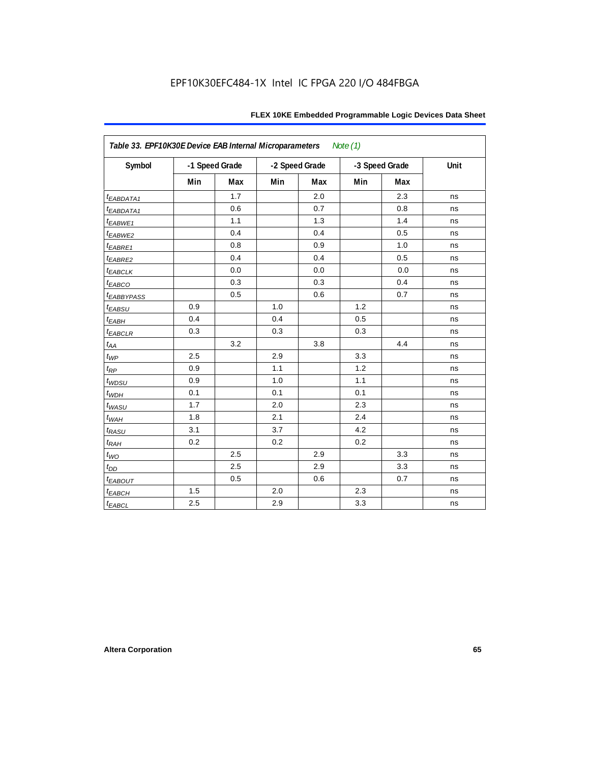| FLEX 10KE Embedded Programmable Logic Devices Data Sheet |  |
|----------------------------------------------------------|--|
|----------------------------------------------------------|--|

| Table 33. EPF10K30E Device EAB Internal Microparameters<br>Note $(1)$ |     |                |     |                |     |                |      |  |  |  |
|-----------------------------------------------------------------------|-----|----------------|-----|----------------|-----|----------------|------|--|--|--|
| Symbol                                                                |     | -1 Speed Grade |     | -2 Speed Grade |     | -3 Speed Grade | Unit |  |  |  |
|                                                                       | Min | Max            | Min | Max            | Min | Max            |      |  |  |  |
| t <sub>EABDATA1</sub>                                                 |     | 1.7            |     | 2.0            |     | 2.3            | ns   |  |  |  |
| t <sub>EABDATA1</sub>                                                 |     | 0.6            |     | 0.7            |     | 0.8            | ns   |  |  |  |
| t <sub>EABWE1</sub>                                                   |     | 1.1            |     | 1.3            |     | 1.4            | ns   |  |  |  |
| t <sub>EABWE2</sub>                                                   |     | 0.4            |     | 0.4            |     | 0.5            | ns   |  |  |  |
| $t_{EABRE1}$                                                          |     | 0.8            |     | 0.9            |     | 1.0            | ns   |  |  |  |
| t <sub>EABRE2</sub>                                                   |     | 0.4            |     | 0.4            |     | 0.5            | ns   |  |  |  |
| <sup>t</sup> EABCLK                                                   |     | 0.0            |     | 0.0            |     | 0.0            | ns   |  |  |  |
| t <sub>EABCO</sub>                                                    |     | 0.3            |     | 0.3            |     | 0.4            | ns   |  |  |  |
| <b><i>EABBYPASS</i></b>                                               |     | 0.5            |     | 0.6            |     | 0.7            | ns   |  |  |  |
| $t_{EABSU}$                                                           | 0.9 |                | 1.0 |                | 1.2 |                | ns   |  |  |  |
| $t_{EABH}$                                                            | 0.4 |                | 0.4 |                | 0.5 |                | ns   |  |  |  |
| $t_{EABCLR}$                                                          | 0.3 |                | 0.3 |                | 0.3 |                | ns   |  |  |  |
| $t_{\mathit{AA}}$                                                     |     | 3.2            |     | 3.8            |     | 4.4            | ns   |  |  |  |
| $t_{WP}$                                                              | 2.5 |                | 2.9 |                | 3.3 |                | ns   |  |  |  |
| $t_{\!R\!P}$                                                          | 0.9 |                | 1.1 |                | 1.2 |                | ns   |  |  |  |
| $t_{WDSU}$                                                            | 0.9 |                | 1.0 |                | 1.1 |                | ns   |  |  |  |
| $t_{WDH}$                                                             | 0.1 |                | 0.1 |                | 0.1 |                | ns   |  |  |  |
| $t_{WASU}$                                                            | 1.7 |                | 2.0 |                | 2.3 |                | ns   |  |  |  |
| $t_{W\!AH}$                                                           | 1.8 |                | 2.1 |                | 2.4 |                | ns   |  |  |  |
| $t_{RASU}$                                                            | 3.1 |                | 3.7 |                | 4.2 |                | ns   |  |  |  |
| $t_{RAH}$                                                             | 0.2 |                | 0.2 |                | 0.2 |                | ns   |  |  |  |
| $t_{WO}$                                                              |     | 2.5            |     | 2.9            |     | 3.3            | ns   |  |  |  |
| $t_{DD}$                                                              |     | 2.5            |     | 2.9            |     | 3.3            | ns   |  |  |  |
| $t_{EABOUT}$                                                          |     | 0.5            |     | $0.6\,$        |     | 0.7            | ns   |  |  |  |
| $t_{EABCH}$                                                           | 1.5 |                | 2.0 |                | 2.3 |                | ns   |  |  |  |
| $t_{EABCL}$                                                           | 2.5 |                | 2.9 |                | 3.3 |                | ns   |  |  |  |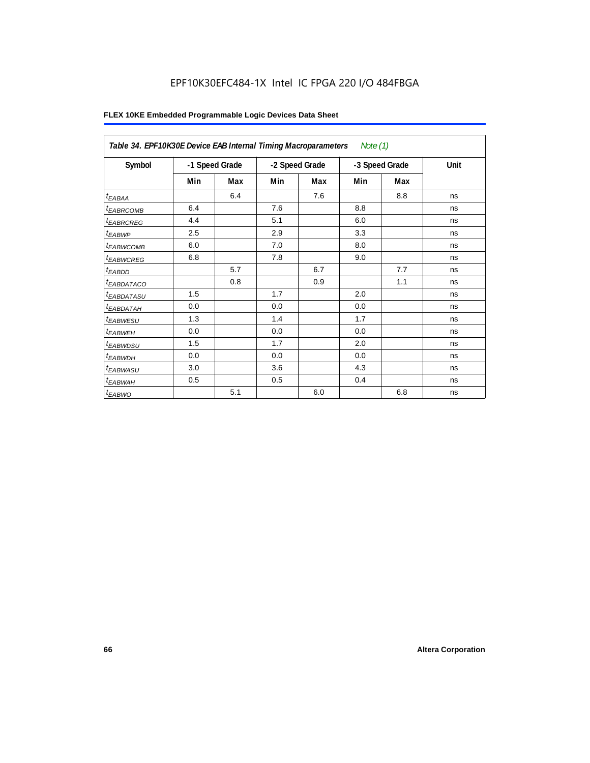## EPF10K30EFC484-1X Intel IC FPGA 220 I/O 484FBGA

|                            | Table 34. EPF10K30E Device EAB Internal Timing Macroparameters<br>Note (1) |     |                |     |                |     |      |  |  |  |  |
|----------------------------|----------------------------------------------------------------------------|-----|----------------|-----|----------------|-----|------|--|--|--|--|
| Symbol                     | -1 Speed Grade                                                             |     | -2 Speed Grade |     | -3 Speed Grade |     | Unit |  |  |  |  |
|                            | Min                                                                        | Max | Min            | Max | Min            | Max |      |  |  |  |  |
| $t_{EABA}$                 |                                                                            | 6.4 |                | 7.6 |                | 8.8 | ns   |  |  |  |  |
| <sup>t</sup> EABRCOMB      | 6.4                                                                        |     | 7.6            |     | 8.8            |     | ns   |  |  |  |  |
| <sup>t</sup> EABRCREG      | 4.4                                                                        |     | 5.1            |     | 6.0            |     | ns   |  |  |  |  |
| $t_{EABWP}$                | 2.5                                                                        |     | 2.9            |     | 3.3            |     | ns   |  |  |  |  |
| <sup>t</sup> EABWCOMB      | 6.0                                                                        |     | 7.0            |     | 8.0            |     | ns   |  |  |  |  |
| <sup>t</sup> EABWCREG      | 6.8                                                                        |     | 7.8            |     | 9.0            |     | ns   |  |  |  |  |
| $t_{EABDD}$                |                                                                            | 5.7 |                | 6.7 |                | 7.7 | ns   |  |  |  |  |
| <sup>t</sup> EABDATACO     |                                                                            | 0.8 |                | 0.9 |                | 1.1 | ns   |  |  |  |  |
| <sup>t</sup> EABDATASU     | 1.5                                                                        |     | 1.7            |     | 2.0            |     | ns   |  |  |  |  |
| <sup>t</sup> EABDATAH      | 0.0                                                                        |     | 0.0            |     | 0.0            |     | ns   |  |  |  |  |
| <i>t<sub>EABWESU</sub></i> | 1.3                                                                        |     | 1.4            |     | 1.7            |     | ns   |  |  |  |  |
| <sup>t</sup> EABWEH        | 0.0                                                                        |     | 0.0            |     | 0.0            |     | ns   |  |  |  |  |
| t <sub>EABWDSU</sub>       | 1.5                                                                        |     | 1.7            |     | 2.0            |     | ns   |  |  |  |  |
| t <sub>EABWDH</sub>        | 0.0                                                                        |     | 0.0            |     | 0.0            |     | ns   |  |  |  |  |
| t <sub>EABWASU</sub>       | 3.0                                                                        |     | 3.6            |     | 4.3            |     | ns   |  |  |  |  |
| <sup>t</sup> EABWAH        | 0.5                                                                        |     | 0.5            |     | 0.4            |     | ns   |  |  |  |  |
| $t_{EABWO}$                |                                                                            | 5.1 |                | 6.0 |                | 6.8 | ns   |  |  |  |  |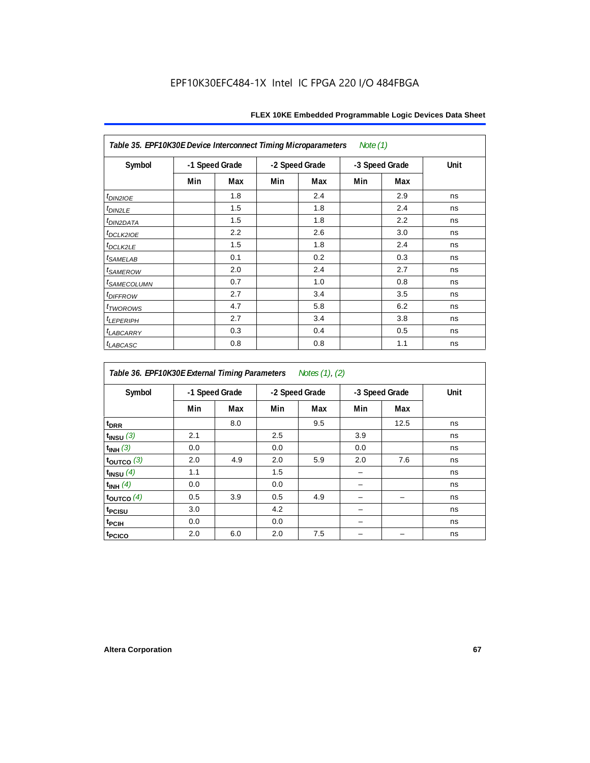| Table 35. EPF10K30E Device Interconnect Timing Microparameters<br>Note $(1)$ |     |                |     |                |     |                |      |  |  |  |
|------------------------------------------------------------------------------|-----|----------------|-----|----------------|-----|----------------|------|--|--|--|
| Symbol                                                                       |     | -1 Speed Grade |     | -2 Speed Grade |     | -3 Speed Grade | Unit |  |  |  |
|                                                                              | Min | Max            | Min | Max            | Min | Max            |      |  |  |  |
| $tD$ IN2IOE                                                                  |     | 1.8            |     | 2.4            |     | 2.9            | ns   |  |  |  |
| $t_{DIN2LE}$                                                                 |     | 1.5            |     | 1.8            |     | 2.4            | ns   |  |  |  |
| <sup>t</sup> DIN2DATA                                                        |     | 1.5            |     | 1.8            |     | 2.2            | ns   |  |  |  |
| t <sub>DCLK2IOE</sub>                                                        |     | 2.2            |     | 2.6            |     | 3.0            | ns   |  |  |  |
| $t_{DCLK2LE}$                                                                |     | 1.5            |     | 1.8            |     | 2.4            | ns   |  |  |  |
| <i>t<sub>SAMELAB</sub></i>                                                   |     | 0.1            |     | 0.2            |     | 0.3            | ns   |  |  |  |
| <i>t<sub>SAMEROW</sub></i>                                                   |     | 2.0            |     | 2.4            |     | 2.7            | ns   |  |  |  |
| <i>t<sub>SAMECOLUMN</sub></i>                                                |     | 0.7            |     | 1.0            |     | 0.8            | ns   |  |  |  |
| t <sub>DIFFROW</sub>                                                         |     | 2.7            |     | 3.4            |     | 3.5            | ns   |  |  |  |
| <i>t</i> TWOROWS                                                             |     | 4.7            |     | 5.8            |     | 6.2            | ns   |  |  |  |
| <b><i>LEPERIPH</i></b>                                                       |     | 2.7            |     | 3.4            |     | 3.8            | ns   |  |  |  |
| <b><i>LABCARRY</i></b>                                                       |     | 0.3            |     | 0.4            |     | 0.5            | ns   |  |  |  |
| t <sub>LABCASC</sub>                                                         |     | 0.8            |     | 0.8            |     | 1.1            | ns   |  |  |  |

| Table 36. EPF10K30E External Timing Parameters Notes (1), (2) |                |     |                |     |                |      |      |  |  |  |
|---------------------------------------------------------------|----------------|-----|----------------|-----|----------------|------|------|--|--|--|
| Symbol                                                        | -1 Speed Grade |     | -2 Speed Grade |     | -3 Speed Grade |      | Unit |  |  |  |
|                                                               | Min            | Max | Min            | Max | Min            | Max  |      |  |  |  |
| $t_{DRR}$                                                     |                | 8.0 |                | 9.5 |                | 12.5 | ns   |  |  |  |
| $t_{INSU}$ (3)                                                | 2.1            |     | 2.5            |     | 3.9            |      | ns   |  |  |  |
| $t_{INH}$ (3)                                                 | 0.0            |     | 0.0            |     | 0.0            |      | ns   |  |  |  |
| $t_{OUTCO}$ (3)                                               | 2.0            | 4.9 | 2.0            | 5.9 | 2.0            | 7.6  | ns   |  |  |  |
| $t_{INSU}$ (4)                                                | 1.1            |     | 1.5            |     |                |      | ns   |  |  |  |
| $t_{INH}$ (4)                                                 | 0.0            |     | 0.0            |     |                |      | ns   |  |  |  |
| $t_{OUTCO}(4)$                                                | 0.5            | 3.9 | 0.5            | 4.9 |                |      | ns   |  |  |  |
| t <sub>PCISU</sub>                                            | 3.0            |     | 4.2            |     |                |      | ns   |  |  |  |
| t <sub>PCIH</sub>                                             | 0.0            |     | 0.0            |     |                |      | ns   |  |  |  |
| t <sub>PCICO</sub>                                            | 2.0            | 6.0 | 2.0            | 7.5 |                |      | ns   |  |  |  |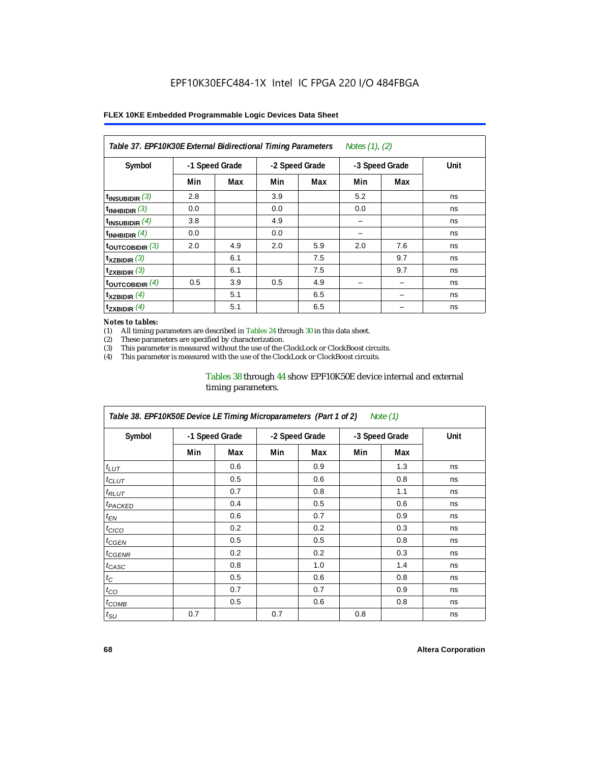| Notes (1), (2)<br>Table 37. EPF10K30E External Bidirectional Timing Parameters |                |     |     |                |     |                |      |  |  |  |
|--------------------------------------------------------------------------------|----------------|-----|-----|----------------|-----|----------------|------|--|--|--|
| Symbol                                                                         | -1 Speed Grade |     |     | -2 Speed Grade |     | -3 Speed Grade | Unit |  |  |  |
|                                                                                | Min            | Max | Min | Max            | Min | Max            |      |  |  |  |
| $t_{INSUBIDIR}$ (3)                                                            | 2.8            |     | 3.9 |                | 5.2 |                | ns   |  |  |  |
| $t_{INHBIDIR}$ (3)                                                             | 0.0            |     | 0.0 |                | 0.0 |                | ns   |  |  |  |
| t <sub>INSUBIDIR</sub> $(4)$                                                   | 3.8            |     | 4.9 |                |     |                | ns   |  |  |  |
| $t_{INHBIDIR}$ (4)                                                             | 0.0            |     | 0.0 |                |     |                | ns   |  |  |  |
| $t_{\text{OUTCOBIDIR}}$ (3)                                                    | 2.0            | 4.9 | 2.0 | 5.9            | 2.0 | 7.6            | ns   |  |  |  |
| $t_{XZBIDIR}$ (3)                                                              |                | 6.1 |     | 7.5            |     | 9.7            | ns   |  |  |  |
| $t_{ZXBIDIR}$ (3)                                                              |                | 6.1 |     | 7.5            |     | 9.7            | ns   |  |  |  |
| $t_{\text{OUTCOBIDIR}}$ (4)                                                    | 0.5            | 3.9 | 0.5 | 4.9            |     |                | ns   |  |  |  |
| $t_{XZBIDIR}$ (4)                                                              |                | 5.1 |     | 6.5            |     |                | ns   |  |  |  |
| $t_{ZXBIDIR}$ (4)                                                              |                | 5.1 |     | 6.5            |     |                | ns   |  |  |  |

#### *Notes to tables:*

(1) All timing parameters are described in Tables 24 through 30 in this data sheet.<br>(2) These parameters are specified by characterization.

(2) These parameters are specified by characterization.<br>(3) This parameter is measured without the use of the C

This parameter is measured without the use of the ClockLock or ClockBoost circuits.

(4) This parameter is measured with the use of the ClockLock or ClockBoost circuits.

#### Tables 38 through 44 show EPF10K50E device internal and external timing parameters.

| Table 38. EPF10K50E Device LE Timing Microparameters (Part 1 of 2)<br>Note (1) |     |                |     |                |     |                |      |  |  |  |
|--------------------------------------------------------------------------------|-----|----------------|-----|----------------|-----|----------------|------|--|--|--|
| Symbol                                                                         |     | -1 Speed Grade |     | -2 Speed Grade |     | -3 Speed Grade | Unit |  |  |  |
|                                                                                | Min | Max            | Min | Max            | Min | Max            |      |  |  |  |
| $t_{LUT}$                                                                      |     | 0.6            |     | 0.9            |     | 1.3            | ns   |  |  |  |
| $t_{CLUT}$                                                                     |     | 0.5            |     | 0.6            |     | 0.8            | ns   |  |  |  |
| $t_{RLUT}$                                                                     |     | 0.7            |     | 0.8            |     | 1.1            | ns   |  |  |  |
| <b><i>t<sub>PACKED</sub></i></b>                                               |     | 0.4            |     | 0.5            |     | 0.6            | ns   |  |  |  |
| $t_{EN}$                                                                       |     | 0.6            |     | 0.7            |     | 0.9            | ns   |  |  |  |
| $t_{CICO}$                                                                     |     | 0.2            |     | 0.2            |     | 0.3            | ns   |  |  |  |
| $t_{GEN}$                                                                      |     | 0.5            |     | 0.5            |     | 0.8            | ns   |  |  |  |
| ${}^t$ CGENR                                                                   |     | 0.2            |     | 0.2            |     | 0.3            | ns   |  |  |  |
| t <sub>CASC</sub>                                                              |     | 0.8            |     | 1.0            |     | 1.4            | ns   |  |  |  |
| $t_C$                                                                          |     | 0.5            |     | 0.6            |     | 0.8            | ns   |  |  |  |
| $t_{CO}$                                                                       |     | 0.7            |     | 0.7            |     | 0.9            | ns   |  |  |  |
| $t_{COMB}$                                                                     |     | 0.5            |     | 0.6            |     | 0.8            | ns   |  |  |  |
| $t_{\rm SU}$                                                                   | 0.7 |                | 0.7 |                | 0.8 |                | ns   |  |  |  |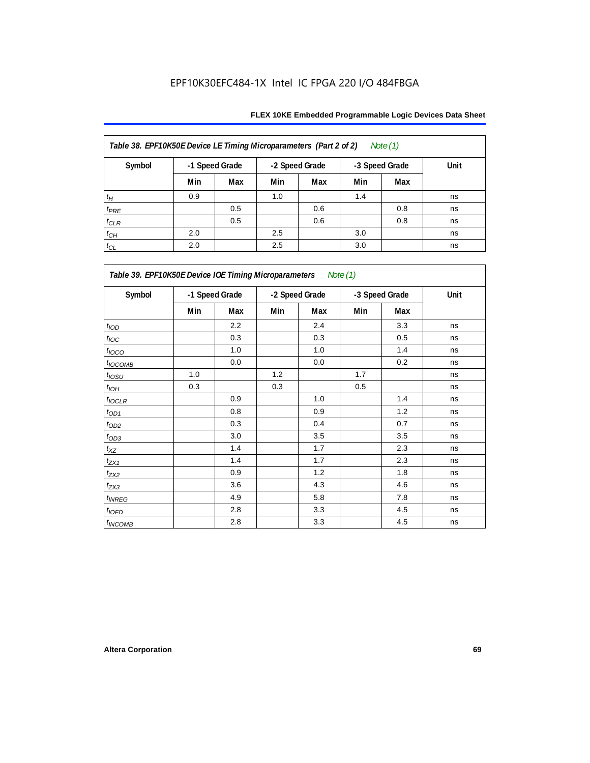| Table 38. EPF10K50E Device LE Timing Microparameters (Part 2 of 2)<br>Note $(1)$ |                |     |     |                |     |                |      |  |  |  |
|----------------------------------------------------------------------------------|----------------|-----|-----|----------------|-----|----------------|------|--|--|--|
| Symbol                                                                           | -1 Speed Grade |     |     | -2 Speed Grade |     | -3 Speed Grade | Unit |  |  |  |
|                                                                                  | Min            | Max | Min | Max            | Min | Max            |      |  |  |  |
| $t_H$                                                                            | 0.9            |     | 1.0 |                | 1.4 |                | ns   |  |  |  |
| $t_{PRE}$                                                                        |                | 0.5 |     | 0.6            |     | 0.8            | ns   |  |  |  |
| $t_{CLR}$                                                                        |                | 0.5 |     | 0.6            |     | 0.8            | ns   |  |  |  |
| $t_{CH}$                                                                         | 2.0            |     | 2.5 |                | 3.0 |                | ns   |  |  |  |
| $t_{CL}$                                                                         | 2.0            |     | 2.5 |                | 3.0 |                | ns   |  |  |  |

| Table 39. EPF10K50E Device IOE Timing Microparameters Note (1) |                |     |                |     |                |     |      |  |  |  |
|----------------------------------------------------------------|----------------|-----|----------------|-----|----------------|-----|------|--|--|--|
| Symbol                                                         | -1 Speed Grade |     | -2 Speed Grade |     | -3 Speed Grade |     | Unit |  |  |  |
|                                                                | Min            | Max | Min            | Max | Min            | Max |      |  |  |  |
| t <sub>IOD</sub>                                               |                | 2.2 |                | 2.4 |                | 3.3 | ns   |  |  |  |
| $t_{\text{IOC}}$                                               |                | 0.3 |                | 0.3 |                | 0.5 | ns   |  |  |  |
| $t_{IOCO}$                                                     |                | 1.0 |                | 1.0 |                | 1.4 | ns   |  |  |  |
| $t_{IOCOMB}$                                                   |                | 0.0 |                | 0.0 |                | 0.2 | ns   |  |  |  |
| $t_{IOSU}$                                                     | 1.0            |     | 1.2            |     | 1.7            |     | ns   |  |  |  |
| $t_{IOH}$                                                      | 0.3            |     | 0.3            |     | 0.5            |     | ns   |  |  |  |
| $t_{IOCLR}$                                                    |                | 0.9 |                | 1.0 |                | 1.4 | ns   |  |  |  |
| $t_{OD1}$                                                      |                | 0.8 |                | 0.9 |                | 1.2 | ns   |  |  |  |
| $t_{OD2}$                                                      |                | 0.3 |                | 0.4 |                | 0.7 | ns   |  |  |  |
| $t_{OD3}$                                                      |                | 3.0 |                | 3.5 |                | 3.5 | ns   |  |  |  |
| $t_{\mathsf{XZ}}$                                              |                | 1.4 |                | 1.7 |                | 2.3 | ns   |  |  |  |
| $t_{ZX1}$                                                      |                | 1.4 |                | 1.7 |                | 2.3 | ns   |  |  |  |
| $t_{ZX2}$                                                      |                | 0.9 |                | 1.2 |                | 1.8 | ns   |  |  |  |
| $t_{ZX3}$                                                      |                | 3.6 |                | 4.3 |                | 4.6 | ns   |  |  |  |
| $t_{INREG}$                                                    |                | 4.9 |                | 5.8 |                | 7.8 | ns   |  |  |  |
| $t_{IOFD}$                                                     |                | 2.8 |                | 3.3 |                | 4.5 | ns   |  |  |  |
| $t_{INCOMB}$                                                   |                | 2.8 |                | 3.3 |                | 4.5 | ns   |  |  |  |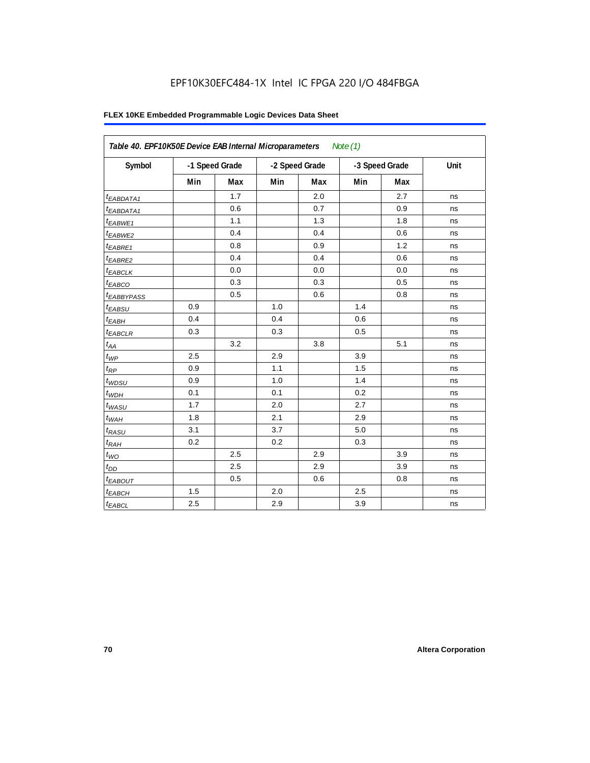## EPF10K30EFC484-1X Intel IC FPGA 220 I/O 484FBGA

| Table 40. EPF10K50E Device EAB Internal Microparameters<br>Note $(1)$ |     |                |     |                |     |                |      |  |  |  |
|-----------------------------------------------------------------------|-----|----------------|-----|----------------|-----|----------------|------|--|--|--|
| Symbol                                                                |     | -1 Speed Grade |     | -2 Speed Grade |     | -3 Speed Grade | Unit |  |  |  |
|                                                                       | Min | Max            | Min | Max            | Min | Max            |      |  |  |  |
| t <sub>EABDATA1</sub>                                                 |     | 1.7            |     | 2.0            |     | 2.7            | ns   |  |  |  |
| $t_{EABDATA1}$                                                        |     | 0.6            |     | 0.7            |     | 0.9            | ns   |  |  |  |
| t <sub>EABWE1</sub>                                                   |     | 1.1            |     | 1.3            |     | 1.8            | ns   |  |  |  |
| <sup>t</sup> EABWE2                                                   |     | 0.4            |     | 0.4            |     | 0.6            | ns   |  |  |  |
| t <sub>EABRE1</sub>                                                   |     | 0.8            |     | 0.9            |     | 1.2            | ns   |  |  |  |
| $t_{EABRE2}$                                                          |     | 0.4            |     | 0.4            |     | 0.6            | ns   |  |  |  |
| <sup>t</sup> EABCLK                                                   |     | 0.0            |     | 0.0            |     | 0.0            | ns   |  |  |  |
| $t_{EABCO}$                                                           |     | 0.3            |     | 0.3            |     | 0.5            | ns   |  |  |  |
| <sup>t</sup> EABBYPASS                                                |     | 0.5            |     | 0.6            |     | 0.8            | ns   |  |  |  |
| $t_{EABSU}$                                                           | 0.9 |                | 1.0 |                | 1.4 |                | ns   |  |  |  |
| $t_{EABH}$                                                            | 0.4 |                | 0.4 |                | 0.6 |                | ns   |  |  |  |
| $t_{EABCLR}$                                                          | 0.3 |                | 0.3 |                | 0.5 |                | ns   |  |  |  |
| $t_{AA}$                                                              |     | 3.2            |     | 3.8            |     | 5.1            | ns   |  |  |  |
| $t_{\mathit{WP}}$                                                     | 2.5 |                | 2.9 |                | 3.9 |                | ns   |  |  |  |
| $t_{RP}$                                                              | 0.9 |                | 1.1 |                | 1.5 |                | ns   |  |  |  |
| $t_{WDSU}$                                                            | 0.9 |                | 1.0 |                | 1.4 |                | ns   |  |  |  |
| $t_{WDH}$                                                             | 0.1 |                | 0.1 |                | 0.2 |                | ns   |  |  |  |
| $t_{WASU}$                                                            | 1.7 |                | 2.0 |                | 2.7 |                | ns   |  |  |  |
| $t_{WAH}$                                                             | 1.8 |                | 2.1 |                | 2.9 |                | ns   |  |  |  |
| $t_{RASU}$                                                            | 3.1 |                | 3.7 |                | 5.0 |                | ns   |  |  |  |
| $t_{RAH}$                                                             | 0.2 |                | 0.2 |                | 0.3 |                | ns   |  |  |  |
| $t_{WO}$                                                              |     | 2.5            |     | 2.9            |     | 3.9            | ns   |  |  |  |
| $t_{DD}$                                                              |     | 2.5            |     | 2.9            |     | 3.9            | ns   |  |  |  |
| t <sub>EABOUT</sub>                                                   |     | 0.5            |     | 0.6            |     | 0.8            | ns   |  |  |  |
| t <sub>EABCH</sub>                                                    | 1.5 |                | 2.0 |                | 2.5 |                | ns   |  |  |  |
| $t_{EABCL}$                                                           | 2.5 |                | 2.9 |                | 3.9 |                | ns   |  |  |  |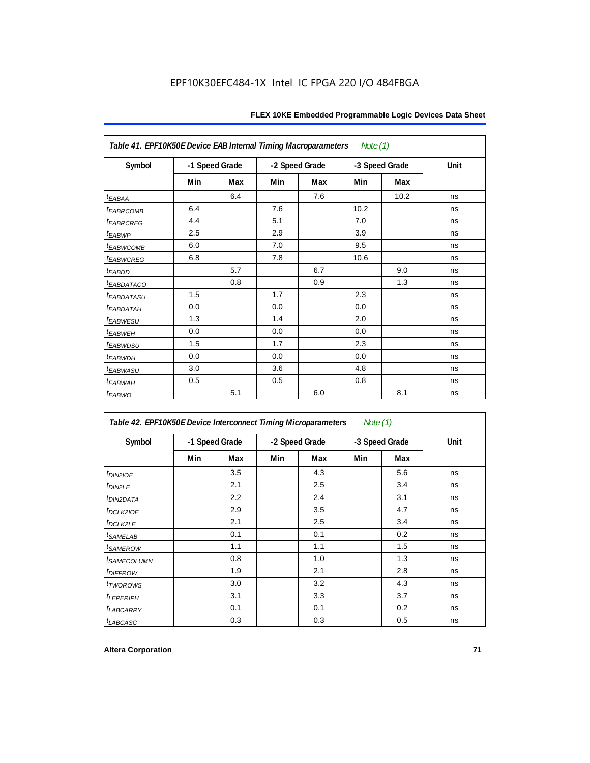| Table 41. EPF10K50E Device EAB Internal Timing Macroparameters<br>Note (1) |                |     |                |     |                |      |      |  |  |  |
|----------------------------------------------------------------------------|----------------|-----|----------------|-----|----------------|------|------|--|--|--|
| Symbol                                                                     | -1 Speed Grade |     | -2 Speed Grade |     | -3 Speed Grade |      | Unit |  |  |  |
|                                                                            | Min            | Max | Min            | Max | Min            | Max  |      |  |  |  |
| t <sub>EABAA</sub>                                                         |                | 6.4 |                | 7.6 |                | 10.2 | ns   |  |  |  |
| <b><i>EABRCOMB</i></b>                                                     | 6.4            |     | 7.6            |     | 10.2           |      | ns   |  |  |  |
| <i><b>EABRCREG</b></i>                                                     | 4.4            |     | 5.1            |     | 7.0            |      | ns   |  |  |  |
| t <sub>EABWP</sub>                                                         | 2.5            |     | 2.9            |     | 3.9            |      | ns   |  |  |  |
| <sup>t</sup> EABWCOMB                                                      | 6.0            |     | 7.0            |     | 9.5            |      | ns   |  |  |  |
| <b><i>EABWCREG</i></b>                                                     | 6.8            |     | 7.8            |     | 10.6           |      | ns   |  |  |  |
| $t_{EABDD}$                                                                |                | 5.7 |                | 6.7 |                | 9.0  | ns   |  |  |  |
| <sup>t</sup> EABDATACO                                                     |                | 0.8 |                | 0.9 |                | 1.3  | ns   |  |  |  |
| <sup>t</sup> EABDATASU                                                     | 1.5            |     | 1.7            |     | 2.3            |      | ns   |  |  |  |
| <sup>t</sup> EABDATAH                                                      | 0.0            |     | 0.0            |     | 0.0            |      | ns   |  |  |  |
| <sup>t</sup> EABWESU                                                       | 1.3            |     | 1.4            |     | 2.0            |      | ns   |  |  |  |
| t <sub>EABWEH</sub>                                                        | 0.0            |     | 0.0            |     | 0.0            |      | ns   |  |  |  |
| <sup>t</sup> EABWDSU                                                       | 1.5            |     | 1.7            |     | 2.3            |      | ns   |  |  |  |
| t <sub>EABWDH</sub>                                                        | 0.0            |     | 0.0            |     | 0.0            |      | ns   |  |  |  |
| <sup>t</sup> EABWASU                                                       | 3.0            |     | 3.6            |     | 4.8            |      | ns   |  |  |  |
| <sup>t</sup> EABWAH                                                        | 0.5            |     | 0.5            |     | 0.8            |      | ns   |  |  |  |
| $t_{EABWO}$                                                                |                | 5.1 |                | 6.0 |                | 8.1  | ns   |  |  |  |

| Table 42. EPF10K50E Device Interconnect Timing Microparameters<br>Note $(1)$ |                |     |                |     |                |     |             |
|------------------------------------------------------------------------------|----------------|-----|----------------|-----|----------------|-----|-------------|
| Symbol                                                                       | -1 Speed Grade |     | -2 Speed Grade |     | -3 Speed Grade |     | <b>Unit</b> |
|                                                                              | Min            | Max | Min            | Max | Min            | Max |             |
| $t_{DINZIOE}$                                                                |                | 3.5 |                | 4.3 |                | 5.6 | ns          |
| t <sub>DIN2LE</sub>                                                          |                | 2.1 |                | 2.5 |                | 3.4 | ns          |
| <sup>t</sup> DIN2DATA                                                        |                | 2.2 |                | 2.4 |                | 3.1 | ns          |
| <sup>t</sup> DCLK2IOE                                                        |                | 2.9 |                | 3.5 |                | 4.7 | ns          |
| <sup>t</sup> DCLK2LE                                                         |                | 2.1 |                | 2.5 |                | 3.4 | ns          |
| <sup>t</sup> SAMELAB                                                         |                | 0.1 |                | 0.1 |                | 0.2 | ns          |
| <i>t<sub>SAMEROW</sub></i>                                                   |                | 1.1 |                | 1.1 |                | 1.5 | ns          |
| <sup>t</sup> SAMECOLUMN                                                      |                | 0.8 |                | 1.0 |                | 1.3 | ns          |
| <i>t<sub>DIFFROW</sub></i>                                                   |                | 1.9 |                | 2.1 |                | 2.8 | ns          |
| <i>t</i> TWOROWS                                                             |                | 3.0 |                | 3.2 |                | 4.3 | ns          |
| <sup>t</sup> LEPERIPH                                                        |                | 3.1 |                | 3.3 |                | 3.7 | ns          |
| <b>LABCARRY</b>                                                              |                | 0.1 |                | 0.1 |                | 0.2 | ns          |
| t <sub>LABCASC</sub>                                                         |                | 0.3 |                | 0.3 |                | 0.5 | ns          |

r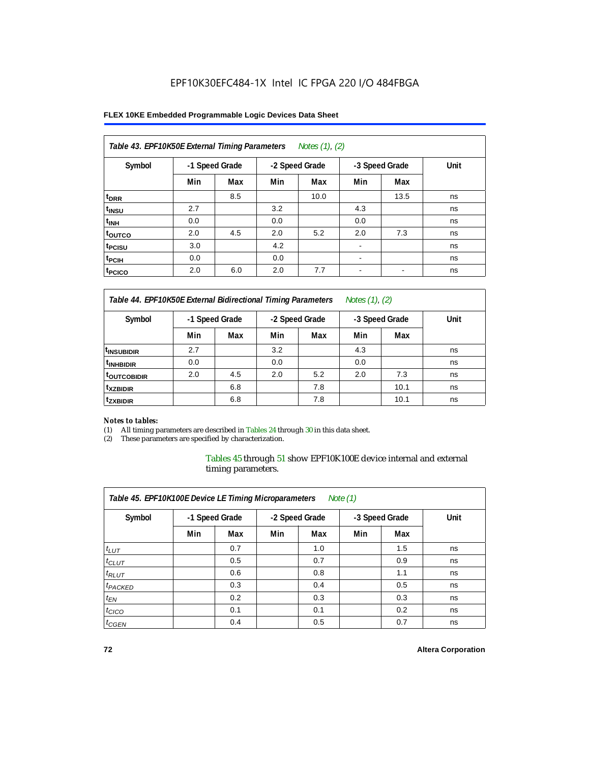#### **FLEX 10KE Embedded Programmable Logic Devices Data Sheet**

| Table 43. EPF10K50E External Timing Parameters<br>Notes (1), (2) |     |                |     |                |                          |                |      |  |  |  |
|------------------------------------------------------------------|-----|----------------|-----|----------------|--------------------------|----------------|------|--|--|--|
| Symbol                                                           |     | -1 Speed Grade |     | -2 Speed Grade |                          | -3 Speed Grade | Unit |  |  |  |
|                                                                  | Min | Max            | Min | Max            | Min                      | Max            |      |  |  |  |
| t <sub>DRR</sub>                                                 |     | 8.5            |     | 10.0           |                          | 13.5           | ns   |  |  |  |
| t <sub>insu</sub>                                                | 2.7 |                | 3.2 |                | 4.3                      |                | ns   |  |  |  |
| $t_{\rm INH}$                                                    | 0.0 |                | 0.0 |                | 0.0                      |                | ns   |  |  |  |
| toutco                                                           | 2.0 | 4.5            | 2.0 | 5.2            | 2.0                      | 7.3            | ns   |  |  |  |
| t <sub>PCISU</sub>                                               | 3.0 |                | 4.2 |                |                          |                | ns   |  |  |  |
| <sup>t</sup> PCIH                                                | 0.0 |                | 0.0 |                | $\overline{\phantom{a}}$ |                | ns   |  |  |  |
| <sup>t</sup> PCICO                                               | 2.0 | 6.0            | 2.0 | 7.7            | $\blacksquare$           |                | ns   |  |  |  |

*Table 44. EPF10K50E External Bidirectional Timing Parameters Notes (1), (2)*

| Symbol                 | -1 Speed Grade |     | -2 Speed Grade |     | -3 Speed Grade |      | Unit |
|------------------------|----------------|-----|----------------|-----|----------------|------|------|
|                        | Min            | Max | Min            | Max | Min            | Max  |      |
| <sup>t</sup> INSUBIDIR | 2.7            |     | 3.2            |     | 4.3            |      | ns   |
| <sup>t</sup> INHBIDIR  | 0.0            |     | 0.0            |     | 0.0            |      | ns   |
| <b>TOUTCOBIDIR</b>     | 2.0            | 4.5 | 2.0            | 5.2 | 2.0            | 7.3  | ns   |
| <sup>t</sup> xzbidir   |                | 6.8 |                | 7.8 |                | 10.1 | ns   |
| <sup>t</sup> zxbidir   |                | 6.8 |                | 7.8 |                | 10.1 | ns   |

#### *Notes to tables:*

(1) All timing parameters are described in Tables 24 through 30 in this data sheet.

(2) These parameters are specified by characterization.

Tables 45 through 51 show EPF10K100E device internal and external timing parameters.

| Table 45. EPF10K100E Device LE Timing Microparameters<br>Note $(1)$ |                |     |                |     |                |     |      |  |  |  |
|---------------------------------------------------------------------|----------------|-----|----------------|-----|----------------|-----|------|--|--|--|
| Symbol                                                              | -1 Speed Grade |     | -2 Speed Grade |     | -3 Speed Grade |     | Unit |  |  |  |
|                                                                     | Min            | Max | Min            | Max | Min            | Max |      |  |  |  |
| $t_{LUT}$                                                           |                | 0.7 |                | 1.0 |                | 1.5 | ns   |  |  |  |
| $t_{CLUT}$                                                          |                | 0.5 |                | 0.7 |                | 0.9 | ns   |  |  |  |
| $t_{RLUT}$                                                          |                | 0.6 |                | 0.8 |                | 1.1 | ns   |  |  |  |
| <sup>t</sup> PACKED                                                 |                | 0.3 |                | 0.4 |                | 0.5 | ns   |  |  |  |
| $t_{EN}$                                                            |                | 0.2 |                | 0.3 |                | 0.3 | ns   |  |  |  |
| $t_{CICO}$                                                          |                | 0.1 |                | 0.1 |                | 0.2 | ns   |  |  |  |
| $t_{\text{GEN}}$                                                    |                | 0.4 |                | 0.5 |                | 0.7 | ns   |  |  |  |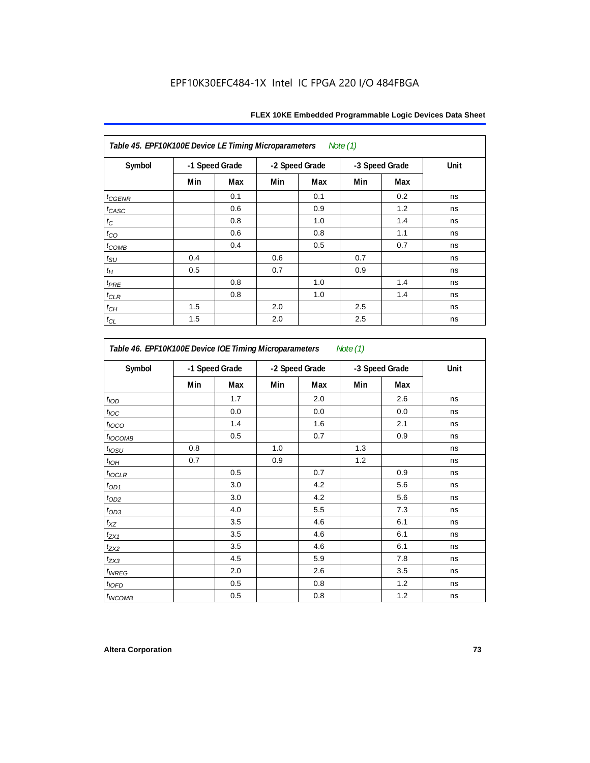| Table 45. EPF10K100E Device LE Timing Microparameters Note (1) |     |                |     |                |     |                |      |  |  |  |  |
|----------------------------------------------------------------|-----|----------------|-----|----------------|-----|----------------|------|--|--|--|--|
| Symbol                                                         |     | -1 Speed Grade |     | -2 Speed Grade |     | -3 Speed Grade | Unit |  |  |  |  |
|                                                                | Min | Max            | Min | Max            | Min | Max            |      |  |  |  |  |
| $t_{GENR}$                                                     |     | 0.1            |     | 0.1            |     | 0.2            | ns   |  |  |  |  |
| $t_{CASC}$                                                     |     | 0.6            |     | 0.9            |     | 1.2            | ns   |  |  |  |  |
| $t_{\rm C}$                                                    |     | 0.8            |     | 1.0            |     | 1.4            | ns   |  |  |  |  |
| $t_{CO}$                                                       |     | 0.6            |     | 0.8            |     | 1.1            | ns   |  |  |  |  |
| $t_{COMB}$                                                     |     | 0.4            |     | 0.5            |     | 0.7            | ns   |  |  |  |  |
| $t_{\text{SU}}$                                                | 0.4 |                | 0.6 |                | 0.7 |                | ns   |  |  |  |  |
| $t_H$                                                          | 0.5 |                | 0.7 |                | 0.9 |                | ns   |  |  |  |  |
| $t_{PRE}$                                                      |     | 0.8            |     | 1.0            |     | 1.4            | ns   |  |  |  |  |
| $t_{CLR}$                                                      |     | 0.8            |     | 1.0            |     | 1.4            | ns   |  |  |  |  |
| $t_{CH}$                                                       | 1.5 |                | 2.0 |                | 2.5 |                | ns   |  |  |  |  |
| $t_{CL}$                                                       | 1.5 |                | 2.0 |                | 2.5 |                | ns   |  |  |  |  |

| Symbol                   |     | -1 Speed Grade | -2 Speed Grade |     |     | -3 Speed Grade | Unit |
|--------------------------|-----|----------------|----------------|-----|-----|----------------|------|
|                          | Min | Max            | Min            | Max | Min | Max            |      |
| t <sub>IOD</sub>         |     | 1.7            |                | 2.0 |     | 2.6            | ns   |
| $t_{\text{loc}}$         |     | 0.0            |                | 0.0 |     | 0.0            | ns   |
| $t_{\text{IOCO}}$        |     | 1.4            |                | 1.6 |     | 2.1            | ns   |
| t <sub>IOCOMB</sub>      |     | 0.5            |                | 0.7 |     | 0.9            | ns   |
| $t_{IOSU}$               | 0.8 |                | 1.0            |     | 1.3 |                | ns   |
| $t_{IOH}$                | 0.7 |                | 0.9            |     | 1.2 |                | ns   |
| $t_{IOCLR}$              |     | 0.5            |                | 0.7 |     | 0.9            | ns   |
| $t_{OD1}$                |     | 3.0            |                | 4.2 |     | 5.6            | ns   |
| $t_{OD2}$                |     | 3.0            |                | 4.2 |     | 5.6            | ns   |
| $t_{OD3}$                |     | 4.0            |                | 5.5 |     | 7.3            | ns   |
| $t_{XZ}$                 |     | 3.5            |                | 4.6 |     | 6.1            | ns   |
| $t_{ZX1}$                |     | 3.5            |                | 4.6 |     | 6.1            | ns   |
| $t_{ZX2}$                |     | 3.5            |                | 4.6 |     | 6.1            | ns   |
| $t_{ZX3}$                |     | 4.5            |                | 5.9 |     | 7.8            | ns   |
| <i>t<sub>INREG</sub></i> |     | 2.0            |                | 2.6 |     | 3.5            | ns   |
| $t_{IOED}$               |     | 0.5            |                | 0.8 |     | 1.2            | ns   |
| <sup>t</sup> INCOMB      |     | 0.5            |                | 0.8 |     | 1.2            | ns   |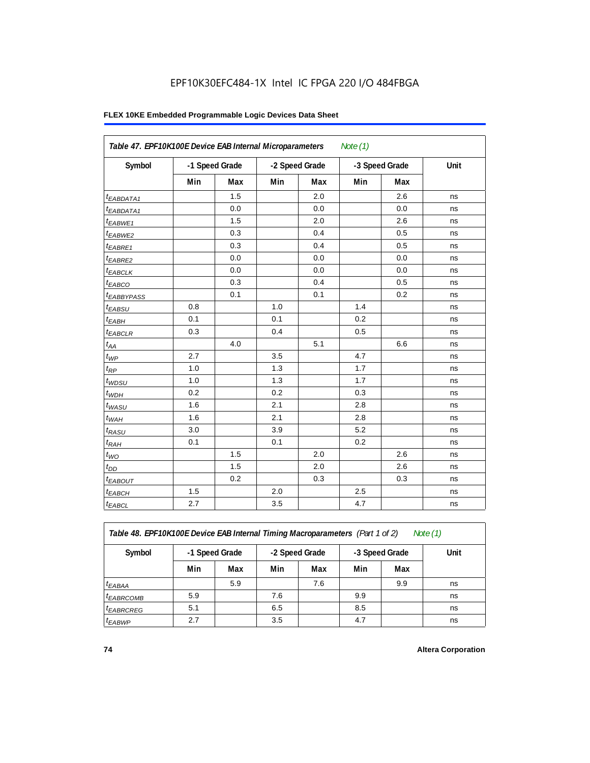#### **FLEX 10KE Embedded Programmable Logic Devices Data Sheet**

|                        | Table 47. EPF10K100E Device EAB Internal Microparameters<br>Note $(1)$ |     |                |     |                |     |      |  |  |  |  |
|------------------------|------------------------------------------------------------------------|-----|----------------|-----|----------------|-----|------|--|--|--|--|
| Symbol                 | -1 Speed Grade                                                         |     | -2 Speed Grade |     | -3 Speed Grade |     | Unit |  |  |  |  |
|                        | Min                                                                    | Max | Min            | Max | Min            | Max |      |  |  |  |  |
| <sup>t</sup> EABDATA1  |                                                                        | 1.5 |                | 2.0 |                | 2.6 | ns   |  |  |  |  |
| $t_{EABDATA1}$         |                                                                        | 0.0 |                | 0.0 |                | 0.0 | ns   |  |  |  |  |
| $t_{EABWE1}$           |                                                                        | 1.5 |                | 2.0 |                | 2.6 | ns   |  |  |  |  |
| t <sub>EABWE2</sub>    |                                                                        | 0.3 |                | 0.4 |                | 0.5 | ns   |  |  |  |  |
| t <sub>EABRE1</sub>    |                                                                        | 0.3 |                | 0.4 |                | 0.5 | ns   |  |  |  |  |
| $t_{EABRE2}$           |                                                                        | 0.0 |                | 0.0 |                | 0.0 | ns   |  |  |  |  |
| $t_{EABCLK}$           |                                                                        | 0.0 |                | 0.0 |                | 0.0 | ns   |  |  |  |  |
| $t_{EABCO}$            |                                                                        | 0.3 |                | 0.4 |                | 0.5 | ns   |  |  |  |  |
| t <sub>EABBYPASS</sub> |                                                                        | 0.1 |                | 0.1 |                | 0.2 | ns   |  |  |  |  |
| $t_{EABSU}$            | 0.8                                                                    |     | 1.0            |     | 1.4            |     | ns   |  |  |  |  |
| $t_{EABH}$             | 0.1                                                                    |     | 0.1            |     | 0.2            |     | ns   |  |  |  |  |
| $t_{EABCLR}$           | 0.3                                                                    |     | 0.4            |     | 0.5            |     | ns   |  |  |  |  |
| $t_{AA}$               |                                                                        | 4.0 |                | 5.1 |                | 6.6 | ns   |  |  |  |  |
| $t_{WP}$               | 2.7                                                                    |     | 3.5            |     | 4.7            |     | ns   |  |  |  |  |
| $t_{RP}$               | 1.0                                                                    |     | 1.3            |     | 1.7            |     | ns   |  |  |  |  |
| $t_{WDSU}$             | 1.0                                                                    |     | 1.3            |     | 1.7            |     | ns   |  |  |  |  |
| $t_{WDH}$              | 0.2                                                                    |     | 0.2            |     | 0.3            |     | ns   |  |  |  |  |
| $t_{WASU}$             | 1.6                                                                    |     | 2.1            |     | 2.8            |     | ns   |  |  |  |  |
| $t_{WAH}$              | 1.6                                                                    |     | 2.1            |     | 2.8            |     | ns   |  |  |  |  |
| $t_{RASU}$             | 3.0                                                                    |     | 3.9            |     | 5.2            |     | ns   |  |  |  |  |
| $t_{RAH}$              | 0.1                                                                    |     | 0.1            |     | 0.2            |     | ns   |  |  |  |  |
| $t_{WO}$               |                                                                        | 1.5 |                | 2.0 |                | 2.6 | ns   |  |  |  |  |
| $t_{DD}$               |                                                                        | 1.5 |                | 2.0 |                | 2.6 | ns   |  |  |  |  |
| $t_{EABOUT}$           |                                                                        | 0.2 |                | 0.3 |                | 0.3 | ns   |  |  |  |  |
| <sup>t</sup> EABCH     | 1.5                                                                    |     | 2.0            |     | 2.5            |     | ns   |  |  |  |  |
| $t_{EABCL}$            | 2.7                                                                    |     | 3.5            |     | 4.7            |     | ns   |  |  |  |  |

*Table 48. EPF10K100E Device EAB Internal Timing Macroparameters (Part 1 of 2) Note (1)*

| Symbol                | -1 Speed Grade |     |     | -2 Speed Grade |     | -3 Speed Grade | Unit |
|-----------------------|----------------|-----|-----|----------------|-----|----------------|------|
|                       | Min            | Max | Min | Max            | Min | Max            |      |
| $t_{EABA}$            |                | 5.9 |     | 7.6            |     | 9.9            | ns   |
| <sup>t</sup> EABRCOMB | 5.9            |     | 7.6 |                | 9.9 |                | ns   |
| $t_{EABRCREG}$        | 5.1            |     | 6.5 |                | 8.5 |                | ns   |
| $t_{EABWP}$           | 2.7            |     | 3.5 |                | 4.7 |                | ns   |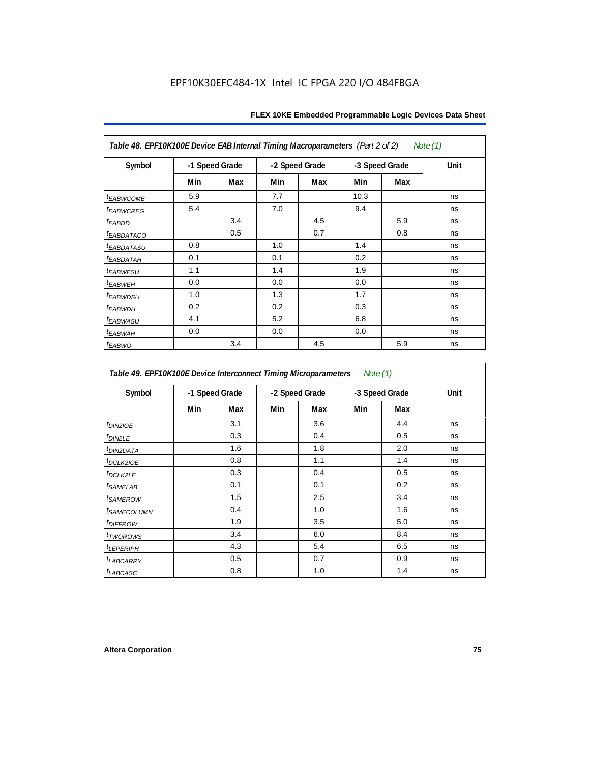| Table 48. EPF10K100E Device EAB Internal Timing Macroparameters (Part 2 of 2)<br>Note (1) |                |     |     |                |      |                |      |  |  |  |  |
|-------------------------------------------------------------------------------------------|----------------|-----|-----|----------------|------|----------------|------|--|--|--|--|
| Symbol                                                                                    | -1 Speed Grade |     |     | -2 Speed Grade |      | -3 Speed Grade | Unit |  |  |  |  |
|                                                                                           | Min            | Max | Min | Max            | Min  | Max            |      |  |  |  |  |
| <i><b>EABWCOMB</b></i>                                                                    | 5.9            |     | 7.7 |                | 10.3 |                | ns   |  |  |  |  |
| <sup>t</sup> EABWCREG                                                                     | 5.4            |     | 7.0 |                | 9.4  |                | ns   |  |  |  |  |
| <sup>t</sup> EABDD                                                                        |                | 3.4 |     | 4.5            |      | 5.9            | ns   |  |  |  |  |
| <b><i>EABDATACO</i></b>                                                                   |                | 0.5 |     | 0.7            |      | 0.8            | ns   |  |  |  |  |
| <sup>t</sup> EABDATASU                                                                    | 0.8            |     | 1.0 |                | 1.4  |                | ns   |  |  |  |  |
| <sup>t</sup> EABDATAH                                                                     | 0.1            |     | 0.1 |                | 0.2  |                | ns   |  |  |  |  |
| t <sub>EABWESU</sub>                                                                      | 1.1            |     | 1.4 |                | 1.9  |                | ns   |  |  |  |  |
| <sup>t</sup> EABWEH                                                                       | 0.0            |     | 0.0 |                | 0.0  |                | ns   |  |  |  |  |
| <sup>t</sup> EABWDSU                                                                      | 1.0            |     | 1.3 |                | 1.7  |                | ns   |  |  |  |  |
| <sup>t</sup> EABWDH                                                                       | 0.2            |     | 0.2 |                | 0.3  |                | ns   |  |  |  |  |
| <sup>t</sup> EABWASU                                                                      | 4.1            |     | 5.2 |                | 6.8  |                | ns   |  |  |  |  |
| <sup>t</sup> ЕАВWАН                                                                       | 0.0            |     | 0.0 |                | 0.0  |                | ns   |  |  |  |  |
| t <sub>EABWO</sub>                                                                        |                | 3.4 |     | 4.5            |      | 5.9            | ns   |  |  |  |  |

*Table 49. EPF10K100E Device Interconnect Timing Microparameters Note (1)*

| Symbol                        | -1 Speed Grade |     |     | -2 Speed Grade |     | -3 Speed Grade | Unit |
|-------------------------------|----------------|-----|-----|----------------|-----|----------------|------|
|                               | Min            | Max | Min | Max            | Min | Max            |      |
| $tD$ IN2IOE                   |                | 3.1 |     | 3.6            |     | 4.4            | ns   |
| t <sub>DIN2LE</sub>           |                | 0.3 |     | 0.4            |     | 0.5            | ns   |
| <sup>t</sup> DIN2DATA         |                | 1.6 |     | 1.8            |     | 2.0            | ns   |
| $t_{DCLK2IOE}$                |                | 0.8 |     | 1.1            |     | 1.4            | ns   |
| $t$ DCLK2LE                   |                | 0.3 |     | 0.4            |     | 0.5            | ns   |
| <sup>t</sup> SAMELAB          |                | 0.1 |     | 0.1            |     | 0.2            | ns   |
| <i>t</i> SAMEROW              |                | 1.5 |     | 2.5            |     | 3.4            | ns   |
| <i>t<sub>SAMECOLUMN</sub></i> |                | 0.4 |     | 1.0            |     | 1.6            | ns   |
| <i>t<sub>DIFFROW</sub></i>    |                | 1.9 |     | 3.5            |     | 5.0            | ns   |
| <i>t</i> TWOROWS              |                | 3.4 |     | 6.0            |     | 8.4            | ns   |
| <b><i>LEPERIPH</i></b>        |                | 4.3 |     | 5.4            |     | 6.5            | ns   |
| t <sub>LABCARRY</sub>         |                | 0.5 |     | 0.7            |     | 0.9            | ns   |
| $t_{LABCASC}$                 |                | 0.8 |     | 1.0            |     | 1.4            | ns   |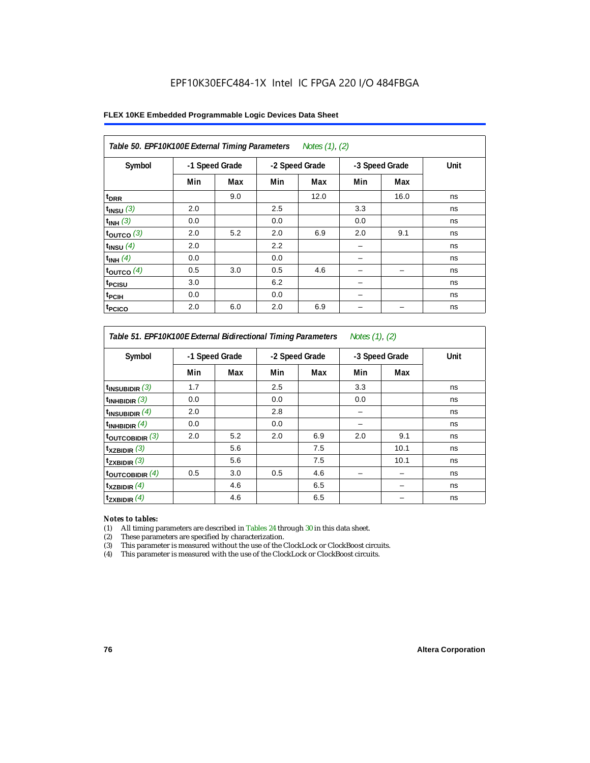| FLEX 10KE Embedded Programmable Logic Devices Data Sheet |  |
|----------------------------------------------------------|--|
|----------------------------------------------------------|--|

| Table 50. EPF10K100E External Timing Parameters Notes (1), (2) |                |     |     |                |     |                |      |  |  |  |
|----------------------------------------------------------------|----------------|-----|-----|----------------|-----|----------------|------|--|--|--|
| Symbol                                                         | -1 Speed Grade |     |     | -2 Speed Grade |     | -3 Speed Grade | Unit |  |  |  |
|                                                                | Min            | Max | Min | Max            | Min | Max            |      |  |  |  |
| t <sub>DRR</sub>                                               |                | 9.0 |     | 12.0           |     | 16.0           | ns   |  |  |  |
| $t_{INSU}$ (3)                                                 | 2.0            |     | 2.5 |                | 3.3 |                | ns   |  |  |  |
| $t_{INH}$ (3)                                                  | 0.0            |     | 0.0 |                | 0.0 |                | ns   |  |  |  |
| $t_{OUTCO}$ (3)                                                | 2.0            | 5.2 | 2.0 | 6.9            | 2.0 | 9.1            | ns   |  |  |  |
| $t_{INSU}$ (4)                                                 | 2.0            |     | 2.2 |                |     |                | ns   |  |  |  |
| $t_{INH}$ (4)                                                  | 0.0            |     | 0.0 |                |     |                | ns   |  |  |  |
| $t_{OUTCO}$ (4)                                                | 0.5            | 3.0 | 0.5 | 4.6            |     | -              | ns   |  |  |  |
| t <sub>PCISU</sub>                                             | 3.0            |     | 6.2 |                |     |                | ns   |  |  |  |
| t <sub>PCIH</sub>                                              | 0.0            |     | 0.0 |                |     |                | ns   |  |  |  |
| t <sub>PCICO</sub>                                             | 2.0            | 6.0 | 2.0 | 6.9            |     |                | ns   |  |  |  |

*Table 51. EPF10K100E External Bidirectional Timing Parameters Notes (1), (2)*

| Symbol                      |     | -1 Speed Grade |     | -2 Speed Grade | -3 Speed Grade |      | Unit |
|-----------------------------|-----|----------------|-----|----------------|----------------|------|------|
|                             | Min | Max            | Min | Max            | Min            | Max  |      |
| $t_{INSUBIDIR}$ (3)         | 1.7 |                | 2.5 |                | 3.3            |      | ns   |
| $t_{INHBIDIR}$ (3)          | 0.0 |                | 0.0 |                | 0.0            |      | ns   |
| $t_{INSUBIDIR}(4)$          | 2.0 |                | 2.8 |                |                |      | ns   |
| $t_{INHBIDIR}(4)$           | 0.0 |                | 0.0 |                |                |      | ns   |
| $t_{\text{OUTCOBIDIR}}$ (3) | 2.0 | 5.2            | 2.0 | 6.9            | 2.0            | 9.1  | ns   |
| $t_{XZBIDIR}$ (3)           |     | 5.6            |     | 7.5            |                | 10.1 | ns   |
| $t_{ZXBIDIR}$ (3)           |     | 5.6            |     | 7.5            |                | 10.1 | ns   |
| toutcobidir $(4)$           | 0.5 | 3.0            | 0.5 | 4.6            |                |      | ns   |
| $t_{XZBIDIR}$ (4)           |     | 4.6            |     | 6.5            |                |      | ns   |
| $t_{ZXBIDIR}$ (4)           |     | 4.6            |     | 6.5            |                |      | ns   |

#### *Notes to tables:*

(1) All timing parameters are described in Tables 24 through 30 in this data sheet.

(2) These parameters are specified by characterization.

(3) This parameter is measured without the use of the ClockLock or ClockBoost circuits.

(4) This parameter is measured with the use of the ClockLock or ClockBoost circuits.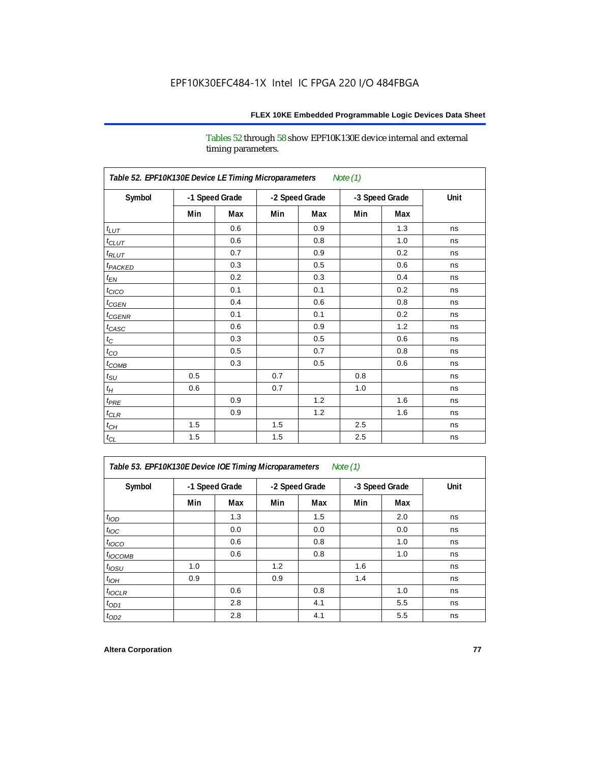Tables 52 through 58 show EPF10K130E device internal and external timing parameters.

| Table 52. EPF10K130E Device LE Timing Microparameters<br><b>Note (1)</b> |                |     |     |                |     |                |      |  |  |  |
|--------------------------------------------------------------------------|----------------|-----|-----|----------------|-----|----------------|------|--|--|--|
| Symbol                                                                   | -1 Speed Grade |     |     | -2 Speed Grade |     | -3 Speed Grade | Unit |  |  |  |
|                                                                          | Min            | Max | Min | Max            | Min | Max            |      |  |  |  |
| $t_{LUT}$                                                                |                | 0.6 |     | 0.9            |     | 1.3            | ns   |  |  |  |
| $t_{CLUT}$                                                               |                | 0.6 |     | 0.8            |     | 1.0            | ns   |  |  |  |
| $t_{RLUT}$                                                               |                | 0.7 |     | 0.9            |     | 0.2            | ns   |  |  |  |
| t <sub>PACKED</sub>                                                      |                | 0.3 |     | 0.5            |     | 0.6            | ns   |  |  |  |
| $t_{EN}$                                                                 |                | 0.2 |     | 0.3            |     | 0.4            | ns   |  |  |  |
| $t_{CICO}$                                                               |                | 0.1 |     | 0.1            |     | 0.2            | ns   |  |  |  |
| $t_{CGEN}$                                                               |                | 0.4 |     | 0.6            |     | 0.8            | ns   |  |  |  |
| $t_{CGENR}$                                                              |                | 0.1 |     | 0.1            |     | 0.2            | ns   |  |  |  |
| $t_{CASC}$                                                               |                | 0.6 |     | 0.9            |     | 1.2            | ns   |  |  |  |
| $t_{\rm C}$                                                              |                | 0.3 |     | 0.5            |     | 0.6            | ns   |  |  |  |
| $t_{CO}$                                                                 |                | 0.5 |     | 0.7            |     | 0.8            | ns   |  |  |  |
| $t_{\text{COMB}}$                                                        |                | 0.3 |     | 0.5            |     | 0.6            | ns   |  |  |  |
| $t_{\rm SU}$                                                             | 0.5            |     | 0.7 |                | 0.8 |                | ns   |  |  |  |
| $t_H$                                                                    | 0.6            |     | 0.7 |                | 1.0 |                | ns   |  |  |  |
| $t_{PRE}$                                                                |                | 0.9 |     | 1.2            |     | 1.6            | ns   |  |  |  |
| $t_{CLR}$                                                                |                | 0.9 |     | 1.2            |     | 1.6            | ns   |  |  |  |
| $t_{CH}$                                                                 | 1.5            |     | 1.5 |                | 2.5 |                | ns   |  |  |  |
| $t_{\rm CL}$                                                             | 1.5            |     | 1.5 |                | 2.5 |                | ns   |  |  |  |

*Table 53. EPF10K130E Device IOE Timing Microparameters Note (1)*

| Symbol           |     | -1 Speed Grade |     | -2 Speed Grade |     | -3 Speed Grade | Unit |  |
|------------------|-----|----------------|-----|----------------|-----|----------------|------|--|
|                  | Min | Max            | Min | Max            | Min | Max            |      |  |
| t <sub>IOD</sub> |     | 1.3            |     | 1.5            |     | 2.0            | ns   |  |
| $t_{\text{IOC}}$ |     | 0.0            |     | 0.0            |     | 0.0            | ns   |  |
| $t_{IOCO}$       |     | 0.6            |     | 0.8            |     | 1.0            | ns   |  |
| $t_{IOCOMB}$     |     | 0.6            |     | 0.8            |     | 1.0            | ns   |  |
| $t_{IOSU}$       | 1.0 |                | 1.2 |                | 1.6 |                | ns   |  |
| $t_{IOH}$        | 0.9 |                | 0.9 |                | 1.4 |                | ns   |  |
| $t_{IOCLR}$      |     | 0.6            |     | 0.8            |     | 1.0            | ns   |  |
| $t_{OD1}$        |     | 2.8            |     | 4.1            |     | 5.5            | ns   |  |
| $t_{OD2}$        |     | 2.8            |     | 4.1            |     | 5.5            | ns   |  |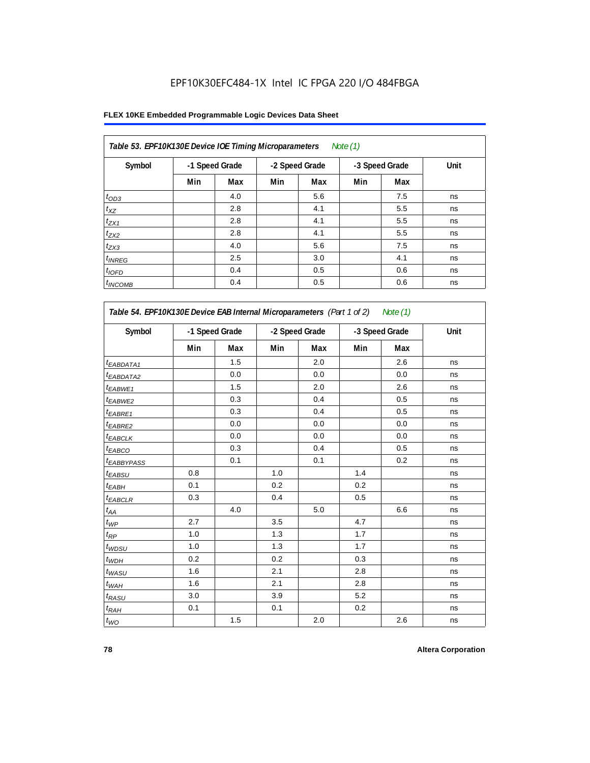## **FLEX 10KE Embedded Programmable Logic Devices Data Sheet**

| Table 53. EPF10K130E Device IOE Timing Microparameters<br>Note $(1)$ |                |     |                |     |                |     |      |  |  |  |  |
|----------------------------------------------------------------------|----------------|-----|----------------|-----|----------------|-----|------|--|--|--|--|
| Symbol                                                               | -1 Speed Grade |     | -2 Speed Grade |     | -3 Speed Grade |     | Unit |  |  |  |  |
|                                                                      | Min            | Max | Min            | Max | Min            | Max |      |  |  |  |  |
| $t_{OD3}$                                                            |                | 4.0 |                | 5.6 |                | 7.5 | ns   |  |  |  |  |
| $t_{XZ}$                                                             |                | 2.8 |                | 4.1 |                | 5.5 | ns   |  |  |  |  |
| $t_{ZX1}$                                                            |                | 2.8 |                | 4.1 |                | 5.5 | ns   |  |  |  |  |
| $t_{ZX2}$                                                            |                | 2.8 |                | 4.1 |                | 5.5 | ns   |  |  |  |  |
| $t_{ZX3}$                                                            |                | 4.0 |                | 5.6 |                | 7.5 | ns   |  |  |  |  |
| $t_{INREG}$                                                          |                | 2.5 |                | 3.0 |                | 4.1 | ns   |  |  |  |  |
| $t_{IOFD}$                                                           |                | 0.4 |                | 0.5 |                | 0.6 | ns   |  |  |  |  |
| $t_{INCOMB}$                                                         |                | 0.4 |                | 0.5 |                | 0.6 | ns   |  |  |  |  |

| Symbol                       |     | -1 Speed Grade |     | -2 Speed Grade |     | -3 Speed Grade |    |
|------------------------------|-----|----------------|-----|----------------|-----|----------------|----|
|                              | Min | Max            | Min | Max            | Min | Max            |    |
| <sup>t</sup> EABDATA1        |     | 1.5            |     | 2.0            |     | 2.6            | ns |
| <sup>t</sup> EABDATA2        |     | 0.0            |     | 0.0            |     | 0.0            | ns |
| t <sub>EABWE1</sub>          |     | 1.5            |     | 2.0            |     | 2.6            | ns |
| <sup>t</sup> EABWE2          |     | 0.3            |     | 0.4            |     | 0.5            | ns |
| t <sub>EABRE1</sub>          |     | 0.3            |     | 0.4            |     | 0.5            | ns |
| t <sub>EABRE2</sub>          |     | 0.0            |     | 0.0            |     | 0.0            | ns |
| $t_{EABCLK}$                 |     | 0.0            |     | 0.0            |     | 0.0            | ns |
| t <sub>EABCO</sub>           |     | 0.3            |     | 0.4            |     | 0.5            | ns |
| t <sub>EABBYPASS</sub>       |     | 0.1            |     | 0.1            |     | 0.2            | ns |
| $t_{EABSU}$                  | 0.8 |                | 1.0 |                | 1.4 |                | ns |
| t <sub>EABH</sub>            | 0.1 |                | 0.2 |                | 0.2 |                | ns |
| t <sub>EABCLR</sub>          | 0.3 |                | 0.4 |                | 0.5 |                | ns |
| $t_{\mathcal{A}\mathcal{A}}$ |     | 4.0            |     | 5.0            |     | 6.6            | ns |
| $t_{WP}$                     | 2.7 |                | 3.5 |                | 4.7 |                | ns |
| $t_{\mathsf{RP}}$            | 1.0 |                | 1.3 |                | 1.7 |                | ns |
| $t_{WDSU}$                   | 1.0 |                | 1.3 |                | 1.7 |                | ns |
| $t_{WDH}$                    | 0.2 |                | 0.2 |                | 0.3 |                | ns |
| $t_{WASU}$                   | 1.6 |                | 2.1 |                | 2.8 |                | ns |
| $t_{WAH}$                    | 1.6 |                | 2.1 |                | 2.8 |                | ns |
| $t_{RASU}$                   | 3.0 |                | 3.9 |                | 5.2 |                | ns |
| $t_{RAH}$                    | 0.1 |                | 0.1 |                | 0.2 |                | ns |
| $t_{WO}$                     |     | 1.5            |     | 2.0            |     | 2.6            | ns |

٦

'n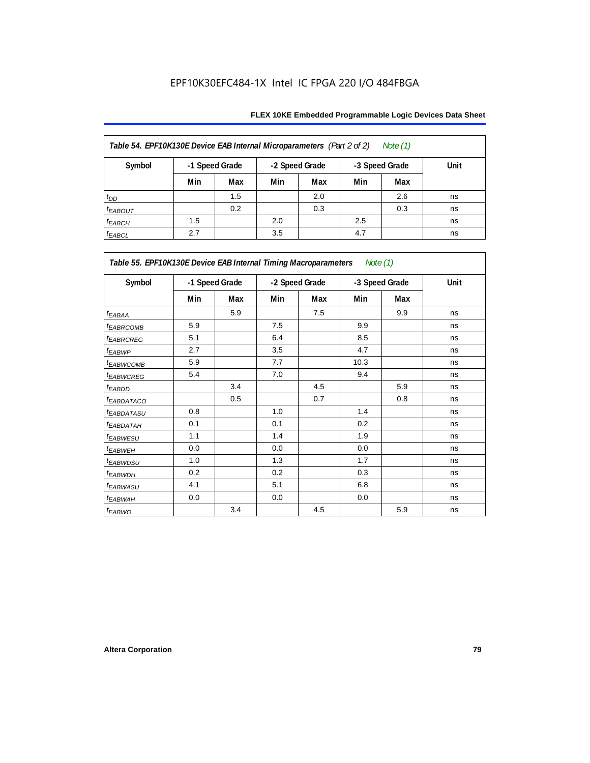| Table 54. EPF10K130E Device EAB Internal Microparameters (Part 2 of 2)<br>Note (1) |                                                    |     |     |     |     |     |      |  |  |  |
|------------------------------------------------------------------------------------|----------------------------------------------------|-----|-----|-----|-----|-----|------|--|--|--|
| Symbol                                                                             | -1 Speed Grade<br>-2 Speed Grade<br>-3 Speed Grade |     |     |     |     |     | Unit |  |  |  |
|                                                                                    | Min                                                | Max | Min | Max | Min | Max |      |  |  |  |
| $t_{DD}$                                                                           |                                                    | 1.5 |     | 2.0 |     | 2.6 | ns   |  |  |  |
| <b><i>EABOUT</i></b>                                                               |                                                    | 0.2 |     | 0.3 |     | 0.3 | ns   |  |  |  |
| $t_{EABCH}$                                                                        | 1.5                                                |     | 2.0 |     | 2.5 |     | ns   |  |  |  |
| $t_{EABCL}$                                                                        | 2.7                                                |     | 3.5 |     | 4.7 |     | ns   |  |  |  |

| Table 55. EPF10K130E Device EAB Internal Timing Macroparameters Note (1) |     |                |                |     |      |                |             |
|--------------------------------------------------------------------------|-----|----------------|----------------|-----|------|----------------|-------------|
| Symbol                                                                   |     | -1 Speed Grade | -2 Speed Grade |     |      | -3 Speed Grade | <b>Unit</b> |
|                                                                          | Min | Max            | Min            | Max | Min  | Max            |             |
| $t_{EABA}$                                                               |     | 5.9            |                | 7.5 |      | 9.9            | ns          |
| <sup>t</sup> EABRCOMB                                                    | 5.9 |                | 7.5            |     | 9.9  |                | ns          |
| <b><i>EABROREG</i></b>                                                   | 5.1 |                | 6.4            |     | 8.5  |                | ns          |
| t <sub>EABWP</sub>                                                       | 2.7 |                | 3.5            |     | 4.7  |                | ns          |
| <sup>t</sup> EABWCOMB                                                    | 5.9 |                | 7.7            |     | 10.3 |                | ns          |
| <sup>t</sup> EABWCREG                                                    | 5.4 |                | 7.0            |     | 9.4  |                | ns          |
| <sup>t</sup> EABDD                                                       |     | 3.4            |                | 4.5 |      | 5.9            | ns          |
| <sup>t</sup> EABDATACO                                                   |     | 0.5            |                | 0.7 |      | 0.8            | ns          |
| <sup>t</sup> EABDATASU                                                   | 0.8 |                | 1.0            |     | 1.4  |                | ns          |
| <sup>t</sup> EABDATAH                                                    | 0.1 |                | 0.1            |     | 0.2  |                | ns          |
| <sup>t</sup> EABWESU                                                     | 1.1 |                | 1.4            |     | 1.9  |                | ns          |
| <sup>t</sup> EABWEH                                                      | 0.0 |                | 0.0            |     | 0.0  |                | ns          |
| <sup>t</sup> EABWDSU                                                     | 1.0 |                | 1.3            |     | 1.7  |                | ns          |
| <sup>t</sup> EABWDH                                                      | 0.2 |                | 0.2            |     | 0.3  |                | ns          |
| <sup>t</sup> EABWASU                                                     | 4.1 |                | 5.1            |     | 6.8  |                | ns          |
| <sup>t</sup> EABWAH                                                      | 0.0 |                | 0.0            |     | 0.0  |                | ns          |
| t <sub>EABWO</sub>                                                       |     | 3.4            |                | 4.5 |      | 5.9            | ns          |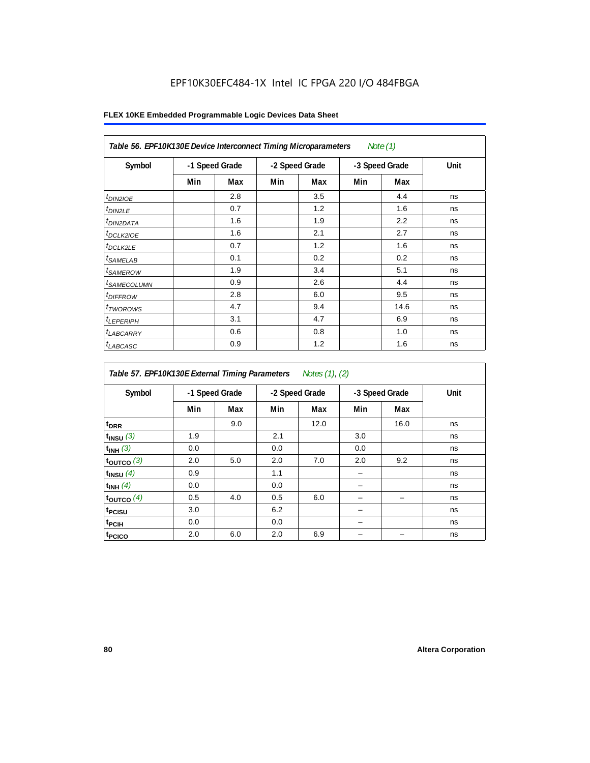| Table 56. EPF10K130E Device Interconnect Timing Microparameters<br>Note $(1)$ |                |     |                |     |                |      |      |  |  |  |
|-------------------------------------------------------------------------------|----------------|-----|----------------|-----|----------------|------|------|--|--|--|
| Symbol                                                                        | -1 Speed Grade |     | -2 Speed Grade |     | -3 Speed Grade |      | Unit |  |  |  |
|                                                                               | Min            | Max | Min            | Max | Min            | Max  |      |  |  |  |
| $t_{DIN2IOE}$                                                                 |                | 2.8 |                | 3.5 |                | 4.4  | ns   |  |  |  |
| $t_{DIN2LE}$                                                                  |                | 0.7 |                | 1.2 |                | 1.6  | ns   |  |  |  |
| <sup>t</sup> DIN2DATA                                                         |                | 1.6 |                | 1.9 |                | 2.2  | ns   |  |  |  |
| $t_{DCLK2IOE}$                                                                |                | 1.6 |                | 2.1 |                | 2.7  | ns   |  |  |  |
| <sup>t</sup> DCLK2LE                                                          |                | 0.7 |                | 1.2 |                | 1.6  | ns   |  |  |  |
| <sup>t</sup> SAMELAB                                                          |                | 0.1 |                | 0.2 |                | 0.2  | ns   |  |  |  |
| <sup>t</sup> SAMEROW                                                          |                | 1.9 |                | 3.4 |                | 5.1  | ns   |  |  |  |
| <sup>t</sup> SAMECOLUMN                                                       |                | 0.9 |                | 2.6 |                | 4.4  | ns   |  |  |  |
| <i>t<sub>DIFFROW</sub></i>                                                    |                | 2.8 |                | 6.0 |                | 9.5  | ns   |  |  |  |
| <sup>t</sup> TWOROWS                                                          |                | 4.7 |                | 9.4 |                | 14.6 | ns   |  |  |  |
| <sup>t</sup> LEPERIPH                                                         |                | 3.1 |                | 4.7 |                | 6.9  | ns   |  |  |  |
| <sup>t</sup> LABCARRY                                                         |                | 0.6 |                | 0.8 |                | 1.0  | ns   |  |  |  |
| <sup>t</sup> LABCASC                                                          |                | 0.9 |                | 1.2 |                | 1.6  | ns   |  |  |  |

| Symbol             |     | -1 Speed Grade |     | -2 Speed Grade |     | -3 Speed Grade | Unit |
|--------------------|-----|----------------|-----|----------------|-----|----------------|------|
|                    | Min | Max            | Min | Max            | Min | Max            |      |
| t <sub>DRR</sub>   |     | 9.0            |     | 12.0           |     | 16.0           | ns   |
| $t_{INSU}$ (3)     | 1.9 |                | 2.1 |                | 3.0 |                | ns   |
| $t_{INH}$ (3)      | 0.0 |                | 0.0 |                | 0.0 |                | ns   |
| $t_{OUT}$ co $(3)$ | 2.0 | 5.0            | 2.0 | 7.0            | 2.0 | 9.2            | ns   |
| $t_{INSU}$ (4)     | 0.9 |                | 1.1 |                |     |                | ns   |
| $t_{INH}$ (4)      | 0.0 |                | 0.0 |                |     |                | ns   |
| toutco $(4)$       | 0.5 | 4.0            | 0.5 | 6.0            |     |                | ns   |
| t <sub>PCISU</sub> | 3.0 |                | 6.2 |                |     |                | ns   |
| <sup>t</sup> PCIH  | 0.0 |                | 0.0 |                |     |                | ns   |
| t <sub>PCICO</sub> | 2.0 | 6.0            | 2.0 | 6.9            |     |                | ns   |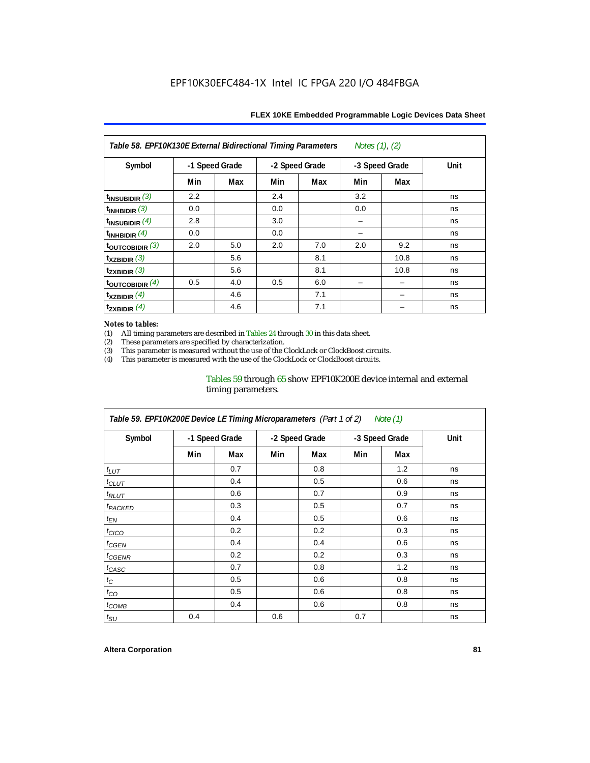| Notes $(1)$ , $(2)$<br>Table 58. EPF10K130E External Bidirectional Timing Parameters |                |     |     |                |     |                |      |  |  |
|--------------------------------------------------------------------------------------|----------------|-----|-----|----------------|-----|----------------|------|--|--|
| Symbol                                                                               | -1 Speed Grade |     |     | -2 Speed Grade |     | -3 Speed Grade | Unit |  |  |
|                                                                                      | Min            | Max | Min | Max            | Min | Max            |      |  |  |
| $t_{\text{INSUBIDIR}}$ (3)                                                           | 2.2            |     | 2.4 |                | 3.2 |                | ns   |  |  |
| $t_{INHBIDIR}$ (3)                                                                   | 0.0            |     | 0.0 |                | 0.0 |                | ns   |  |  |
| $t_{INSUBIDIR}$ (4)                                                                  | 2.8            |     | 3.0 |                |     |                | ns   |  |  |
| $t_{INHBIDIR}(4)$                                                                    | 0.0            |     | 0.0 |                |     |                | ns   |  |  |
| toutcobidir $(3)$                                                                    | 2.0            | 5.0 | 2.0 | 7.0            | 2.0 | 9.2            | ns   |  |  |
| $t_{XZBIDIR}$ (3)                                                                    |                | 5.6 |     | 8.1            |     | 10.8           | ns   |  |  |
| $t_{ZXBIDIR}$ (3)                                                                    |                | 5.6 |     | 8.1            |     | 10.8           | ns   |  |  |
| toutcobidir $(4)$                                                                    | 0.5            | 4.0 | 0.5 | 6.0            |     |                | ns   |  |  |
| $t_{XZBIDIR}$ (4)                                                                    |                | 4.6 |     | 7.1            |     |                | ns   |  |  |
| $t_{ZXBIDIR}$ (4)                                                                    |                | 4.6 |     | 7.1            |     |                | ns   |  |  |

#### *Notes to tables:*

(1) All timing parameters are described in Tables 24 through 30 in this data sheet.<br>(2) These parameters are specified by characterization.

(2) These parameters are specified by characterization.<br>
(3) This parameter is measured without the use of the C

This parameter is measured without the use of the ClockLock or ClockBoost circuits.

(4) This parameter is measured with the use of the ClockLock or ClockBoost circuits.

#### Tables 59 through 65 show EPF10K200E device internal and external timing parameters.

| Table 59. EPF10K200E Device LE Timing Microparameters (Part 1 of 2) Note (1) |                |     |     |                |     |                |      |  |  |  |
|------------------------------------------------------------------------------|----------------|-----|-----|----------------|-----|----------------|------|--|--|--|
| Symbol                                                                       | -1 Speed Grade |     |     | -2 Speed Grade |     | -3 Speed Grade | Unit |  |  |  |
|                                                                              | Min            | Max | Min | Max            | Min | Max            |      |  |  |  |
| $t_{LUT}$                                                                    |                | 0.7 |     | 0.8            |     | 1.2            | ns   |  |  |  |
| $t_{CLUT}$                                                                   |                | 0.4 |     | 0.5            |     | 0.6            | ns   |  |  |  |
| $t_{RLUT}$                                                                   |                | 0.6 |     | 0.7            |     | 0.9            | ns   |  |  |  |
| <sup>t</sup> PACKED                                                          |                | 0.3 |     | 0.5            |     | 0.7            | ns   |  |  |  |
| $t_{EN}$                                                                     |                | 0.4 |     | 0.5            |     | 0.6            | ns   |  |  |  |
| $t_{CICO}$                                                                   |                | 0.2 |     | 0.2            |     | 0.3            | ns   |  |  |  |
| $t_{GEN}$                                                                    |                | 0.4 |     | 0.4            |     | 0.6            | ns   |  |  |  |
| <sup>t</sup> CGENR                                                           |                | 0.2 |     | 0.2            |     | 0.3            | ns   |  |  |  |
| $t_{CASC}$                                                                   |                | 0.7 |     | 0.8            |     | 1.2            | ns   |  |  |  |
| $t_C$                                                                        |                | 0.5 |     | 0.6            |     | 0.8            | ns   |  |  |  |
| $t_{CO}$                                                                     |                | 0.5 |     | 0.6            |     | 0.8            | ns   |  |  |  |
| $t_{COMB}$                                                                   |                | 0.4 |     | 0.6            |     | 0.8            | ns   |  |  |  |
| $t_{\text{SU}}$                                                              | 0.4            |     | 0.6 |                | 0.7 |                | ns   |  |  |  |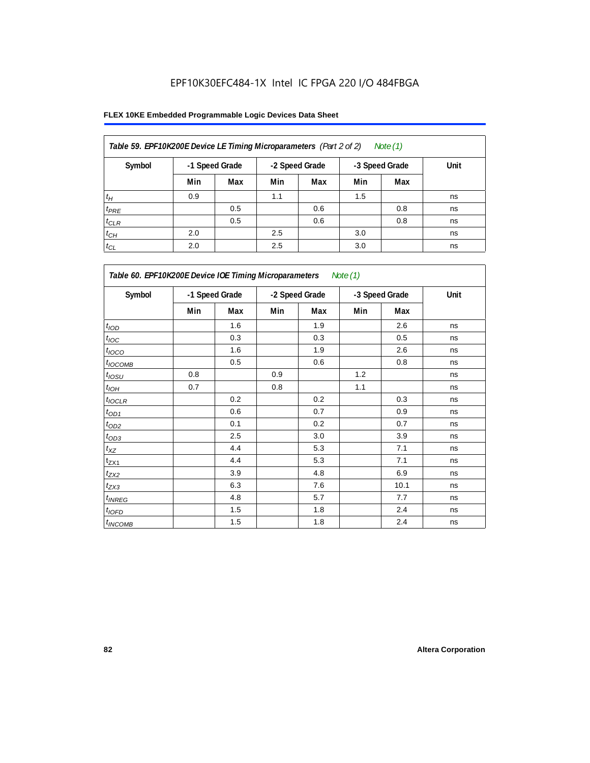| Table 59. EPF10K200E Device LE Timing Microparameters (Part 2 of 2)<br>Note (1) |     |                |                |     |                |     |      |  |  |  |
|---------------------------------------------------------------------------------|-----|----------------|----------------|-----|----------------|-----|------|--|--|--|
| Symbol                                                                          |     | -1 Speed Grade | -2 Speed Grade |     | -3 Speed Grade |     | Unit |  |  |  |
|                                                                                 | Min | Max            | Min            | Max | Min            | Max |      |  |  |  |
| $t_H$                                                                           | 0.9 |                | 1.1            |     | 1.5            |     | ns   |  |  |  |
| $t_{PRE}$                                                                       |     | 0.5            |                | 0.6 |                | 0.8 | ns   |  |  |  |
| $t_{CLR}$                                                                       |     | 0.5            |                | 0.6 |                | 0.8 | ns   |  |  |  |
| $t_{CH}$                                                                        | 2.0 |                | 2.5            |     | 3.0            |     | ns   |  |  |  |
| $t_{CL}$                                                                        | 2.0 |                | 2.5            |     | 3.0            |     | ns   |  |  |  |

| Table 60. EPF10K200E Device IOE Timing Microparameters Note (1) |     |                |                |     |                |      |      |  |  |
|-----------------------------------------------------------------|-----|----------------|----------------|-----|----------------|------|------|--|--|
| Symbol                                                          |     | -1 Speed Grade | -2 Speed Grade |     | -3 Speed Grade |      | Unit |  |  |
|                                                                 | Min | Max            | Min            | Max | Min            | Max  |      |  |  |
| t <sub>IOD</sub>                                                |     | 1.6            |                | 1.9 |                | 2.6  | ns   |  |  |
| $t_{\text{IOC}}$                                                |     | 0.3            |                | 0.3 |                | 0.5  | ns   |  |  |
| $t_{IOCO}$                                                      |     | 1.6            |                | 1.9 |                | 2.6  | ns   |  |  |
| $t_{IOCOMB}$                                                    |     | 0.5            |                | 0.6 |                | 0.8  | ns   |  |  |
| $t_{IOSU}$                                                      | 0.8 |                | 0.9            |     | 1.2            |      | ns   |  |  |
| $t_{IOH}$                                                       | 0.7 |                | 0.8            |     | 1.1            |      | ns   |  |  |
| $t_{IOCLR}$                                                     |     | 0.2            |                | 0.2 |                | 0.3  | ns   |  |  |
| $t_{OD1}$                                                       |     | 0.6            |                | 0.7 |                | 0.9  | ns   |  |  |
| $t_{OD2}$                                                       |     | 0.1            |                | 0.2 |                | 0.7  | ns   |  |  |
| $t_{\underline{OD3}}$                                           |     | 2.5            |                | 3.0 |                | 3.9  | ns   |  |  |
| $t_{\mathsf{XZ}}$                                               |     | 4.4            |                | 5.3 |                | 7.1  | ns   |  |  |
| $t_{ZX1}$                                                       |     | 4.4            |                | 5.3 |                | 7.1  | ns   |  |  |
| $t_{ZX2}$                                                       |     | 3.9            |                | 4.8 |                | 6.9  | ns   |  |  |
| $t_{ZX3}$                                                       |     | 6.3            |                | 7.6 |                | 10.1 | ns   |  |  |
| $t_{INREG}$                                                     |     | 4.8            |                | 5.7 |                | 7.7  | ns   |  |  |
| $t_{IOFD}$                                                      |     | 1.5            |                | 1.8 |                | 2.4  | ns   |  |  |
| $t_{INCOMB}$                                                    |     | 1.5            |                | 1.8 |                | 2.4  | ns   |  |  |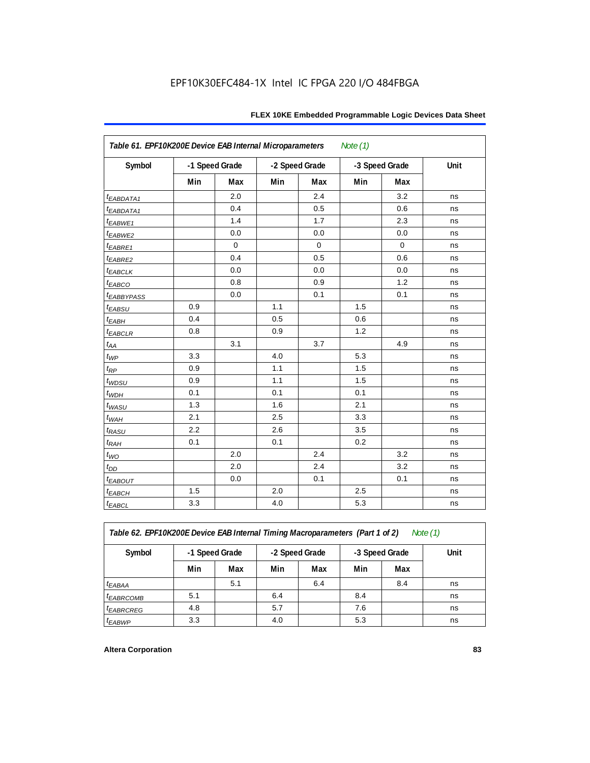| Table 61. EPF10K200E Device EAB Internal Microparameters<br>Note $(1)$ |                |             |                |             |                |             |             |  |  |  |
|------------------------------------------------------------------------|----------------|-------------|----------------|-------------|----------------|-------------|-------------|--|--|--|
| Symbol                                                                 | -1 Speed Grade |             | -2 Speed Grade |             | -3 Speed Grade |             | <b>Unit</b> |  |  |  |
|                                                                        | Min            | Max         | Min            | Max         | Min            | Max         |             |  |  |  |
| <i>EABDATA1</i>                                                        |                | 2.0         |                | 2.4         |                | 3.2         | ns          |  |  |  |
| $t_{EABDATA1}$                                                         |                | 0.4         |                | 0.5         |                | 0.6         | ns          |  |  |  |
| t <sub>EABWE1</sub>                                                    |                | 1.4         |                | 1.7         |                | 2.3         | ns          |  |  |  |
| t <sub>EABWE2</sub>                                                    |                | 0.0         |                | 0.0         |                | 0.0         | ns          |  |  |  |
| $t_{EABRE1}$                                                           |                | $\mathbf 0$ |                | $\mathbf 0$ |                | $\mathbf 0$ | ns          |  |  |  |
| t <sub>EABRE2</sub>                                                    |                | 0.4         |                | 0.5         |                | 0.6         | ns          |  |  |  |
| $t_{EABCLK}$                                                           |                | 0.0         |                | 0.0         |                | 0.0         | ns          |  |  |  |
| $t_{EABCO}$                                                            |                | 0.8         |                | 0.9         |                | 1.2         | ns          |  |  |  |
| <i><b>EABBYPASS</b></i>                                                |                | 0.0         |                | 0.1         |                | 0.1         | ns          |  |  |  |
| $t_{EABSU}$                                                            | 0.9            |             | 1.1            |             | 1.5            |             | ns          |  |  |  |
| $t_{EABH}$                                                             | 0.4            |             | 0.5            |             | 0.6            |             | ns          |  |  |  |
| $t_{EABCLR}$                                                           | 0.8            |             | 0.9            |             | 1.2            |             | ns          |  |  |  |
| $t_{AA}$                                                               |                | 3.1         |                | 3.7         |                | 4.9         | ns          |  |  |  |
| $t_{WP}$                                                               | 3.3            |             | 4.0            |             | 5.3            |             | ns          |  |  |  |
| $t_{RP}$                                                               | 0.9            |             | 1.1            |             | 1.5            |             | ns          |  |  |  |
| $t_{WDSU}$                                                             | 0.9            |             | 1.1            |             | 1.5            |             | ns          |  |  |  |
| $t_{WDH}$                                                              | 0.1            |             | 0.1            |             | 0.1            |             | ns          |  |  |  |
| $t_{WASU}$                                                             | 1.3            |             | 1.6            |             | 2.1            |             | ns          |  |  |  |
| $t_{WAH}$                                                              | 2.1            |             | 2.5            |             | 3.3            |             | ns          |  |  |  |
| $t_{RASU}$                                                             | 2.2            |             | 2.6            |             | 3.5            |             | ns          |  |  |  |
| $t_{RAH}$                                                              | 0.1            |             | 0.1            |             | 0.2            |             | ns          |  |  |  |
| $t_{WO}$                                                               |                | 2.0         |                | 2.4         |                | 3.2         | ns          |  |  |  |
| $t_{\mathit{DD}}$                                                      |                | 2.0         |                | 2.4         |                | 3.2         | ns          |  |  |  |
| $t_{EABOUT}$                                                           |                | 0.0         |                | 0.1         |                | 0.1         | ns          |  |  |  |
| $t_{EABCH}$                                                            | 1.5            |             | 2.0            |             | 2.5            |             | ns          |  |  |  |
| $t_{EABCL}$                                                            | 3.3            |             | 4.0            |             | 5.3            |             | ns          |  |  |  |

*Table 62. EPF10K200E Device EAB Internal Timing Macroparameters (Part 1 of 2) Note (1)*

| Symbol                | -1 Speed Grade |     |     | -2 Speed Grade |     | -3 Speed Grade | Unit |
|-----------------------|----------------|-----|-----|----------------|-----|----------------|------|
|                       | Min            | Max | Min | Max            | Min | Max            |      |
| <sup>t</sup> EABAA    |                | 5.1 |     | 6.4            |     | 8.4            | ns   |
| <i>EABRCOMB</i>       | 5.1            |     | 6.4 |                | 8.4 |                | ns   |
| <sup>t</sup> EABRCREG | 4.8            |     | 5.7 |                | 7.6 |                | ns   |
| <sup>t</sup> EABWP    | 3.3            |     | 4.0 |                | 5.3 |                | ns   |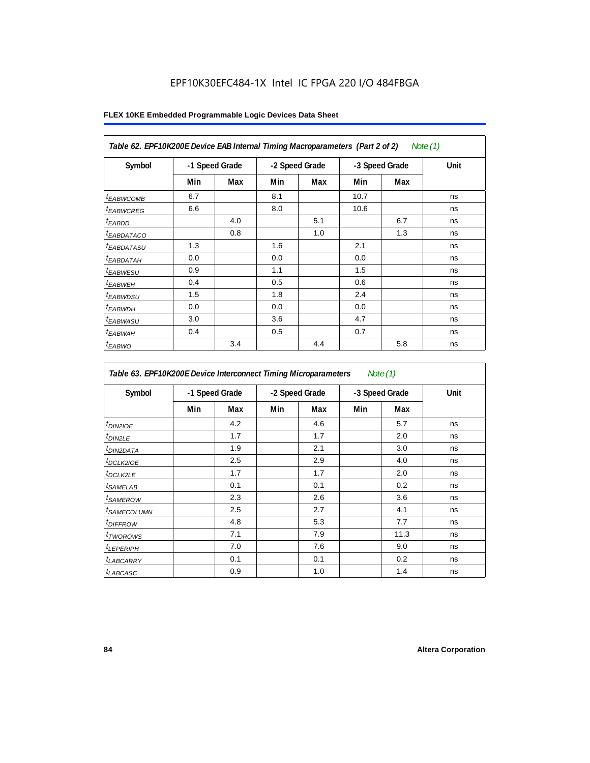| Table 62. EPF10K200E Device EAB Internal Timing Macroparameters (Part 2 of 2)<br>Note $(1)$ |                |     |                |     |                |     |      |  |  |  |
|---------------------------------------------------------------------------------------------|----------------|-----|----------------|-----|----------------|-----|------|--|--|--|
| Symbol                                                                                      | -1 Speed Grade |     | -2 Speed Grade |     | -3 Speed Grade |     | Unit |  |  |  |
|                                                                                             | Min            | Max | Min            | Max | Min            | Max |      |  |  |  |
| <sup>t</sup> EABWCOMB                                                                       | 6.7            |     | 8.1            |     | 10.7           |     | ns   |  |  |  |
| <sup>t</sup> EABWCREG                                                                       | 6.6            |     | 8.0            |     | 10.6           |     | ns   |  |  |  |
| <sup>t</sup> EABDD                                                                          |                | 4.0 |                | 5.1 |                | 6.7 | ns   |  |  |  |
| <sup>t</sup> EABDATACO                                                                      |                | 0.8 |                | 1.0 |                | 1.3 | ns   |  |  |  |
| <sup>t</sup> EABDATASU                                                                      | 1.3            |     | 1.6            |     | 2.1            |     | ns   |  |  |  |
| <sup>t</sup> EABDATAH                                                                       | 0.0            |     | 0.0            |     | 0.0            |     | ns   |  |  |  |
| <sup>t</sup> EABWESU                                                                        | 0.9            |     | 1.1            |     | 1.5            |     | ns   |  |  |  |
| <sup>t</sup> EABWEH                                                                         | 0.4            |     | 0.5            |     | 0.6            |     | ns   |  |  |  |
| <sup>t</sup> EABWDSU                                                                        | 1.5            |     | 1.8            |     | 2.4            |     | ns   |  |  |  |
| <sup>t</sup> EABWDH                                                                         | 0.0            |     | 0.0            |     | 0.0            |     | ns   |  |  |  |
| <sup>t</sup> EABWASU                                                                        | 3.0            |     | 3.6            |     | 4.7            |     | ns   |  |  |  |
| <sup>t</sup> EABWAH                                                                         | 0.4            |     | 0.5            |     | 0.7            |     | ns   |  |  |  |
| $t_{EABWO}$                                                                                 |                | 3.4 |                | 4.4 |                | 5.8 | ns   |  |  |  |

| Table 63. EPF10K200E Device Interconnect Timing Microparameters<br>Note $(1)$ |                |     |     |                |     |                |      |  |  |
|-------------------------------------------------------------------------------|----------------|-----|-----|----------------|-----|----------------|------|--|--|
| Symbol                                                                        | -1 Speed Grade |     |     | -2 Speed Grade |     | -3 Speed Grade | Unit |  |  |
|                                                                               | Min            | Max | Min | Max            | Min | Max            |      |  |  |
| t <sub>DIN2IOE</sub>                                                          |                | 4.2 |     | 4.6            |     | 5.7            | ns   |  |  |
| t <sub>DIN2LE</sub>                                                           |                | 1.7 |     | 1.7            |     | 2.0            | ns   |  |  |
| <sup>t</sup> DIN2DATA                                                         |                | 1.9 |     | 2.1            |     | 3.0            | ns   |  |  |
| <sup>t</sup> DCLK2IOE                                                         |                | 2.5 |     | 2.9            |     | 4.0            | ns   |  |  |
| <sup>t</sup> DCLK2LE                                                          |                | 1.7 |     | 1.7            |     | 2.0            | ns   |  |  |
| <sup>t</sup> SAMELAB                                                          |                | 0.1 |     | 0.1            |     | 0.2            | ns   |  |  |
| <i>t</i> SAMEROW                                                              |                | 2.3 |     | 2.6            |     | 3.6            | ns   |  |  |
| <sup>t</sup> SAMECOLUMN                                                       |                | 2.5 |     | 2.7            |     | 4.1            | ns   |  |  |
| <sup>t</sup> DIFFROW                                                          |                | 4.8 |     | 5.3            |     | 7.7            | ns   |  |  |
| t <sub>TWOROWS</sub>                                                          |                | 7.1 |     | 7.9            |     | 11.3           | ns   |  |  |
| <sup>t</sup> LEPERIPH                                                         |                | 7.0 |     | 7.6            |     | 9.0            | ns   |  |  |
| <sup>t</sup> LABCARRY                                                         |                | 0.1 |     | 0.1            |     | 0.2            | ns   |  |  |
| t <sub>LABCASC</sub>                                                          |                | 0.9 |     | 1.0            |     | 1.4            | ns   |  |  |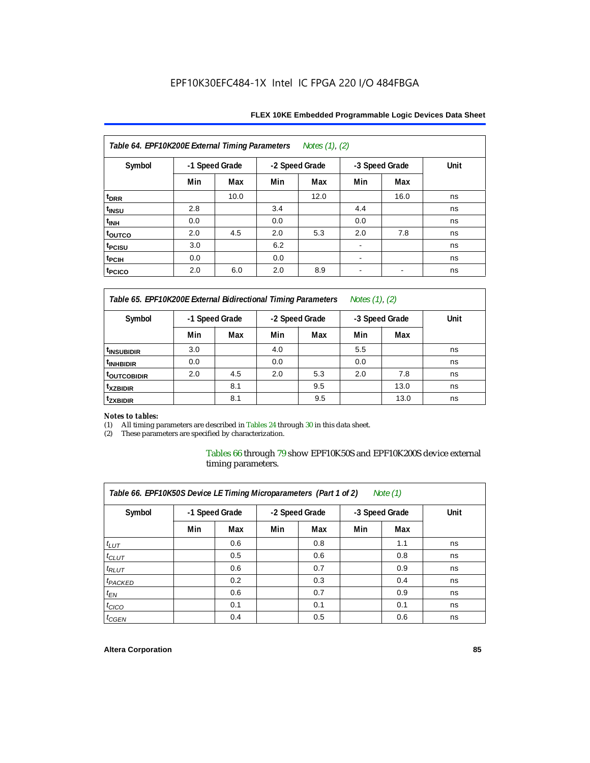| Table 64. EPF10K200E External Timing Parameters |                |      |                | Notes (1), (2) |                |      |      |
|-------------------------------------------------|----------------|------|----------------|----------------|----------------|------|------|
| Symbol                                          | -1 Speed Grade |      | -2 Speed Grade |                | -3 Speed Grade |      | Unit |
|                                                 | Min            | Max  | Min            | Max            | Min            | Max  |      |
| t <sub>drr</sub>                                |                | 10.0 |                | 12.0           |                | 16.0 | ns   |
| t <sub>insu</sub>                               | 2.8            |      | 3.4            |                | 4.4            |      | ns   |
| t <sub>INH</sub>                                | 0.0            |      | 0.0            |                | 0.0            |      | ns   |
| t <sub>oυτco</sub>                              | 2.0            | 4.5  | 2.0            | 5.3            | 2.0            | 7.8  | ns   |
| t <sub>PCISU</sub>                              | 3.0            |      | 6.2            |                |                |      | ns   |
| t <sub>PCIH</sub>                               | 0.0            |      | 0.0            |                | ۰              |      | ns   |
| t <sub>PCICO</sub>                              | 2.0            | 6.0  | 2.0            | 8.9            |                |      | ns   |

*Table 65. EPF10K200E External Bidirectional Timing Parameters Notes (1), (2)*

| Symbol                  | -1 Speed Grade |     | -2 Speed Grade |     | -3 Speed Grade |      | Unit |  |  |
|-------------------------|----------------|-----|----------------|-----|----------------|------|------|--|--|
|                         | Min            | Max | Min            | Max | Min            | Max  |      |  |  |
| <sup>t</sup> INSUBIDIR  | 3.0            |     | 4.0            |     | 5.5            |      | ns   |  |  |
| <sup>t</sup> INHBIDIR   | 0.0            |     | 0.0            |     | 0.0            |      | ns   |  |  |
| <sup>t</sup> OUTCOBIDIR | 2.0            | 4.5 | 2.0            | 5.3 | 2.0            | 7.8  | ns   |  |  |
| <sup>t</sup> xzbidir    |                | 8.1 |                | 9.5 |                | 13.0 | ns   |  |  |
| <sup>t</sup> zxbidir    |                | 8.1 |                | 9.5 |                | 13.0 | ns   |  |  |

# *Notes to tables:*

(1) All timing parameters are described in Tables 24 through 30 in this data sheet.<br>(2) These parameters are specified by characterization.

These parameters are specified by characterization.

Tables 66 through 79 show EPF10K50S and EPF10K200S device external timing parameters.

| Table 66. EPF10K50S Device LE Timing Microparameters (Part 1 of 2)<br>Note $(1)$ |     |                |     |                |     |                |      |  |  |  |  |
|----------------------------------------------------------------------------------|-----|----------------|-----|----------------|-----|----------------|------|--|--|--|--|
| Symbol                                                                           |     | -1 Speed Grade |     | -2 Speed Grade |     | -3 Speed Grade | Unit |  |  |  |  |
|                                                                                  | Min | Max            | Min | Max            | Min | Max            |      |  |  |  |  |
| $t_{LUT}$                                                                        |     | 0.6            |     | 0.8            |     | 1.1            | ns   |  |  |  |  |
| $t_{CLUT}$                                                                       |     | 0.5            |     | 0.6            |     | 0.8            | ns   |  |  |  |  |
| $t_{RLUT}$                                                                       |     | 0.6            |     | 0.7            |     | 0.9            | ns   |  |  |  |  |
| <sup>t</sup> PACKED                                                              |     | 0.2            |     | 0.3            |     | 0.4            | ns   |  |  |  |  |
| $t_{EN}$                                                                         |     | 0.6            |     | 0.7            |     | 0.9            | ns   |  |  |  |  |
| $t_{CICO}$                                                                       |     | 0.1            |     | 0.1            |     | 0.1            | ns   |  |  |  |  |
| $t_{GEN}$                                                                        |     | 0.4            |     | 0.5            |     | 0.6            | ns   |  |  |  |  |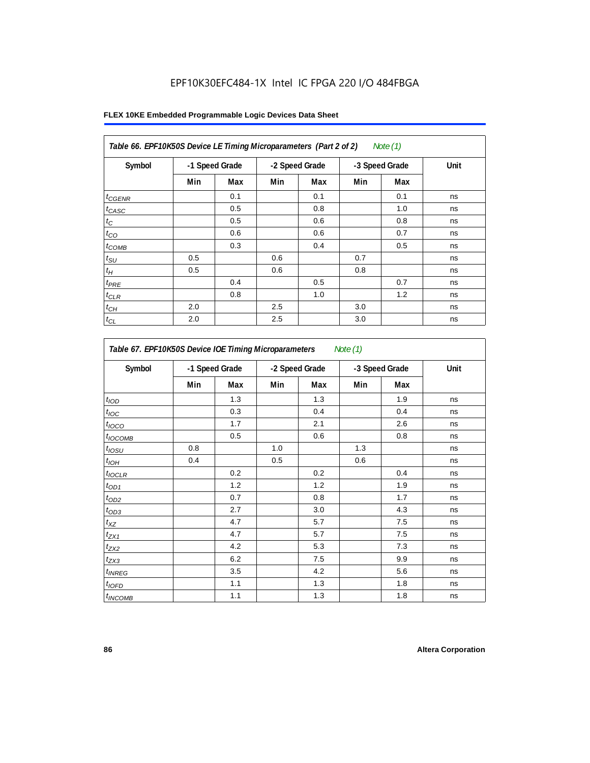| Table 66. EPF10K50S Device LE Timing Microparameters (Part 2 of 2)<br>Note (1) |                |     |     |                |     |                |      |  |  |  |
|--------------------------------------------------------------------------------|----------------|-----|-----|----------------|-----|----------------|------|--|--|--|
| Symbol                                                                         | -1 Speed Grade |     |     | -2 Speed Grade |     | -3 Speed Grade | Unit |  |  |  |
|                                                                                | Min            | Max | Min | Max            | Min | Max            |      |  |  |  |
| $t_{GENR}$                                                                     |                | 0.1 |     | 0.1            |     | 0.1            | ns   |  |  |  |
| $t_{CASC}$                                                                     |                | 0.5 |     | 0.8            |     | 1.0            | ns   |  |  |  |
| $t_C$                                                                          |                | 0.5 |     | 0.6            |     | 0.8            | ns   |  |  |  |
| $t_{CO}$                                                                       |                | 0.6 |     | 0.6            |     | 0.7            | ns   |  |  |  |
| $t_{COMB}$                                                                     |                | 0.3 |     | 0.4            |     | 0.5            | ns   |  |  |  |
| $t_{\rm SU}$                                                                   | 0.5            |     | 0.6 |                | 0.7 |                | ns   |  |  |  |
| $t_H\,$                                                                        | 0.5            |     | 0.6 |                | 0.8 |                | ns   |  |  |  |
| $t_{PRE}$                                                                      |                | 0.4 |     | 0.5            |     | 0.7            | ns   |  |  |  |
| $t_{CLR}$                                                                      |                | 0.8 |     | 1.0            |     | 1.2            | ns   |  |  |  |
| $t_{CH}$                                                                       | 2.0            |     | 2.5 |                | 3.0 |                | ns   |  |  |  |
| $t_{\rm CL}$                                                                   | 2.0            |     | 2.5 |                | 3.0 |                | ns   |  |  |  |

| Table 67. EPF10K50S Device IOE Timing Microparameters<br>Note $(1)$ |                |     |                |     |                |     |      |  |
|---------------------------------------------------------------------|----------------|-----|----------------|-----|----------------|-----|------|--|
| Symbol                                                              | -1 Speed Grade |     | -2 Speed Grade |     | -3 Speed Grade |     | Unit |  |
|                                                                     | Min            | Max | Min            | Max | Min            | Max |      |  |
| t <sub>IOD</sub>                                                    |                | 1.3 |                | 1.3 |                | 1.9 | ns   |  |
| $t_{\text{IOC}}$                                                    |                | 0.3 |                | 0.4 |                | 0.4 | ns   |  |
| $t_{IOCO}$                                                          |                | 1.7 |                | 2.1 |                | 2.6 | ns   |  |
| $t_{\text{IOCOMB}}$                                                 |                | 0.5 |                | 0.6 |                | 0.8 | ns   |  |
| $t_{IOSU}$                                                          | 0.8            |     | 1.0            |     | 1.3            |     | ns   |  |
| $t_{IOH}$                                                           | 0.4            |     | 0.5            |     | 0.6            |     | ns   |  |
| $t_{IOCLR}$                                                         |                | 0.2 |                | 0.2 |                | 0.4 | ns   |  |
| $t_{OD1}$                                                           |                | 1.2 |                | 1.2 |                | 1.9 | ns   |  |
| $t_{OD2}$                                                           |                | 0.7 |                | 0.8 |                | 1.7 | ns   |  |
| $t_{OD3}$                                                           |                | 2.7 |                | 3.0 |                | 4.3 | ns   |  |
| $t_{\mathsf{XZ}}$                                                   |                | 4.7 |                | 5.7 |                | 7.5 | ns   |  |
| $t_{ZX1}$                                                           |                | 4.7 |                | 5.7 |                | 7.5 | ns   |  |
| $t_{ZX2}$                                                           |                | 4.2 |                | 5.3 |                | 7.3 | ns   |  |
| $t_{ZX3}$                                                           |                | 6.2 |                | 7.5 |                | 9.9 | ns   |  |
| $t_{INREG}$                                                         |                | 3.5 |                | 4.2 |                | 5.6 | ns   |  |
| $t_{IOED}$                                                          |                | 1.1 |                | 1.3 |                | 1.8 | ns   |  |
| $t_{INCOMB}$                                                        |                | 1.1 |                | 1.3 |                | 1.8 | ns   |  |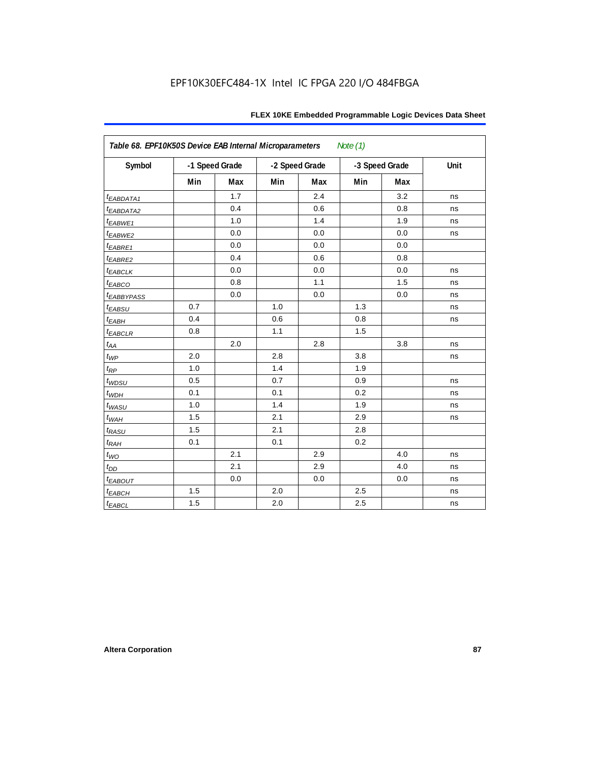| Table 68. EPF10K50S Device EAB Internal Microparameters<br>Note $(1)$ |     |                |     |                |     |                |      |  |  |  |
|-----------------------------------------------------------------------|-----|----------------|-----|----------------|-----|----------------|------|--|--|--|
| Symbol                                                                |     | -1 Speed Grade |     | -2 Speed Grade |     | -3 Speed Grade | Unit |  |  |  |
|                                                                       | Min | Max            | Min | Max            | Min | Max            |      |  |  |  |
| t <sub>EABDATA1</sub>                                                 |     | 1.7            |     | 2.4            |     | 3.2            | ns   |  |  |  |
| t <sub>EABDATA2</sub>                                                 |     | 0.4            |     | 0.6            |     | 0.8            | ns   |  |  |  |
| $t_{EABWE1}$                                                          |     | 1.0            |     | 1.4            |     | 1.9            | ns   |  |  |  |
| t <sub>EABWE2</sub>                                                   |     | 0.0            |     | 0.0            |     | 0.0            | ns   |  |  |  |
| $t_{EABRE1}$                                                          |     | 0.0            |     | 0.0            |     | 0.0            |      |  |  |  |
| $t_{EABRE2}$                                                          |     | 0.4            |     | 0.6            |     | 0.8            |      |  |  |  |
| $t_{EABCLK}$                                                          |     | 0.0            |     | 0.0            |     | 0.0            | ns   |  |  |  |
| $t_{EABCO}$                                                           |     | 0.8            |     | 1.1            |     | 1.5            | ns   |  |  |  |
| <i><b>LEABBYPASS</b></i>                                              |     | 0.0            |     | 0.0            |     | 0.0            | ns   |  |  |  |
| $t_{EABSU}$                                                           | 0.7 |                | 1.0 |                | 1.3 |                | ns   |  |  |  |
| $t_{EABH}$                                                            | 0.4 |                | 0.6 |                | 0.8 |                | ns   |  |  |  |
| $t_{EABCLR}$                                                          | 0.8 |                | 1.1 |                | 1.5 |                |      |  |  |  |
| $t_{AA}$                                                              |     | 2.0            |     | 2.8            |     | 3.8            | ns   |  |  |  |
| $t_{WP}$                                                              | 2.0 |                | 2.8 |                | 3.8 |                | ns   |  |  |  |
| $t_{RP}$                                                              | 1.0 |                | 1.4 |                | 1.9 |                |      |  |  |  |
| $t_{WDSU}$                                                            | 0.5 |                | 0.7 |                | 0.9 |                | ns   |  |  |  |
| $t_{WDH}$                                                             | 0.1 |                | 0.1 |                | 0.2 |                | ns   |  |  |  |
| $t_{WASU}$                                                            | 1.0 |                | 1.4 |                | 1.9 |                | ns   |  |  |  |
| $t_{W\!AH}$                                                           | 1.5 |                | 2.1 |                | 2.9 |                | ns   |  |  |  |
| $t_{RASU}$                                                            | 1.5 |                | 2.1 |                | 2.8 |                |      |  |  |  |
| $t_{RAH}$                                                             | 0.1 |                | 0.1 |                | 0.2 |                |      |  |  |  |
| $t_{WO}$                                                              |     | 2.1            |     | 2.9            |     | 4.0            | ns   |  |  |  |
| $t_{DD}$                                                              |     | 2.1            |     | 2.9            |     | 4.0            | ns   |  |  |  |
| $t_{EABOUT}$                                                          |     | 0.0            |     | 0.0            |     | 0.0            | ns   |  |  |  |
| $t_{EABCH}$                                                           | 1.5 |                | 2.0 |                | 2.5 |                | ns   |  |  |  |
| $t_{EABCL}$                                                           | 1.5 |                | 2.0 |                | 2.5 |                | ns   |  |  |  |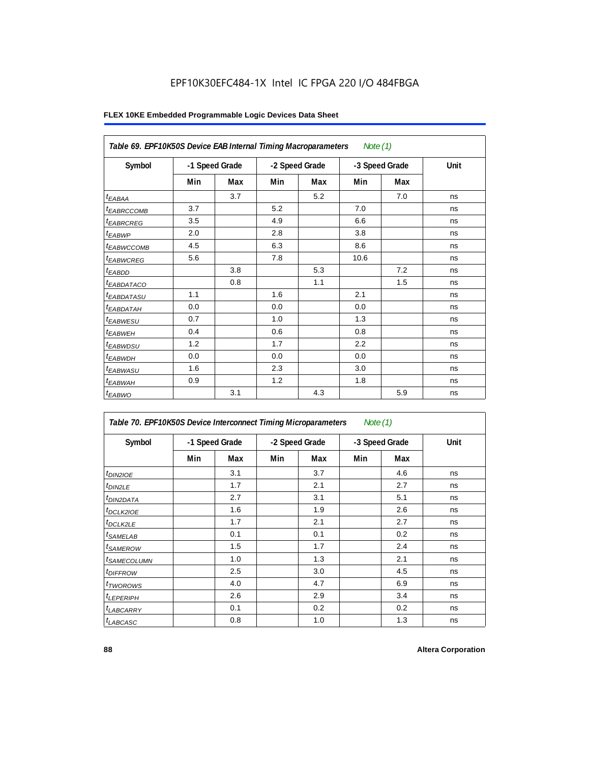| Table 69. EPF10K50S Device EAB Internal Timing Macroparameters<br>Note $(1)$ |                |     |                |     |                |     |      |  |  |
|------------------------------------------------------------------------------|----------------|-----|----------------|-----|----------------|-----|------|--|--|
| Symbol                                                                       | -1 Speed Grade |     | -2 Speed Grade |     | -3 Speed Grade |     | Unit |  |  |
|                                                                              | Min            | Max | Min            | Max | Min            | Max |      |  |  |
| $t_{EABA}$                                                                   |                | 3.7 |                | 5.2 |                | 7.0 | ns   |  |  |
| <sup>t</sup> EABRCCOMB                                                       | 3.7            |     | 5.2            |     | 7.0            |     | ns   |  |  |
| <i><b>EABRCREG</b></i>                                                       | 3.5            |     | 4.9            |     | 6.6            |     | ns   |  |  |
| $t_{EABWP}$                                                                  | 2.0            |     | 2.8            |     | 3.8            |     | ns   |  |  |
| <sup>t</sup> EABWCCOMB                                                       | 4.5            |     | 6.3            |     | 8.6            |     | ns   |  |  |
| <i>EABWCREG</i>                                                              | 5.6            |     | 7.8            |     | 10.6           |     | ns   |  |  |
| $t_{EABDD}$                                                                  |                | 3.8 |                | 5.3 |                | 7.2 | ns   |  |  |
| <sup>t</sup> EABDATACO                                                       |                | 0.8 |                | 1.1 |                | 1.5 | ns   |  |  |
| <i>t<sub>EABDATASU</sub></i>                                                 | 1.1            |     | 1.6            |     | 2.1            |     | ns   |  |  |
| t <sub>EABDATAH</sub>                                                        | 0.0            |     | 0.0            |     | 0.0            |     | ns   |  |  |
| t <sub>EABWESU</sub>                                                         | 0.7            |     | 1.0            |     | 1.3            |     | ns   |  |  |
| <sup>t</sup> EABWEH                                                          | 0.4            |     | 0.6            |     | 0.8            |     | ns   |  |  |
| t <sub>EABWDSU</sub>                                                         | 1.2            |     | 1.7            |     | 2.2            |     | ns   |  |  |
| t <sub>EABWDH</sub>                                                          | 0.0            |     | 0.0            |     | 0.0            |     | ns   |  |  |
| t <sub>EABWASU</sub>                                                         | 1.6            |     | 2.3            |     | 3.0            |     | ns   |  |  |
| t <sub>EABWAH</sub>                                                          | 0.9            |     | 1.2            |     | 1.8            |     | ns   |  |  |
| $t_{EABWO}$                                                                  |                | 3.1 |                | 4.3 |                | 5.9 | ns   |  |  |

| Table 70. EPF10K50S Device Interconnect Timing Microparameters<br>Note $(1)$ |                |     |     |                |                |     |      |  |  |  |
|------------------------------------------------------------------------------|----------------|-----|-----|----------------|----------------|-----|------|--|--|--|
| Symbol                                                                       | -1 Speed Grade |     |     | -2 Speed Grade | -3 Speed Grade |     | Unit |  |  |  |
|                                                                              | Min            | Max | Min | Max            | Min            | Max |      |  |  |  |
| t <sub>DIN2IOE</sub>                                                         |                | 3.1 |     | 3.7            |                | 4.6 | ns   |  |  |  |
| <sup>t</sup> DIN2LE                                                          |                | 1.7 |     | 2.1            |                | 2.7 | ns   |  |  |  |
| <sup>t</sup> DIN2DATA                                                        |                | 2.7 |     | 3.1            |                | 5.1 | ns   |  |  |  |
| <sup>t</sup> DCLK2IOE                                                        |                | 1.6 |     | 1.9            |                | 2.6 | ns   |  |  |  |
| <sup>t</sup> DCLK2LE                                                         |                | 1.7 |     | 2.1            |                | 2.7 | ns   |  |  |  |
| <sup>t</sup> SAMELAB                                                         |                | 0.1 |     | 0.1            |                | 0.2 | ns   |  |  |  |
| <sup>t</sup> SAMEROW                                                         |                | 1.5 |     | 1.7            |                | 2.4 | ns   |  |  |  |
| <sup>t</sup> SAMECOLUMN                                                      |                | 1.0 |     | 1.3            |                | 2.1 | ns   |  |  |  |
| <i>t<sub>DIFFROW</sub></i>                                                   |                | 2.5 |     | 3.0            |                | 4.5 | ns   |  |  |  |
| <sup>t</sup> TWOROWS                                                         |                | 4.0 |     | 4.7            |                | 6.9 | ns   |  |  |  |
| <sup>t</sup> LEPERIPH                                                        |                | 2.6 |     | 2.9            |                | 3.4 | ns   |  |  |  |
| <b>LABCARRY</b>                                                              |                | 0.1 |     | 0.2            |                | 0.2 | ns   |  |  |  |
| <b>LABCASC</b>                                                               |                | 0.8 |     | 1.0            |                | 1.3 | ns   |  |  |  |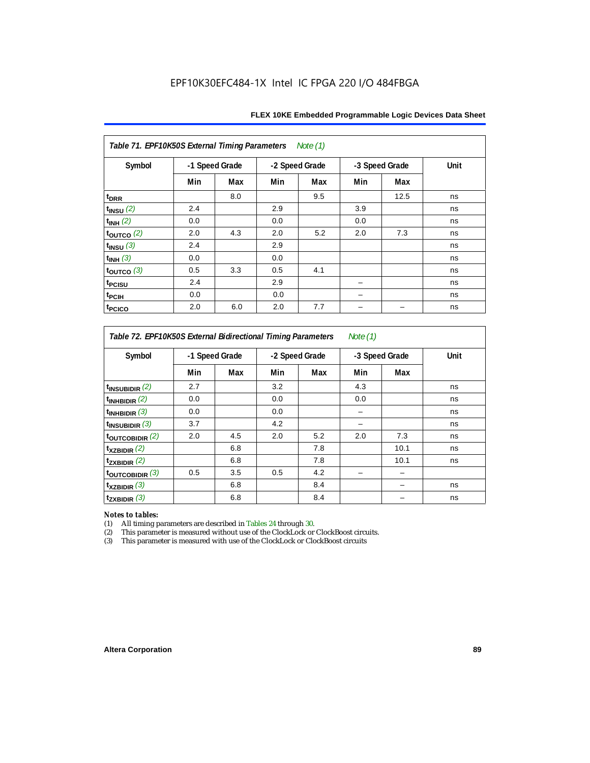| Table 71. EPF10K50S External Timing Parameters<br>Note (1) |                |     |     |                |     |                |      |  |  |  |  |
|------------------------------------------------------------|----------------|-----|-----|----------------|-----|----------------|------|--|--|--|--|
| Symbol                                                     | -1 Speed Grade |     |     | -2 Speed Grade |     | -3 Speed Grade | Unit |  |  |  |  |
|                                                            | Min            | Max | Min | Max            | Min | Max            |      |  |  |  |  |
| t <sub>DRR</sub>                                           |                | 8.0 |     | 9.5            |     | 12.5           | ns   |  |  |  |  |
| $t_{INSU}$ (2)                                             | 2.4            |     | 2.9 |                | 3.9 |                | ns   |  |  |  |  |
| $t_{INH}$ (2)                                              | 0.0            |     | 0.0 |                | 0.0 |                | ns   |  |  |  |  |
| $\tt_{\text{OUTCO}}$ (2)                                   | 2.0            | 4.3 | 2.0 | 5.2            | 2.0 | 7.3            | ns   |  |  |  |  |
| $t_{INSU}$ (3)                                             | 2.4            |     | 2.9 |                |     |                | ns   |  |  |  |  |
| $t_{INH}$ (3)                                              | 0.0            |     | 0.0 |                |     |                | ns   |  |  |  |  |
| $\tt_{\text{OUTCO}}$ (3)                                   | 0.5            | 3.3 | 0.5 | 4.1            |     |                | ns   |  |  |  |  |
| t <sub>PCISU</sub>                                         | 2.4            |     | 2.9 |                |     |                | ns   |  |  |  |  |
| t <sub>PCIH</sub>                                          | 0.0            |     | 0.0 |                |     |                | ns   |  |  |  |  |
| t <sub>PCICO</sub>                                         | 2.0            | 6.0 | 2.0 | 7.7            |     |                | ns   |  |  |  |  |

*Table 72. EPF10K50S External Bidirectional Timing Parameters Note (1)*

| Symbol              | -1 Speed Grade |     | -2 Speed Grade |     | -3 Speed Grade |      | Unit |
|---------------------|----------------|-----|----------------|-----|----------------|------|------|
|                     | Min            | Max | Min            | Max | Min            | Max  |      |
| $t_{INSUBIDIR}$ (2) | 2.7            |     | 3.2            |     | 4.3            |      | ns   |
| $t_{INHBIDIR}$ (2)  | 0.0            |     | 0.0            |     | 0.0            |      | ns   |
| $t_{INHBIDIR}$ (3)  | 0.0            |     | 0.0            |     |                |      | ns   |
| $t_{INSUBIDIR}$ (3) | 3.7            |     | 4.2            |     |                |      | ns   |
| toutcobidir $(2)$   | 2.0            | 4.5 | 2.0            | 5.2 | 2.0            | 7.3  | ns   |
| $t_{XZBIDIR}$ (2)   |                | 6.8 |                | 7.8 |                | 10.1 | ns   |
| $t_{ZXBIDIR}$ (2)   |                | 6.8 |                | 7.8 |                | 10.1 | ns   |
| toutcobidir $(3)$   | 0.5            | 3.5 | 0.5            | 4.2 |                |      |      |
| $t_{XZBIDIR}$ (3)   |                | 6.8 |                | 8.4 |                |      | ns   |
| $t_{ZXBIDIR}$ (3)   |                | 6.8 |                | 8.4 |                |      | ns   |

*Notes to tables:* All timing parameters are described in Tables 24 through 30.

(2) This parameter is measured without use of the ClockLock or ClockBoost circuits.<br>(3) This parameter is measured with use of the ClockLock or ClockBoost circuits

This parameter is measured with use of the ClockLock or ClockBoost circuits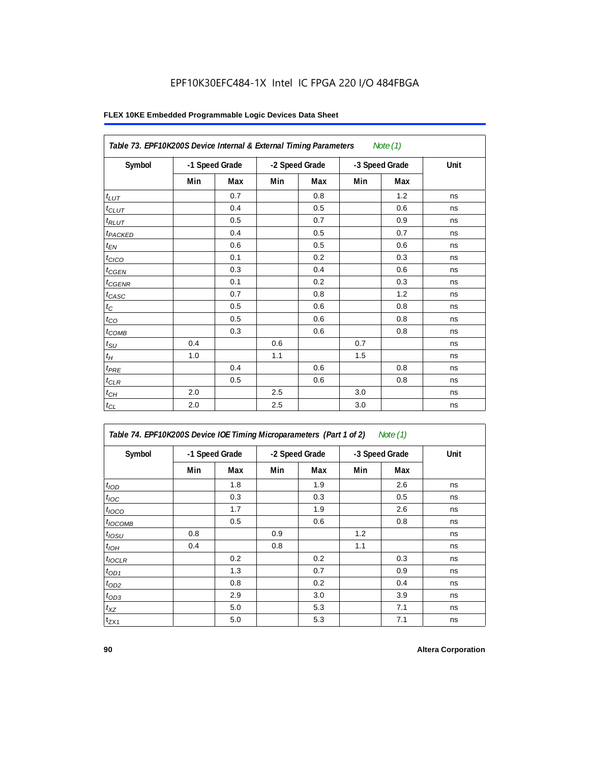|                     | Table 73. EPF10K200S Device Internal & External Timing Parameters<br>Note $(1)$ |                |     |                |     |                |      |  |  |  |  |
|---------------------|---------------------------------------------------------------------------------|----------------|-----|----------------|-----|----------------|------|--|--|--|--|
| Symbol              |                                                                                 | -1 Speed Grade |     | -2 Speed Grade |     | -3 Speed Grade | Unit |  |  |  |  |
|                     | Min                                                                             | Max            | Min | Max            | Min | Max            |      |  |  |  |  |
| $t_{LUT}$           |                                                                                 | 0.7            |     | 0.8            |     | 1.2            | ns   |  |  |  |  |
| $t_{CLUT}$          |                                                                                 | 0.4            |     | 0.5            |     | 0.6            | ns   |  |  |  |  |
| $t_{RLUT}$          |                                                                                 | 0.5            |     | 0.7            |     | 0.9            | ns   |  |  |  |  |
| t <sub>PACKED</sub> |                                                                                 | 0.4            |     | 0.5            |     | 0.7            | ns   |  |  |  |  |
| $t_{EN}$            |                                                                                 | 0.6            |     | 0.5            |     | 0.6            | ns   |  |  |  |  |
| t <sub>CICO</sub>   |                                                                                 | 0.1            |     | 0.2            |     | 0.3            | ns   |  |  |  |  |
| $t_{CGEN}$          |                                                                                 | 0.3            |     | 0.4            |     | 0.6            | ns   |  |  |  |  |
| $t_{\text{GENR}}$   |                                                                                 | 0.1            |     | 0.2            |     | 0.3            | ns   |  |  |  |  |
| $t_{CASC}$          |                                                                                 | 0.7            |     | 0.8            |     | 1.2            | ns   |  |  |  |  |
| $t_{\rm C}$         |                                                                                 | 0.5            |     | 0.6            |     | 0.8            | ns   |  |  |  |  |
| $t_{CO}$            |                                                                                 | 0.5            |     | 0.6            |     | 0.8            | ns   |  |  |  |  |
| $t_{COMB}$          |                                                                                 | 0.3            |     | 0.6            |     | 0.8            | ns   |  |  |  |  |
| $t_{\rm SU}$        | 0.4                                                                             |                | 0.6 |                | 0.7 |                | ns   |  |  |  |  |
| $t_H\,$             | 1.0                                                                             |                | 1.1 |                | 1.5 |                | ns   |  |  |  |  |
| $t_{PRE}$           |                                                                                 | 0.4            |     | 0.6            |     | 0.8            | ns   |  |  |  |  |
| $t_{CLR}$           |                                                                                 | 0.5            |     | 0.6            |     | 0.8            | ns   |  |  |  |  |
| $t_{CH}$            | 2.0                                                                             |                | 2.5 |                | 3.0 |                | ns   |  |  |  |  |
| $t_{CL}$            | 2.0                                                                             |                | 2.5 |                | 3.0 |                | ns   |  |  |  |  |

| Table 74. EPF10K200S Device IOE Timing Microparameters (Part 1 of 2) Note (1) |  |  |  |
|-------------------------------------------------------------------------------|--|--|--|
|-------------------------------------------------------------------------------|--|--|--|

| Symbol           | -1 Speed Grade |     |     | -2 Speed Grade |     | -3 Speed Grade | Unit |
|------------------|----------------|-----|-----|----------------|-----|----------------|------|
|                  | Min            | Max | Min | Max            | Min | Max            |      |
| t <sub>IOD</sub> |                | 1.8 |     | 1.9            |     | 2.6            | ns   |
| $t_{\text{IOC}}$ |                | 0.3 |     | 0.3            |     | 0.5            | ns   |
| $t_{IOCO}$       |                | 1.7 |     | 1.9            |     | 2.6            | ns   |
| $t_{IOCOMB}$     |                | 0.5 |     | 0.6            |     | 0.8            | ns   |
| $t_{IOSU}$       | 0.8            |     | 0.9 |                | 1.2 |                | ns   |
| $t_{IOH}$        | 0.4            |     | 0.8 |                | 1.1 |                | ns   |
| $t_{IOCLR}$      |                | 0.2 |     | 0.2            |     | 0.3            | ns   |
| $t_{OD1}$        |                | 1.3 |     | 0.7            |     | 0.9            | ns   |
| $t_{OD2}$        |                | 0.8 |     | 0.2            |     | 0.4            | ns   |
| $t_{OD3}$        |                | 2.9 |     | 3.0            |     | 3.9            | ns   |
| $t_{XZ}$         |                | 5.0 |     | 5.3            |     | 7.1            | ns   |
| $t_{ZX1}$        |                | 5.0 |     | 5.3            |     | 7.1            | ns   |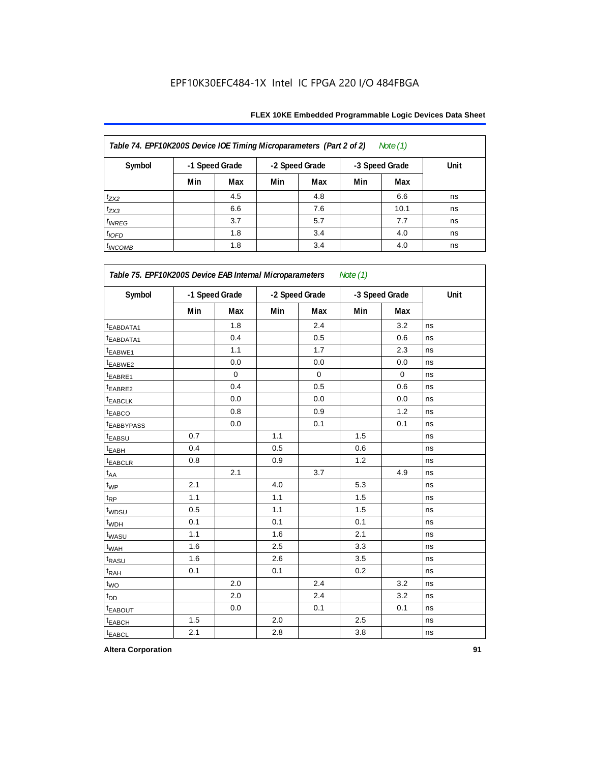| Table 74. EPF10K200S Device IOE Timing Microparameters (Part 2 of 2)<br>Note $(1)$ |     |                |                |     |                |      |      |  |  |  |  |
|------------------------------------------------------------------------------------|-----|----------------|----------------|-----|----------------|------|------|--|--|--|--|
| Symbol                                                                             |     | -1 Speed Grade | -2 Speed Grade |     | -3 Speed Grade |      | Unit |  |  |  |  |
|                                                                                    | Min | Max            | Min            | Max | Min            | Max  |      |  |  |  |  |
| $t_{ZX2}$                                                                          |     | 4.5            |                | 4.8 |                | 6.6  | ns   |  |  |  |  |
| $t_{ZX3}$                                                                          |     | 6.6            |                | 7.6 |                | 10.1 | ns   |  |  |  |  |
| $t_{INREG}$                                                                        |     | 3.7            |                | 5.7 |                | 7.7  | ns   |  |  |  |  |
| $t_{IOFD}$                                                                         |     | 1.8            |                | 3.4 |                | 4.0  | ns   |  |  |  |  |
| $t_{INCOMB}$                                                                       |     | 1.8            |                | 3.4 |                | 4.0  | ns   |  |  |  |  |

| Symbol                  | -1 Speed Grade |             | -2 Speed Grade |             | -3 Speed Grade |             | Unit |
|-------------------------|----------------|-------------|----------------|-------------|----------------|-------------|------|
|                         | Min            | Max         | Min            | Max         | Min            | Max         |      |
| t <sub>EABDATA1</sub>   |                | 1.8         |                | 2.4         |                | 3.2         | ns   |
| t <sub>EABDATA1</sub>   |                | 0.4         |                | 0.5         |                | 0.6         | ns   |
| t <sub>EABWE1</sub>     |                | 1.1         |                | 1.7         |                | 2.3         | ns   |
| t <sub>EABWE2</sub>     |                | 0.0         |                | $0.0\,$     |                | 0.0         | ns   |
| <sup>t</sup> EABRE1     |                | $\mathbf 0$ |                | $\mathbf 0$ |                | $\mathbf 0$ | ns   |
| t <sub>EABRE2</sub>     |                | 0.4         |                | 0.5         |                | 0.6         | ns   |
| t <sub>EABCLK</sub>     |                | 0.0         |                | 0.0         |                | 0.0         | ns   |
| t <sub>EABCO</sub>      |                | 0.8         |                | 0.9         |                | 1.2         | ns   |
| <b><i>EABBYPASS</i></b> |                | 0.0         |                | 0.1         |                | 0.1         | ns   |
| t <sub>EABSU</sub>      | 0.7            |             | 1.1            |             | 1.5            |             | ns   |
| <sup>t</sup> EABH       | 0.4            |             | 0.5            |             | 0.6            |             | ns   |
| t <sub>EABCLR</sub>     | 0.8            |             | 0.9            |             | 1.2            |             | ns   |
| $t_{AA}$                |                | 2.1         |                | 3.7         |                | 4.9         | ns   |
| $t_{WP}$                | 2.1            |             | 4.0            |             | 5.3            |             | ns   |
| t <sub>RP</sub>         | 1.1            |             | 1.1            |             | 1.5            |             | ns   |
| t <sub>WDSU</sub>       | 0.5            |             | 1.1            |             | 1.5            |             | ns   |
| t <sub>WDH</sub>        | 0.1            |             | 0.1            |             | 0.1            |             | ns   |
| t <sub>WASU</sub>       | 1.1            |             | 1.6            |             | 2.1            |             | ns   |
| t <sub>WAH</sub>        | 1.6            |             | 2.5            |             | 3.3            |             | ns   |
| t <sub>RASU</sub>       | 1.6            |             | 2.6            |             | 3.5            |             | ns   |
| t <sub>RAH</sub>        | 0.1            |             | 0.1            |             | 0.2            |             | ns   |
| $t_{WO}$                |                | 2.0         |                | 2.4         |                | 3.2         | ns   |
| t <sub>DD</sub>         |                | 2.0         |                | 2.4         |                | 3.2         | ns   |
| <b><i>EABOUT</i></b>    |                | 0.0         |                | 0.1         |                | 0.1         | ns   |
| t <sub>EABCH</sub>      | 1.5            |             | 2.0            |             | 2.5            |             | ns   |
| t <sub>EABCL</sub>      | 2.1            |             | 2.8            |             | 3.8            |             | ns   |

**Altera Corporation 91**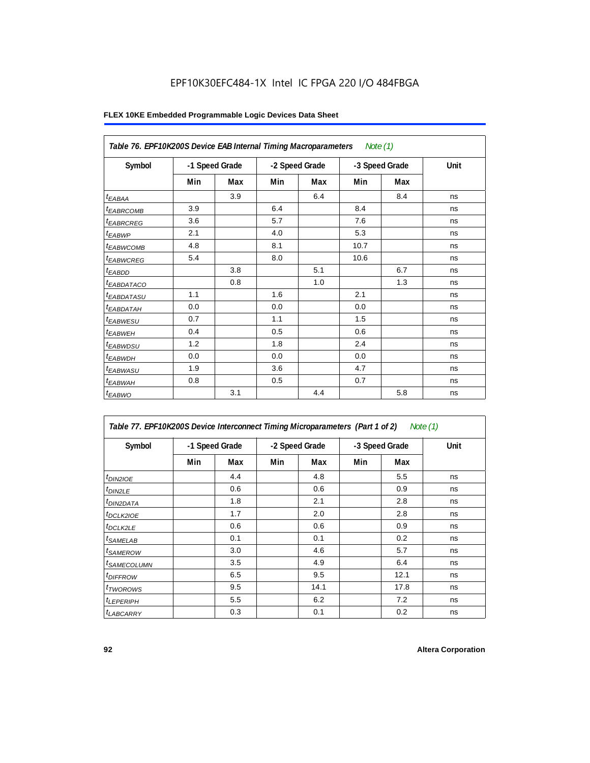|                                | Table 76. EPF10K200S Device EAB Internal Timing Macroparameters Note (1) |                |     |                |                |     |      |  |  |  |  |
|--------------------------------|--------------------------------------------------------------------------|----------------|-----|----------------|----------------|-----|------|--|--|--|--|
| Symbol                         |                                                                          | -1 Speed Grade |     | -2 Speed Grade | -3 Speed Grade |     | Unit |  |  |  |  |
|                                | Min                                                                      | Max            | Min | Max            | Min            | Max |      |  |  |  |  |
| $t_{EABA}$                     |                                                                          | 3.9            |     | 6.4            |                | 8.4 | ns   |  |  |  |  |
| <sup>t</sup> EABRCOMB          | 3.9                                                                      |                | 6.4 |                | 8.4            |     | ns   |  |  |  |  |
| <sup>t</sup> EABRCREG          | 3.6                                                                      |                | 5.7 |                | 7.6            |     | ns   |  |  |  |  |
| <sup>t</sup> EABWP             | 2.1                                                                      |                | 4.0 |                | 5.3            |     | ns   |  |  |  |  |
| <sup>t</sup> EABWCOMB          | 4.8                                                                      |                | 8.1 |                | 10.7           |     | ns   |  |  |  |  |
| <sup>t</sup> EABWCREG          | 5.4                                                                      |                | 8.0 |                | 10.6           |     | ns   |  |  |  |  |
| $t_{EABDD}$                    |                                                                          | 3.8            |     | 5.1            |                | 6.7 | ns   |  |  |  |  |
| <sup>t</sup> EA <u>BDATACO</u> |                                                                          | 0.8            |     | 1.0            |                | 1.3 | ns   |  |  |  |  |
| <sup>t</sup> EABDATASU         | 1.1                                                                      |                | 1.6 |                | 2.1            |     | ns   |  |  |  |  |
| <sup>t</sup> EABDATAH          | 0.0                                                                      |                | 0.0 |                | 0.0            |     | ns   |  |  |  |  |
| <sup>t</sup> EABWESU           | 0.7                                                                      |                | 1.1 |                | 1.5            |     | ns   |  |  |  |  |
| <sup>t</sup> EABWEH            | 0.4                                                                      |                | 0.5 |                | 0.6            |     | ns   |  |  |  |  |
| t <sub>EABWDSU</sub>           | 1.2                                                                      |                | 1.8 |                | 2.4            |     | ns   |  |  |  |  |
| <sup>t</sup> EABWDH            | 0.0                                                                      |                | 0.0 |                | 0.0            |     | ns   |  |  |  |  |
| <sup>t</sup> EABWASU           | 1.9                                                                      |                | 3.6 |                | 4.7            |     | ns   |  |  |  |  |
| <sup>t</sup> EABWAH            | 0.8                                                                      |                | 0.5 |                | 0.7            |     | ns   |  |  |  |  |
| t <sub>EABWO</sub>             |                                                                          | 3.1            |     | 4.4            |                | 5.8 | ns   |  |  |  |  |

| Table 77. EPF10K200S Device Interconnect Timing Microparameters (Part 1 of 2) |     |                |                |      |                |      | Note (1) |
|-------------------------------------------------------------------------------|-----|----------------|----------------|------|----------------|------|----------|
| Symbol                                                                        |     | -1 Speed Grade | -2 Speed Grade |      | -3 Speed Grade |      | Unit     |
|                                                                               | Min | Max            | Min            | Max  | Min            | Max  |          |
| <i>t<sub>DIN2IOE</sub></i>                                                    |     | 4.4            |                | 4.8  |                | 5.5  | ns       |
| t <sub>DIN2LE</sub>                                                           |     | 0.6            |                | 0.6  |                | 0.9  | ns       |
| <sup>t</sup> DIN2DATA                                                         |     | 1.8            |                | 2.1  |                | 2.8  | ns       |
| <sup>t</sup> DCLK2IOE                                                         |     | 1.7            |                | 2.0  |                | 2.8  | ns       |
| $t$ DCLK2LE                                                                   |     | 0.6            |                | 0.6  |                | 0.9  | ns       |
| <sup>t</sup> SAMELAB                                                          |     | 0.1            |                | 0.1  |                | 0.2  | ns       |
| <i>t</i> SAMEROW                                                              |     | 3.0            |                | 4.6  |                | 5.7  | ns       |
| <sup>t</sup> SAMECOLUMN                                                       |     | 3.5            |                | 4.9  |                | 6.4  | ns       |
| <i>t<sub>DIFFROW</sub></i>                                                    |     | 6.5            |                | 9.5  |                | 12.1 | ns       |
| <sup>t</sup> TWOROWS                                                          |     | 9.5            |                | 14.1 |                | 17.8 | ns       |
| <sup>t</sup> LEPERIPH                                                         |     | 5.5            |                | 6.2  |                | 7.2  | ns       |
| <b><i>LABCARRY</i></b>                                                        |     | 0.3            |                | 0.1  |                | 0.2  | ns       |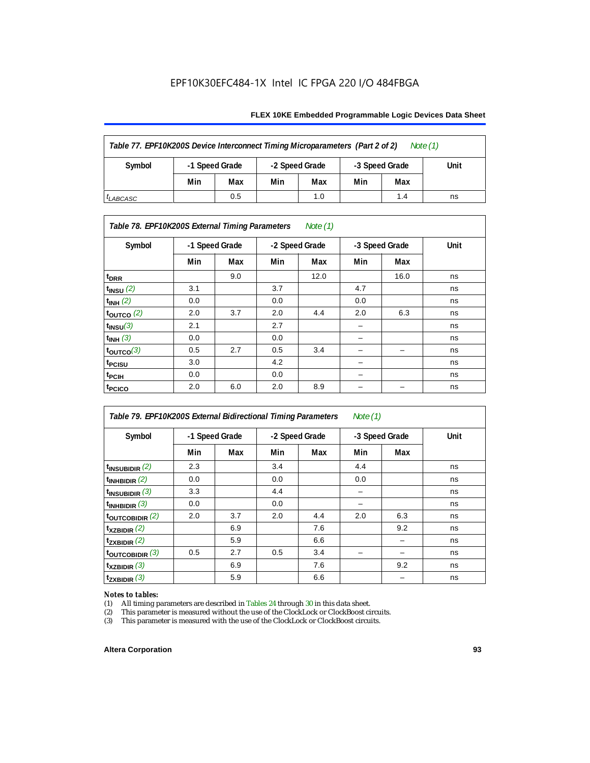#### **FLEX 10KE Embedded Programmable Logic Devices Data Sheet**

| Table 77. EPF10K200S Device Interconnect Timing Microparameters (Part 2 of 2)<br>Note $(1)$ |     |                                  |     |                |     |      |    |  |  |  |
|---------------------------------------------------------------------------------------------|-----|----------------------------------|-----|----------------|-----|------|----|--|--|--|
| Symbol                                                                                      |     | -1 Speed Grade<br>-2 Speed Grade |     | -3 Speed Grade |     | Unit |    |  |  |  |
|                                                                                             | Min | Max                              | Min | Max            | Min | Max  |    |  |  |  |
| <sup>I</sup> LABCASC                                                                        |     | 0.5                              |     | 1.0            |     | 1.4  | ns |  |  |  |

#### *Table 78. EPF10K200S External Timing Parameters Note (1)*

| Symbol                    |     | -1 Speed Grade |     | -2 Speed Grade |     | -3 Speed Grade | Unit |  |
|---------------------------|-----|----------------|-----|----------------|-----|----------------|------|--|
|                           | Min | Max            | Min | Max            | Min | Max            |      |  |
| t <sub>DRR</sub>          |     | 9.0            |     | 12.0           |     | 16.0           | ns   |  |
| $t$ <sub>INSU</sub> $(2)$ | 3.1 |                | 3.7 |                | 4.7 |                | ns   |  |
| $t_{INH}$ (2)             | 0.0 |                | 0.0 |                | 0.0 |                | ns   |  |
| $t_{\text{OUTCO}}(2)$     | 2.0 | 3.7            | 2.0 | 4.4            | 2.0 | 6.3            | ns   |  |
| $t_{INSU}(3)$             | 2.1 |                | 2.7 |                |     |                | ns   |  |
| $t_{INH}$ (3)             | 0.0 |                | 0.0 |                | –   |                | ns   |  |
| $t_{OUTCO}(3)$            | 0.5 | 2.7            | 0.5 | 3.4            | -   | -              | ns   |  |
| t <sub>PCISU</sub>        | 3.0 |                | 4.2 |                | -   |                | ns   |  |
| <sup>t</sup> PCIH         | 0.0 |                | 0.0 |                | -   |                | ns   |  |
| t <sub>PCICO</sub>        | 2.0 | 6.0            | 2.0 | 8.9            |     |                | ns   |  |

| Table 79. EPF10K200S External Bidirectional Timing Parameters |     |                |     |                | Note $(1)$ |                |      |
|---------------------------------------------------------------|-----|----------------|-----|----------------|------------|----------------|------|
| Symbol                                                        |     | -1 Speed Grade |     | -2 Speed Grade |            | -3 Speed Grade | Unit |
|                                                               | Min | Max            | Min | Max            | Min        | Max            |      |
| $t_{\text{INSUBIDIR}}(2)$                                     | 2.3 |                | 3.4 |                | 4.4        |                | ns   |
| $t_{INHBIDIR}$ (2)                                            | 0.0 |                | 0.0 |                | 0.0        |                | ns   |
| $t_{INSUBIDIR}$ (3)                                           | 3.3 |                | 4.4 |                |            |                | ns   |
| $t_{INHBIDIR}$ (3)                                            | 0.0 |                | 0.0 |                |            |                | ns   |
| toutcobidir $(2)$                                             | 2.0 | 3.7            | 2.0 | 4.4            | 2.0        | 6.3            | ns   |
| $t_{XZBIDIR}$ (2)                                             |     | 6.9            |     | 7.6            |            | 9.2            | ns   |
| $t_{ZXBIDIR}$ (2)                                             |     | 5.9            |     | 6.6            |            |                | ns   |
| $t_{\text{OUTC}OBIDIR}$ (3)                                   | 0.5 | 2.7            | 0.5 | 3.4            |            |                | ns   |
| $t_{XZBIDIR}$ (3)                                             |     | 6.9            |     | 7.6            |            | 9.2            | ns   |
| $t_{ZXBIDIR}$ (3)                                             |     | 5.9            |     | 6.6            |            |                | ns   |

# *Notes to tables:*<br>(1) All timing p

(1) All timing parameters are described in Tables  $24$  through  $30$  in this data sheet.<br>
(2) This parameter is measured without the use of the ClockLock or ClockBoost ci

(2) This parameter is measured without the use of the ClockLock or ClockBoost circuits.<br>(3) This parameter is measured with the use of the ClockLock or ClockBoost circuits.

This parameter is measured with the use of the ClockLock or ClockBoost circuits.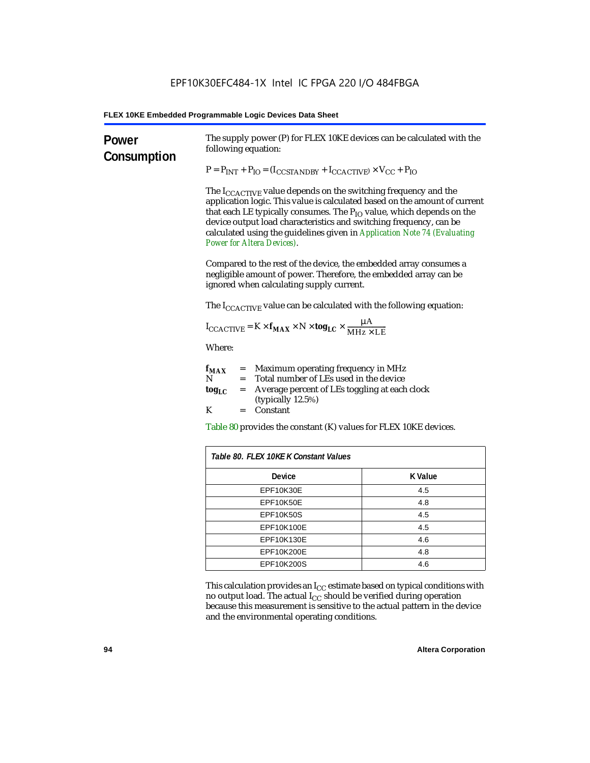| Power<br>Consumption | The supply power (P) for FLEX 10KE devices can be calculated with the<br>following equation:                                                                                                                                                                                                                                                                                                                                                                                                                   |                |  |                                                                                                                                                                                   |
|----------------------|----------------------------------------------------------------------------------------------------------------------------------------------------------------------------------------------------------------------------------------------------------------------------------------------------------------------------------------------------------------------------------------------------------------------------------------------------------------------------------------------------------------|----------------|--|-----------------------------------------------------------------------------------------------------------------------------------------------------------------------------------|
|                      | $P = P_{INT} + P_{IO} = (I_{COSTANDBY} + I_{CCACTIVE}) \times V_{CC} + P_{IO}$<br>The I <sub>CCACTIVE</sub> value depends on the switching frequency and the<br>application logic. This value is calculated based on the amount of current<br>that each LE typically consumes. The $P_{IO}$ value, which depends on the<br>device output load characteristics and switching frequency, can be<br>calculated using the guidelines given in Application Note 74 (Evaluating<br><b>Power for Altera Devices).</b> |                |  |                                                                                                                                                                                   |
|                      |                                                                                                                                                                                                                                                                                                                                                                                                                                                                                                                |                |  | Compared to the rest of the device, the embedded array consumes a<br>negligible amount of power. Therefore, the embedded array can be<br>ignored when calculating supply current. |
|                      | The $I_{\text{CCACTIVE}}$ value can be calculated with the following equation:                                                                                                                                                                                                                                                                                                                                                                                                                                 |                |  |                                                                                                                                                                                   |
|                      | $I_{\text{CCACTIVE}} = K \times f_{\text{MAX}} \times N \times \text{tog}_{\text{LC}} \times \frac{\mu A}{\text{MHz} \times \text{LE}}$                                                                                                                                                                                                                                                                                                                                                                        |                |  |                                                                                                                                                                                   |
|                      | Where:                                                                                                                                                                                                                                                                                                                                                                                                                                                                                                         |                |  |                                                                                                                                                                                   |
|                      | $=$ Maximum operating frequency in MHz<br>$f_{MAX}$<br>N<br>= Total number of LEs used in the device                                                                                                                                                                                                                                                                                                                                                                                                           |                |  |                                                                                                                                                                                   |
|                      | Average percent of LEs toggling at each clock<br>$\log_{LC}$<br>$=$<br>(typically 12.5%)                                                                                                                                                                                                                                                                                                                                                                                                                       |                |  |                                                                                                                                                                                   |
|                      | K<br>$=$ Constant                                                                                                                                                                                                                                                                                                                                                                                                                                                                                              |                |  |                                                                                                                                                                                   |
|                      | Table 80 provides the constant (K) values for FLEX 10KE devices.                                                                                                                                                                                                                                                                                                                                                                                                                                               |                |  |                                                                                                                                                                                   |
|                      | Table 80. FLEX 10KE K Constant Values                                                                                                                                                                                                                                                                                                                                                                                                                                                                          |                |  |                                                                                                                                                                                   |
|                      | Device                                                                                                                                                                                                                                                                                                                                                                                                                                                                                                         | <b>K</b> Value |  |                                                                                                                                                                                   |
|                      | EPF10K30E                                                                                                                                                                                                                                                                                                                                                                                                                                                                                                      | 4.5            |  |                                                                                                                                                                                   |
|                      | EPF10K50E                                                                                                                                                                                                                                                                                                                                                                                                                                                                                                      | 4.8            |  |                                                                                                                                                                                   |
|                      | <b>EPF10K50S</b>                                                                                                                                                                                                                                                                                                                                                                                                                                                                                               | 4.5            |  |                                                                                                                                                                                   |
|                      | EPF10K100E                                                                                                                                                                                                                                                                                                                                                                                                                                                                                                     | 4.5            |  |                                                                                                                                                                                   |
|                      | EPF10K130E                                                                                                                                                                                                                                                                                                                                                                                                                                                                                                     | 4.6            |  |                                                                                                                                                                                   |
|                      | EPF10K200E                                                                                                                                                                                                                                                                                                                                                                                                                                                                                                     | 4.8            |  |                                                                                                                                                                                   |
|                      | EPF10K200S                                                                                                                                                                                                                                                                                                                                                                                                                                                                                                     | 4.6            |  |                                                                                                                                                                                   |

This calculation provides an  $\rm I_{CC}$  estimate based on typical conditions with no output load. The actual I $_{\rm CC}$  should be verified during operation because this measurement is sensitive to the actual pattern in the device and the environmental operating conditions.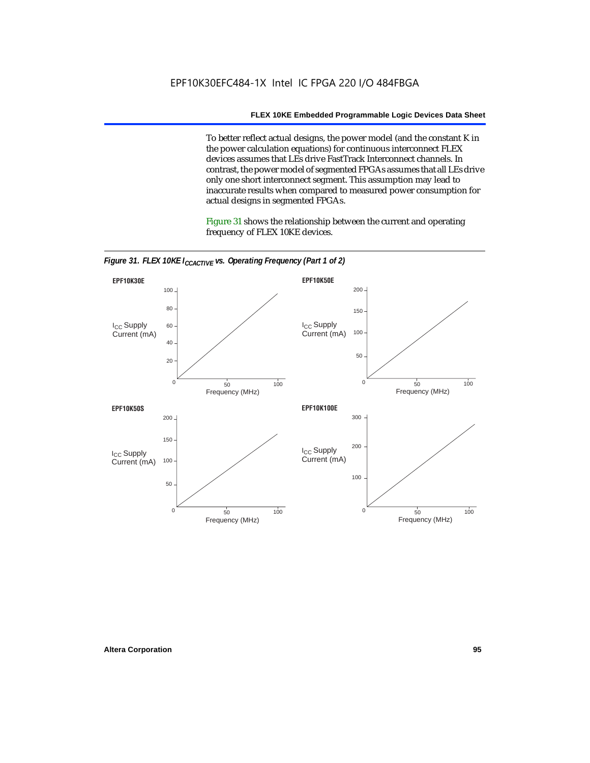To better reflect actual designs, the power model (and the constant K in the power calculation equations) for continuous interconnect FLEX devices assumes that LEs drive FastTrack Interconnect channels. In contrast, the power model of segmented FPGAs assumes that all LEs drive only one short interconnect segment. This assumption may lead to inaccurate results when compared to measured power consumption for actual designs in segmented FPGAs.

Figure 31 shows the relationship between the current and operating frequency of FLEX 10KE devices.



*Figure 31. FLEX 10KE I<sub>CCACTIVE</sub> vs. Operating Frequency (Part 1 of 2)*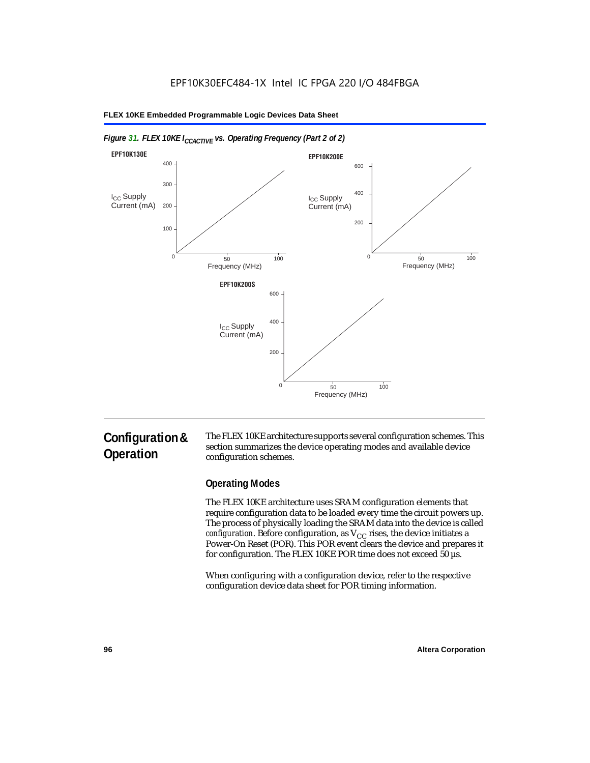

#### *Figure 31. FLEX 10KE I<sub>CCACTIVE</sub> vs. Operating Frequency (Part 2 of 2)*

# **Configuration & Operation**

The FLEX 10KE architecture supports several configuration schemes. This section summarizes the device operating modes and available device configuration schemes.

# **Operating Modes**

The FLEX 10KE architecture uses SRAM configuration elements that require configuration data to be loaded every time the circuit powers up. The process of physically loading the SRAM data into the device is called *configuration.* Before configuration, as  $V_{CC}$  rises, the device initiates a Power-On Reset (POR). This POR event clears the device and prepares it for configuration. The FLEX 10KE POR time does not exceed 50 µs.

When configuring with a configuration device, refer to the respective configuration device data sheet for POR timing information.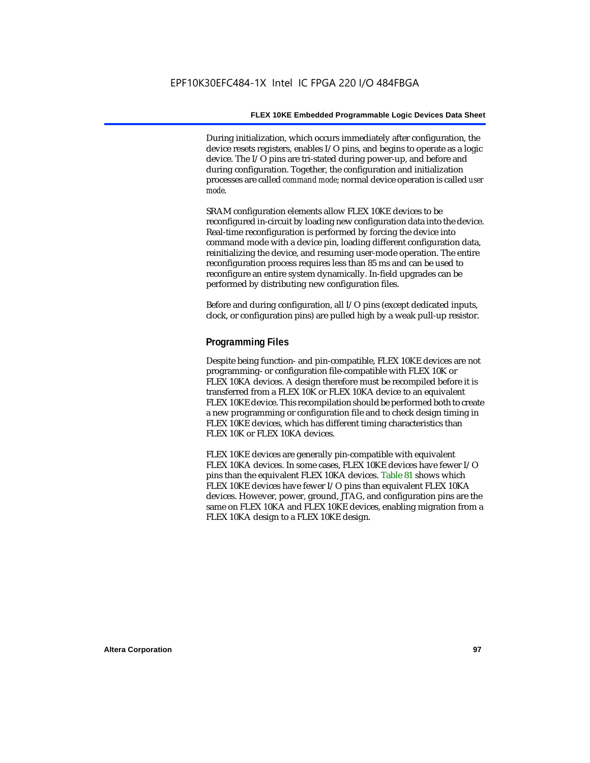During initialization, which occurs immediately after configuration, the device resets registers, enables I/O pins, and begins to operate as a logic device. The I/O pins are tri-stated during power-up, and before and during configuration. Together, the configuration and initialization processes are called *command mode*; normal device operation is called *user mode*.

SRAM configuration elements allow FLEX 10KE devices to be reconfigured in-circuit by loading new configuration data into the device. Real-time reconfiguration is performed by forcing the device into command mode with a device pin, loading different configuration data, reinitializing the device, and resuming user-mode operation. The entire reconfiguration process requires less than 85 ms and can be used to reconfigure an entire system dynamically. In-field upgrades can be performed by distributing new configuration files.

Before and during configuration, all I/O pins (except dedicated inputs, clock, or configuration pins) are pulled high by a weak pull-up resistor.

#### **Programming Files**

Despite being function- and pin-compatible, FLEX 10KE devices are not programming- or configuration file-compatible with FLEX 10K or FLEX 10KA devices. A design therefore must be recompiled before it is transferred from a FLEX 10K or FLEX 10KA device to an equivalent FLEX 10KE device. This recompilation should be performed both to create a new programming or configuration file and to check design timing in FLEX 10KE devices, which has different timing characteristics than FLEX 10K or FLEX 10KA devices.

FLEX 10KE devices are generally pin-compatible with equivalent FLEX 10KA devices. In some cases, FLEX 10KE devices have fewer I/O pins than the equivalent FLEX 10KA devices. Table 81 shows which FLEX 10KE devices have fewer I/O pins than equivalent FLEX 10KA devices. However, power, ground, JTAG, and configuration pins are the same on FLEX 10KA and FLEX 10KE devices, enabling migration from a FLEX 10KA design to a FLEX 10KE design.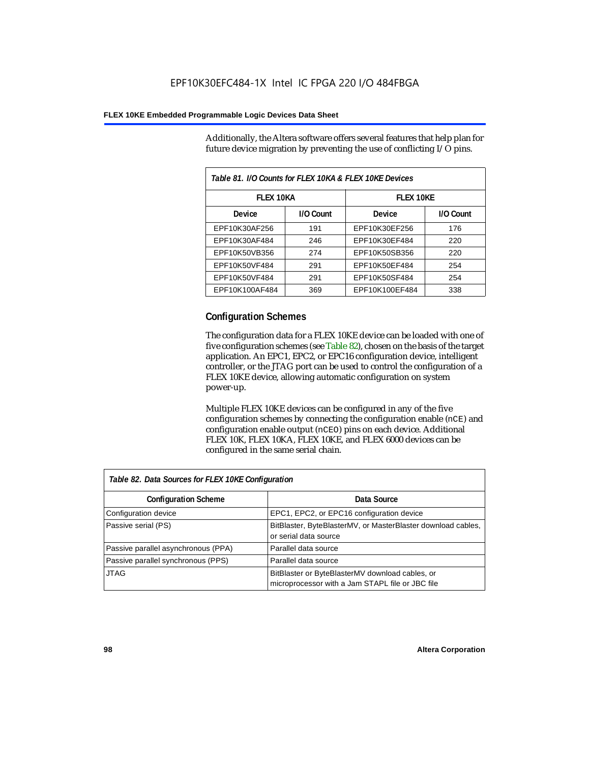Additionally, the Altera software offers several features that help plan for future device migration by preventing the use of conflicting I/O pins.

| Table 81. I/O Counts for FLEX 10KA & FLEX 10KE Devices |           |                  |           |  |
|--------------------------------------------------------|-----------|------------------|-----------|--|
| <b>FLEX 10KA</b>                                       |           | <b>FLEX 10KE</b> |           |  |
| <b>Device</b>                                          | I/O Count | Device           | I/O Count |  |
| EPF10K30AF256                                          | 191       | EPF10K30EF256    | 176       |  |
| EPF10K30AF484                                          | 246       | EPF10K30EF484    | 220       |  |
| EPF10K50VB356                                          | 274       | EPF10K50SB356    | 220       |  |
| EPF10K50VF484                                          | 291       | EPF10K50EF484    | 254       |  |
| EPF10K50VF484                                          | 291       | EPF10K50SF484    | 254       |  |
| EPF10K100AF484                                         | 369       | EPF10K100EF484   | 338       |  |

# **Configuration Schemes**

The configuration data for a FLEX 10KE device can be loaded with one of five configuration schemes (see Table 82), chosen on the basis of the target application. An EPC1, EPC2, or EPC16 configuration device, intelligent controller, or the JTAG port can be used to control the configuration of a FLEX 10KE device, allowing automatic configuration on system power-up.

Multiple FLEX 10KE devices can be configured in any of the five configuration schemes by connecting the configuration enable (nCE) and configuration enable output (nCEO) pins on each device. Additional FLEX 10K, FLEX 10KA, FLEX 10KE, and FLEX 6000 devices can be configured in the same serial chain.

| Table 82. Data Sources for FLEX 10KE Configuration |                                                                                                     |  |  |
|----------------------------------------------------|-----------------------------------------------------------------------------------------------------|--|--|
| <b>Configuration Scheme</b>                        | Data Source                                                                                         |  |  |
| Configuration device                               | EPC1, EPC2, or EPC16 configuration device                                                           |  |  |
| Passive serial (PS)                                | BitBlaster, ByteBlasterMV, or MasterBlaster download cables,<br>or serial data source               |  |  |
| Passive parallel asynchronous (PPA)                | Parallel data source                                                                                |  |  |
| Passive parallel synchronous (PPS)                 | Parallel data source                                                                                |  |  |
| <b>JTAG</b>                                        | BitBlaster or ByteBlasterMV download cables, or<br>microprocessor with a Jam STAPL file or JBC file |  |  |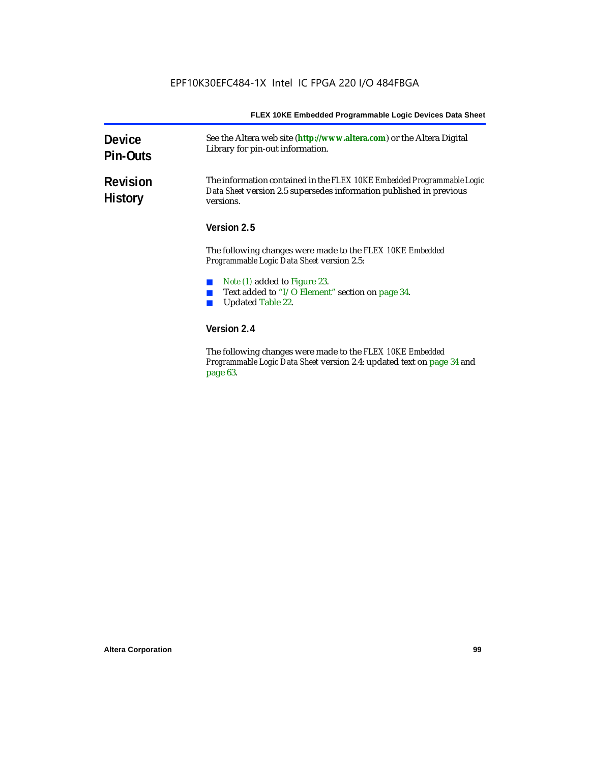| <b>Device</b><br><b>Pin-Outs</b>  | See the Altera web site (http://www.altera.com) or the Altera Digital<br>Library for pin-out information.                                                                                                                                                                            |  |
|-----------------------------------|--------------------------------------------------------------------------------------------------------------------------------------------------------------------------------------------------------------------------------------------------------------------------------------|--|
| <b>Revision</b><br><b>History</b> | The information contained in the FLEX 10KE Embedded Programmable Logic<br>Data Sheet version 2.5 supersedes information published in previous<br>versions.<br>Version 2.5<br>The following changes were made to the FLEX 10KE Embedded<br>Programmable Logic Data Sheet version 2.5: |  |
|                                   |                                                                                                                                                                                                                                                                                      |  |
|                                   |                                                                                                                                                                                                                                                                                      |  |
|                                   | <i>Note (1)</i> added to Figure 23.                                                                                                                                                                                                                                                  |  |
|                                   | Text added to "I/O Element" section on page 34.                                                                                                                                                                                                                                      |  |
|                                   | <b>Updated Table 22.</b>                                                                                                                                                                                                                                                             |  |
|                                   | Version 2.4                                                                                                                                                                                                                                                                          |  |
|                                   | The fillends a decorate come and details. IT EV 101/E Each dd.d                                                                                                                                                                                                                      |  |

The following changes were made to the *FLEX 10KE Embedded Programmable Logic Data Sheet* version 2.4: updated text on page 34 and page 63.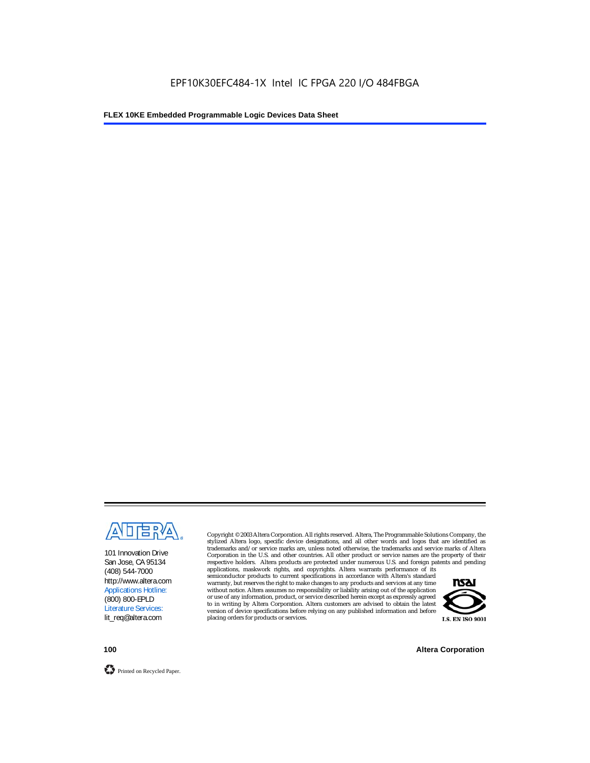

101 Innovation Drive San Jose, CA 95134 (408) 544-7000 http://www.altera.com Applications Hotline: (800) 800-EPLD Literature Services: lit\_req@altera.com

Copyright © 2003 Altera Corporation. All rights reserved. Altera, The Programmable Solutions Company, the stylized Altera logo, specific device designations, and all other words and logos that are identified as trademarks and/or service marks are, unless noted otherwise, the trademarks and service marks of Altera Corporation in the U.S. and other countries. All other product or service names are the property of their respective holders. Altera products are protected under numerous U.S. and foreign patents and pending

applications, maskwork rights, and copyrights. Altera warrants performance of its semiconductor products to current specifications in accordance with Altera's standard warranty, but reserves the right to make changes to any products and services at any time without notice. Altera assumes no responsibility or liability arising out of the application or use of any information, product, or service described herein except as expressly agreed to in writing by Altera Corporation. Altera customers are advised to obtain the latest version of device specifications before relying on any published information and before placing orders for products or services.



**100 Altera Corporation**